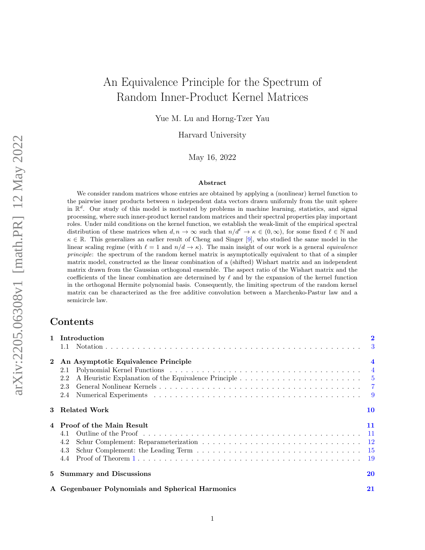# An Equivalence Principle for the Spectrum of Random Inner-Product Kernel Matrices

Yue M. Lu and Horng-Tzer Yau

Harvard University

May 16, 2022

#### Abstract

We consider random matrices whose entries are obtained by applying a (nonlinear) kernel function to the pairwise inner products between  $n$  independent data vectors drawn uniformly from the unit sphere in  $\mathbb{R}^d$ . Our study of this model is motivated by problems in machine learning, statistics, and signal processing, where such inner-product kernel random matrices and their spectral properties play important roles. Under mild conditions on the kernel function, we establish the weak-limit of the empirical spectral distribution of these matrices when  $d, n \to \infty$  such that  $n/d^{\ell} \to \kappa \in (0, \infty)$ , for some fixed  $\ell \in \mathbb{N}$  and  $\kappa \in \mathbb{R}$ . This generalizes an earlier result of Cheng and Singer [\[9\]](#page-40-0), who studied the same model in the linear scaling regime (with  $\ell = 1$  and  $n/d \to \kappa$ ). The main insight of our work is a general *equivalence* principle: the spectrum of the random kernel matrix is asymptotically equivalent to that of a simpler matrix model, constructed as the linear combination of a (shifted) Wishart matrix and an independent matrix drawn from the Gaussian orthogonal ensemble. The aspect ratio of the Wishart matrix and the coefficients of the linear combination are determined by  $\ell$  and by the expansion of the kernel function in the orthogonal Hermite polynomial basis. Consequently, the limiting spectrum of the random kernel matrix can be characterized as the free additive convolution between a Marchenko-Pastur law and a semicircle law.

## Contents

|                | 1 Introduction                                   | $\overline{2}$          |
|----------------|--------------------------------------------------|-------------------------|
|                | 1.1                                              |                         |
| $\bf{2}$       | An Asymptotic Equivalence Principle              | $\overline{\mathbf{4}}$ |
|                | 2.1                                              |                         |
|                | 2.2                                              |                         |
|                | 2.3                                              |                         |
|                | 2.4                                              |                         |
|                | 3 Related Work                                   | 10                      |
| $\overline{4}$ | <b>Proof of the Main Result</b>                  | 11                      |
|                | 4.1                                              |                         |
|                | 4.2                                              |                         |
|                | 4.3                                              |                         |
|                | 4.4                                              |                         |
|                | 5 Summary and Discussions                        | 20                      |
|                | A Gegenbauer Polynomials and Spherical Harmonics | 21                      |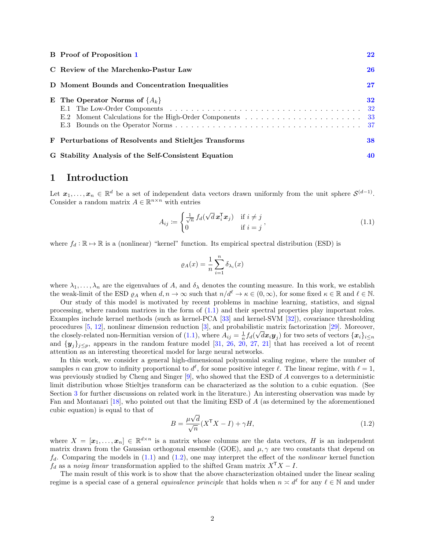| <b>B</b> Proof of Proposition 1                        | 22     |
|--------------------------------------------------------|--------|
| C Review of the Marchenko-Pastur Law                   | 26     |
| D Moment Bounds and Concentration Inequalities         | $27\,$ |
| E The Operator Norms of $\{A_k\}$                      | 32     |
| F Perturbations of Resolvents and Stielties Transforms | 38     |
| G Stability Analysis of the Self-Consistent Equation   | 40     |

### <span id="page-1-0"></span>1 Introduction

Let  $x_1, \ldots, x_n \in \mathbb{R}^d$  be a set of independent data vectors drawn uniformly from the unit sphere  $\mathcal{S}^{(d-1)}$ . Consider a random matrix  $A \in \mathbb{R}^{n \times n}$  with entries

$$
A_{ij} := \begin{cases} \frac{1}{\sqrt{n}} f_d(\sqrt{d} \mathbf{x}_i^{\mathsf{T}} \mathbf{x}_j) & \text{if } i \neq j \\ 0 & \text{if } i = j \end{cases},
$$
(1.1)

where  $f_d : \mathbb{R} \to \mathbb{R}$  is a (nonlinear) "kernel" function. Its empirical spectral distribution (ESD) is

<span id="page-1-1"></span>
$$
\varrho_A(x) = \frac{1}{n} \sum_{i=1}^n \delta_{\lambda_i}(x)
$$

where  $\lambda_1, \ldots, \lambda_n$  are the eigenvalues of A, and  $\delta_\lambda$  denotes the counting measure. In this work, we establish the weak-limit of the ESD  $\varrho_A$  when  $d, n \to \infty$  such that  $n/d^\ell \to \kappa \in (0, \infty)$ , for some fixed  $\kappa \in \mathbb{R}$  and  $\ell \in \mathbb{N}$ .

Our study of this model is motivated by recent problems in machine learning, statistics, and signal processing, where random matrices in the form of  $(1.1)$  and their spectral properties play important roles. Examples include kernel methods (such as kernel-PCA [\[33\]](#page-42-0) and kernel-SVM [\[32\]](#page-42-1)), covariance thresholding procedures [\[5,](#page-40-1) [12\]](#page-41-0), nonlinear dimension reduction [\[3\]](#page-40-2), and probabilistic matrix factorization [\[29\]](#page-41-1). Moreover, the closely-related non-Hermitian version of [\(1.1\)](#page-1-1), where  $A_{ij} = \frac{1}{n} f_d(\sqrt{d}x_i y_j)$  for two sets of vectors  $\{x_i\}_{i \leq n}$ and  $\{y_i\}_{i\leq p}$ , appears in the random feature model [\[31,](#page-41-2) [26,](#page-41-3) [20,](#page-41-4) [27,](#page-41-5) [21\]](#page-41-6) that has received a lot of recent attention as an interesting theoretical model for large neural networks.

In this work, we consider a general high-dimensional polynomial scaling regime, where the number of samples n can grow to infinity proportional to  $d^{\ell}$ , for some positive integer  $\ell$ . The linear regime, with  $\ell = 1$ , was previously studied by Cheng and Singer [\[9\]](#page-40-0), who showed that the ESD of A converges to a deterministic limit distribution whose Stieltjes transform can be characterized as the solution to a cubic equation. (See Section [3](#page-9-0) for further discussions on related work in the literature.) An interesting observation was made by Fan and Montanari [\[18\]](#page-41-7), who pointed out that the limiting ESD of A (as determined by the aforementioned cubic equation) is equal to that of √

<span id="page-1-2"></span>
$$
B = \frac{\mu \sqrt{d}}{\sqrt{n}} (X^{\mathsf{T}} X - I) + \gamma H,\tag{1.2}
$$

where  $X = [\mathbf{x}_1, \dots, \mathbf{x}_n] \in \mathbb{R}^{d \times n}$  is a matrix whose columns are the data vectors, H is an independent matrix drawn from the Gaussian orthogonal ensemble (GOE), and  $\mu, \gamma$  are two constants that depend on  $f_d$ . Comparing the models in [\(1.1\)](#page-1-1) and [\(1.2\)](#page-1-2), one may interpret the effect of the *nonlinear* kernel function  $f_d$  as a noisy linear transformation applied to the shifted Gram matrix  $X^{\mathsf{T}} X - I$ .

The main result of this work is to show that the above characterization obtained under the linear scaling regime is a special case of a general *equivalence principle* that holds when  $n \times d^{\ell}$  for any  $\ell \in \mathbb{N}$  and under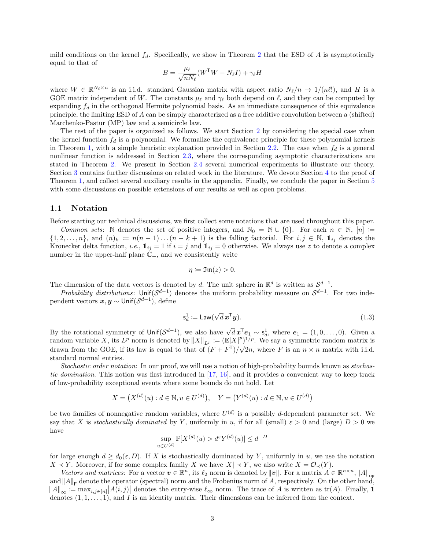mild conditions on the kernel  $f_d$ . Specifically, we show in Theorem [2](#page-6-1) that the ESD of A is asymptotically equal to that of

$$
B = \frac{\mu_{\ell}}{\sqrt{nN_{\ell}}}(W^{\mathsf{T}}W - N_{\ell}I) + \gamma_{\ell}H
$$

where  $W \in \mathbb{R}^{N_{\ell} \times n}$  is an i.i.d. standard Gaussian matrix with aspect ratio  $N_{\ell}/n \to 1/(\kappa \ell!)$ , and H is a GOE matrix independent of W. The constants  $\mu_{\ell}$  and  $\gamma_{\ell}$  both depend on  $\ell$ , and they can be computed by expanding  $f_d$  in the orthogonal Hermite polynomial basis. As an immediate consequence of this equivalence principle, the limiting ESD of A can be simply characterized as a free additive convolution between a (shifted) Marchenko-Pastur (MP) law and a semicircle law.

The rest of the paper is organized as follows. We start Section [2](#page-3-0) by considering the special case when the kernel function  $f_d$  is a polynomial. We formalize the equivalence principle for these polynomial kernels in Theorem [1,](#page-4-1) with a simple heuristic explanation provided in Section [2.2.](#page-4-0) The case when  $f_d$  is a general nonlinear function is addressed in Section [2.3,](#page-6-0) where the corresponding asymptotic characterizations are stated in Theorem [2.](#page-6-1) We present in Section [2.4](#page-8-0) several numerical experiments to illustrate our theory. Section [3](#page-9-0) contains further discussions on related work in the literature. We devote Section [4](#page-10-0) to the proof of Theorem [1,](#page-4-1) and collect several auxiliary results in the appendix. Finally, we conclude the paper in Section [5](#page-19-0) with some discussions on possible extensions of our results as well as open problems.

#### <span id="page-2-0"></span>1.1 Notation

Before starting our technical discussions, we first collect some notations that are used throughout this paper.

Common sets: N denotes the set of positive integers, and  $\mathbb{N}_0 = \mathbb{N} \cup \{0\}$ . For each  $n \in \mathbb{N}$ ,  $[n] :=$  $\{1, 2, \ldots, n\}$ , and  $(n)_k := n(n-1) \ldots (n-k+1)$  is the falling factorial. For  $i, j \in \mathbb{N}$ ,  $\mathbb{1}_{ij}$  denotes the Kronecker delta function, *i.e.*,  $\mathbb{1}_{ij} = 1$  if  $i = j$  and  $\mathbb{1}_{ij} = 0$  otherwise. We always use z to denote a complex number in the upper-half plane  $\mathbb{C}_+$ , and we consistently write

<span id="page-2-1"></span>
$$
\eta := \mathfrak{Im}(z) > 0.
$$

The dimension of the data vectors is denoted by d. The unit sphere in  $\mathbb{R}^d$  is written as  $\mathcal{S}^{d-1}$ .

*Probability distributions*: Unif $(S^{d-1})$  denotes the uniform probability measure on  $S^{d-1}$ . For two independent vectors  $\boldsymbol{x},\boldsymbol{y}\sim$  Unif $(\mathcal{S}^{d-1}),$  define

$$
\mathsf{s}_d^1 := \mathsf{Law}(\sqrt{d}\,\mathbf{x}^\mathsf{T}\mathbf{y}).\tag{1.3}
$$

By the rotational symmetry of Unif $(\mathcal{S}^{d-1})$ , we also have  $\sqrt{d} x^T e_1 \sim s_d^1$ , where  $e_1 = (1,0,\ldots,0)$ . Given a random variable X, its  $L^p$  norm is denoted by  $||X||_{L^p} := (\mathbb{E}|X|^p)^{1/p}$ . We say a symmetric random matrix is drawn from the GOE, if its law is equal to that of  $(F + F^{T})/\sqrt{2n}$ , where F is an  $n \times n$  matrix with i.i.d. standard normal entries.

Stochastic order notation: In our proof, we will use a notion of high-probability bounds known as stochastic domination. This notion was first introduced in [\[17,](#page-41-8) [16\]](#page-41-9), and it provides a convenient way to keep track of low-probability exceptional events where some bounds do not hold. Let

$$
X = (X^{(d)}(u) : d \in \mathbb{N}, u \in U^{(d)}), \quad Y = (Y^{(d)}(u) : d \in \mathbb{N}, u \in U^{(d)})
$$

be two families of nonnegative random variables, where  $U^{(d)}$  is a possibly d-dependent parameter set. We say that X is stochastically dominated by Y, uniformly in u, if for all (small)  $\varepsilon > 0$  and (large)  $D > 0$  we have

$$
\sup_{u \in U^{(d)}} \mathbb{P}[X^{(d)}(u) > d^{\varepsilon} Y^{(d)}(u)] \le d^{-D}
$$

for large enough  $d \geq d_0(\varepsilon, D)$ . If X is stochastically dominated by Y, uniformly in u, we use the notation  $X \prec Y$ . Moreover, if for some complex family X we have  $|X| \prec Y$ , we also write  $X = \mathcal{O}_{\prec}(Y)$ .

Vectors and matrices: For a vector  $v \in \mathbb{R}^n$ , its  $\ell_2$  norm is denoted by  $||v||$ . For a matrix  $A \in \mathbb{R}^{n \times n}$ ,  $||A||_{op}$ and  $||A||_F$  denote the operator (spectral) norm and the Frobenius norm of A, respectively. On the other hand,  $||A||_{\infty} := \max_{i,j \in [n]} |A(i,j)|$  denotes the entry-wise  $\ell_{\infty}$  norm. The trace of A is written as tr(A). Finally, 1 denotes  $(1, 1, \ldots, 1)$ , and I is an identity matrix. Their dimensions can be inferred from the context.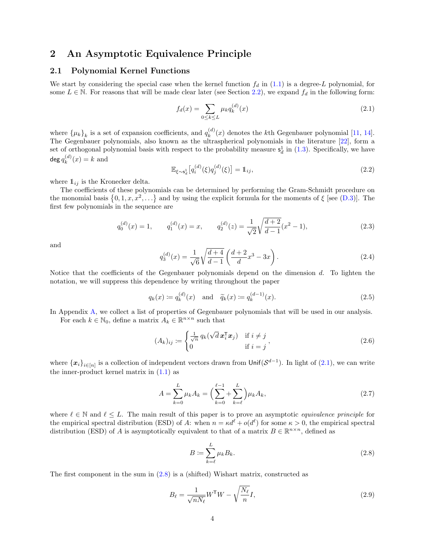### <span id="page-3-0"></span>2 An Asymptotic Equivalence Principle

#### <span id="page-3-1"></span>2.1 Polynomial Kernel Functions

We start by considering the special case when the kernel function  $f_d$  in [\(1.1\)](#page-1-1) is a degree-L polynomial, for some  $L \in \mathbb{N}$ . For reasons that will be made clear later (see Section [2.2\)](#page-4-0), we expand  $f_d$  in the following form:

<span id="page-3-2"></span>
$$
f_d(x) = \sum_{0 \le k \le L} \mu_k q_k^{(d)}(x)
$$
\n(2.1)

where  $\{\mu_k\}_k$  is a set of expansion coefficients, and  $q_k^{(d)}$  $\binom{u}{k}(x)$  denotes the k<sup>th</sup> Gegenbauer polynomial [\[11,](#page-40-3) [14\]](#page-41-10). The Gegenbauer polynomials, also known as the ultraspherical polynomials in the literature [\[22\]](#page-41-11), form a set of orthogonal polynomial basis with respect to the probability measure  $s_d^1$  in [\(1.3\)](#page-2-1). Specifically, we have  $\deg q_k^{(d)}$  $k^{(a)}(x) = k$  and

<span id="page-3-9"></span><span id="page-3-6"></span>
$$
\mathbb{E}_{\xi \sim s_d^1} \left[ q_i^{(d)}(\xi) q_j^{(d)}(\xi) \right] = \mathbb{1}_{ij},\tag{2.2}
$$

where  $\mathbb{1}_{ij}$  is the Kronecker delta.

The coefficients of these polynomials can be determined by performing the Gram-Schmidt procedure on the monomial basis  $\{0, 1, x, x^2, \ldots\}$  and by using the explicit formula for the moments of  $\xi$  [see [\(D.3\)](#page-26-1)]. The first few polynomials in the sequence are

$$
q_0^{(d)}(x) = 1, \qquad q_1^{(d)}(x) = x, \qquad q_2^{(d)}(z) = \frac{1}{\sqrt{2}} \sqrt{\frac{d+2}{d-1}} (x^2 - 1), \tag{2.3}
$$

and

<span id="page-3-10"></span><span id="page-3-8"></span>
$$
q_3^{(d)}(x) = \frac{1}{\sqrt{6}} \sqrt{\frac{d+4}{d-1}} \left( \frac{d+2}{d} x^3 - 3x \right).
$$
 (2.4)

Notice that the coefficients of the Gegenbauer polynomials depend on the dimension d. To lighten the notation, we will suppress this dependence by writing throughout the paper

$$
q_k(x) := q_k^{(d)}(x)
$$
 and  $\tilde{q}_k(x) := q_k^{(d-1)}(x)$ . (2.5)

In Appendix [A,](#page-20-0) we collect a list of properties of Gegenbauer polynomials that will be used in our analysis.

For each  $k \in \mathbb{N}_0$ , define a matrix  $A_k \in \mathbb{R}^{n \times n}$  such that

$$
(A_k)_{ij} := \begin{cases} \frac{1}{\sqrt{n}} q_k(\sqrt{d} \mathbf{x}_i^{\mathsf{T}} \mathbf{x}_j) & \text{if } i \neq j \\ 0 & \text{if } i = j \end{cases},
$$
\n(2.6)

where  $\{x_i\}_{i\in[n]}$  is a collection of independent vectors drawn from  $\text{Unif}(\mathcal{S}^{d-1})$ . In light of [\(2.1\)](#page-3-2), we can write the inner-product kernel matrix in  $(1.1)$  as

$$
A = \sum_{k=0}^{L} \mu_k A_k = \left(\sum_{k=0}^{\ell-1} \sum_{k=\ell}^{L} \right) \mu_k A_k,
$$
\n(2.7)

where  $\ell \in \mathbb{N}$  and  $\ell \leq L$ . The main result of this paper is to prove an asymptotic *equivalence principle* for the empirical spectral distribution (ESD) of A: when  $n = \kappa d^{\ell} + o(d^{\ell})$  for some  $\kappa > 0$ , the empirical spectral distribution (ESD) of A is asymptotically equivalent to that of a matrix  $B \in \mathbb{R}^{n \times n}$ , defined as

<span id="page-3-7"></span><span id="page-3-5"></span><span id="page-3-4"></span><span id="page-3-3"></span>
$$
B \coloneqq \sum_{k=\ell}^{L} \mu_k B_k. \tag{2.8}
$$

The first component in the sum in [\(2.8\)](#page-3-3) is a (shifted) Wishart matrix, constructed as

$$
B_{\ell} = \frac{1}{\sqrt{nN_{\ell}}} W^{\mathsf{T}} W - \sqrt{\frac{N_{\ell}}{n}} I,\tag{2.9}
$$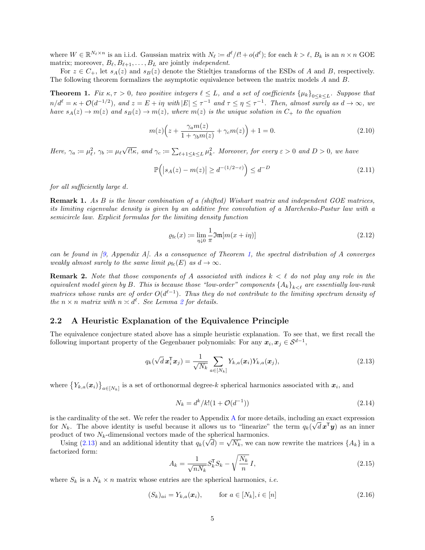where  $W \in \mathbb{R}^{N_{\ell} \times n}$  is an i.i.d. Gaussian matrix with  $N_{\ell} := d^{\ell}/\ell! + o(d^{\ell})$ ; for each  $k > \ell$ ,  $B_k$  is an  $n \times n$  GOE matrix; moreover,  $B_\ell, B_{\ell+1}, \ldots, B_L$  are jointly *independent*.

For  $z \in C_+$ , let  $s_A(z)$  and  $s_B(z)$  denote the Stieltjes transforms of the ESDs of A and B, respectively. The following theorem formalizes the asymptotic equivalence between the matrix models A and B.

<span id="page-4-1"></span>**Theorem 1.** Fix  $\kappa, \tau > 0$ , two positive integers  $\ell \leq L$ , and a set of coefficients  $\{\mu_k\}_{0 \leq k \leq L}$ . Suppose that  $n/d^{\ell} = \kappa + \mathcal{O}(d^{-1/2})$ , and  $z = E + i\eta$  with  $|E| \leq \tau^{-1}$  and  $\tau \leq \eta \leq \tau^{-1}$ . Then, almost surely as  $d \to \infty$ , we have  $s_A(z) \to m(z)$  and  $s_B(z) \to m(z)$ , where  $m(z)$  is the unique solution in  $C_+$  to the equation

$$
m(z)\left(z + \frac{\gamma_a m(z)}{1 + \gamma_b m(z)} + \gamma_c m(z)\right) + 1 = 0.
$$
\n
$$
(2.10)
$$

Here,  $\gamma_a \coloneqq \mu_\ell^2$ ,  $\gamma_b \coloneqq \mu_\ell$ √  $\overline{\ell! \kappa}$ , and  $γ_c ≔ ∑_{\ell+1≤k≤L} μ_k^2$ . Moreover, for every  $ε > 0$  and  $D > 0$ , we have

<span id="page-4-4"></span>
$$
\mathbb{P}\Big(|s_A(z) - m(z)| \ge d^{-(1/2 - \varepsilon)}\Big) \le d^{-D} \tag{2.11}
$$

for all sufficiently large d.

Remark 1. As B is the linear combination of a (shifted) Wishart matrix and independent GOE matrices, its limiting eigenvalue density is given by an additive free convolution of a Marchenko-Pastur law with a semicircle law. Explicit formulas for the limiting density function

<span id="page-4-8"></span><span id="page-4-7"></span>
$$
\varrho_{\rm fc}(x) \coloneqq \lim_{\eta \downarrow 0} \frac{1}{\pi} \mathfrak{Im}[m(x + i\eta)] \tag{2.12}
$$

can be found in  $(9,$  Appendix A. As a consequence of Theorem [1,](#page-4-1) the spectral distribution of A converges weakly almost surely to the same limit  $\rho_{\text{fc}}(E)$  as  $d \to \infty$ .

**Remark 2.** Note that those components of A associated with indices  $k < \ell$  do not play any role in the equivalent model given by B. This is because those "low-order" components  $\{A_k\}_{k\leq\ell}$  are essentially low-rank matrices whose ranks are of order  $O(d^{\ell-1})$ . Thus they do not contribute to the limiting spectrum density of the  $n \times n$  matrix with  $n \asymp d^{\ell}$ . See Lemma [2](#page-10-2) for details.

#### <span id="page-4-0"></span>2.2 A Heuristic Explanation of the Equivalence Principle

The equivalence conjecture stated above has a simple heuristic explanation. To see that, we first recall the following important property of the Gegenbauer polynomials: For any  $x_i, x_j \in S^{d-1}$ ,

$$
q_k(\sqrt{d}\,\boldsymbol{x}_i^{\mathsf{T}}\boldsymbol{x}_j) = \frac{1}{\sqrt{N_k}} \sum_{a \in [N_k]} Y_{k,a}(\boldsymbol{x}_i) Y_{k,a}(\boldsymbol{x}_j), \qquad (2.13)
$$

where  $\{Y_{k,a}(\bm{x}_i)\}_{a\in[N_k]}$  is a set of orthonormal degree-k spherical harmonics associated with  $\bm{x}_i$ , and

<span id="page-4-3"></span><span id="page-4-2"></span>
$$
N_k = d^k / k! (1 + \mathcal{O}(d^{-1})) \tag{2.14}
$$

is the cardinality of the set. We refer the reader to [A](#page-20-0)ppendix A for more details, including an exact expression for  $N_k$ . The above identity is useful because it allows us to "linearize" the term  $q_k(\sqrt{d} \mathbf{x}^T \mathbf{y})$  as an inner product of two  $N_k$ -dimensional vectors made of the spherical harmonics.

duct of two  $N_k$ -dimensional vectors made of the spherical narmonics.<br>Using [\(2.13\)](#page-4-2) and an additional identity that  $q_k(\sqrt{d}) = \sqrt{N_k}$ , we can now rewrite the matrices  $\{A_k\}$  in a factorized form:

<span id="page-4-6"></span><span id="page-4-5"></span>
$$
A_k = \frac{1}{\sqrt{nN_k}} S_k^{\mathsf{T}} S_k - \sqrt{\frac{N_k}{n}} I,\tag{2.15}
$$

where  $S_k$  is a  $N_k \times n$  matrix whose entries are the spherical harmonics, *i.e.* 

$$
(S_k)_{ai} = Y_{k,a}(\boldsymbol{x}_i), \qquad \text{for } a \in [N_k], i \in [n]
$$
\n
$$
(2.16)
$$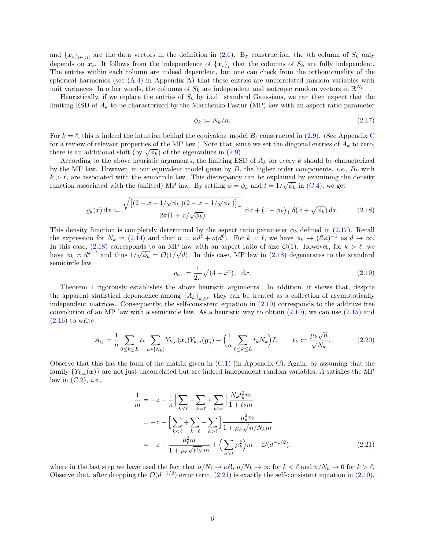and  $\{x_i\}_{i\in[n]}$  are the data vectors in the definition in [\(2.6\)](#page-3-4). By construction, the *i*th column of  $S_k$  only depends on  $x_i$ . It follows from the independence of  $\{x_i\}_i$  that the columns of  $S_k$  are fully independent. The entries within each column are indeed dependent, but one can check from the orthonormality of the spherical harmonics (see  $(A.4)$  in Appendix [A\)](#page-20-0) that these entries are uncorrelated random variables with unit variances. In other words, the columns of  $S_k$  are independent and isotropic random vectors in  $\mathbb{R}^{N_k}$ .

Heuristically, if we replace the entries of  $S_k$  by i.i.d. standard Gaussians, we can then expect that the limiting ESD of  $A_k$  to be characterized by the Marchenko-Pastur (MP) law with an aspect ratio parameter

<span id="page-5-1"></span><span id="page-5-0"></span>
$$
\phi_k \coloneqq N_k/n. \tag{2.17}
$$

For  $k = \ell$ , this is indeed the intuition behind the equivalent model  $B_\ell$  constructed in [\(2.9\)](#page-3-5). (See Appendix [C](#page-25-0) for a review of relevant properties of the MP law.) Note that, since we set the diagonal entries of  $A_k$  to zero, there is an additional shift (by  $\sqrt{\phi_k}$ ) of the eigenvalues in [\(2.9\)](#page-3-5).

According to the above heuristic arguments, the limiting ESD of  $A_k$  for every k should be characterized by the MP law. However, in our equivalent model given by  $B$ , the higher order components, *i.e.*,  $B_k$  with  $k > \ell$ , are associated with the semicircle law. This discrepancy can be explained by examining the density function associated with the (shifted) MP law. By setting  $\phi = \phi_k$  and  $t = 1/\sqrt{\phi_k}$  in [\(C.4\)](#page-26-2), we get

$$
\varrho_k(x) dx := \frac{\sqrt{\left[ (2+x - 1/\sqrt{\phi_k})(2-x - 1/\sqrt{\phi_k}) \right]_+}}{2\pi (1+x/\sqrt{\phi_k})} dx + (1-\phi_k)_+ \delta(x+\sqrt{\phi_k}) dx. \tag{2.18}
$$

This density function is completely determined by the aspect ratio parameter  $\phi_k$  defined in [\(2.17\)](#page-5-0). Recall the expression for  $N_k$  in [\(2.14\)](#page-4-3) and that  $n = \kappa d^{\ell} + o(d^{\ell})$ . For  $k = \ell$ , we have  $\phi_k \to (\ell! \kappa)^{-1}$  as  $d \to \infty$ . In this case,  $(2.18)$  corresponds to an MP law with an aspect ratio of size  $\mathcal{O}(1)$ . However, for  $k > \ell$ , we have  $\phi_k \approx d^{k-\ell}$  and thus  $1/\sqrt{\phi_k} = \mathcal{O}(1/\sqrt{d})$ . In this case, MP law in [\(2.18\)](#page-5-1) degenerates to the standard semicircle law

<span id="page-5-4"></span><span id="page-5-3"></span>
$$
\varrho_{\rm sc} := \frac{1}{2\pi} \sqrt{(4 - x^2)_+} \, \mathrm{d}x. \tag{2.19}
$$

Theorem [1](#page-4-1) rigorously establishes the above heuristic arguments. In addition, it shows that, despite the apparent statistical dependence among  $\{A_k\}_{k\geq\ell}$ , they can be treated as a collection of asymptotically independent matrices. Consequently, the self-consistent equation in [\(2.10\)](#page-4-4) corresponds to the additive free convolution of an MP law with a semicircle law. As a heuristic way to obtain  $(2.10)$ , we can use  $(2.15)$  and  $(2.16)$  to write

$$
A_{ij} = \frac{1}{n} \sum_{0 \le k \le L} t_k \sum_{a \in [N_k]} Y_{k,a}(x_i) Y_{k,a}(y_j) - \left(\frac{1}{n} \sum_{0 \le k \le L} t_k N_k\right) I, \qquad t_k := \frac{\mu_k \sqrt{n}}{\sqrt{N_k}}.
$$
 (2.20)

Observe that this has the form of the matrix given in [\(C.1\)](#page-25-1) (in Appendix [C\)](#page-25-0). Again, by assuming that the family  ${Y_{k,a}(\boldsymbol{x})}$  are not just uncorrelated but are indeed independent random variables, A satisfies the MP law in  $(C.2)$ , *i.e.*,

<span id="page-5-2"></span>
$$
\frac{1}{m} = -z - \frac{1}{n} \Big[ \sum_{k < \ell} + \sum_{k = \ell} + \sum_{k > \ell} \Big] \frac{N_k t_k^2 m}{1 + t_k m}
$$
\n
$$
= -z - \Big[ \sum_{k < \ell} + \sum_{k = \ell} + \sum_{k > \ell} \Big] \frac{\mu_k^2 m}{1 + \mu_k \sqrt{n/N_k m}}
$$
\n
$$
= -z - \frac{\mu_\ell^2 m}{1 + \mu_\ell \sqrt{\ell! \kappa} m} + \Big( \sum_{k > \ell} \mu_k^2 \Big) m + \mathcal{O}(d^{-1/2}),\tag{2.21}
$$

where in the last step we have used the fact that  $n/N_\ell \to \kappa \ell!$ ,  $n/N_k \to \infty$  for  $k < \ell$  and  $n/N_k \to 0$  for  $k > \ell$ . Observe that, after dropping the  $\mathcal{O}(d^{-1/2})$  error term, [\(2.21\)](#page-5-2) is exactly the self-consistent equation in [\(2.10\)](#page-4-4).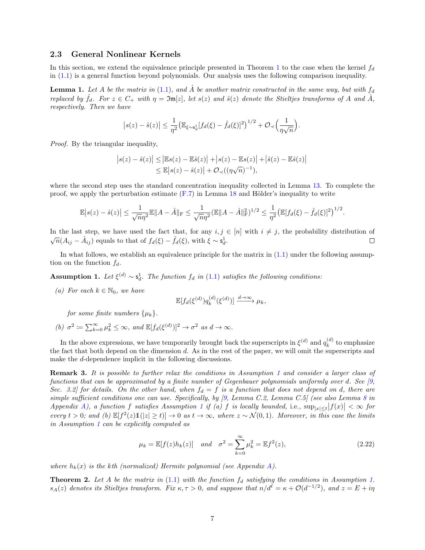#### <span id="page-6-0"></span>2.3 General Nonlinear Kernels

In this section, we extend the equivalence principle presented in Theorem [1](#page-4-1) to the case when the kernel  $f_d$ in [\(1.1\)](#page-1-1) is a general function beyond polynomials. Our analysis uses the following comparison inequality.

<span id="page-6-3"></span>**Lemma 1.** Let A be the matrix in [\(1.1\)](#page-1-1), and  $\hat{A}$  be another matrix constructed in the same way, but with  $f_d$ replaced by  $\hat{f}_d$ . For  $z \in C_+$  with  $\eta = \mathfrak{Im}[z]$ , let  $s(z)$  and  $\hat{s}(z)$  denote the Stieltjes transforms of A and  $\hat{A}$ , respectively. Then we have

$$
\big|s(z)-\hat s(z)\big|\le \frac{1}{\eta^2}\big(\mathbb{E}_{\xi\sim \mathsf{s}_d^1}[f_d(\xi)-\hat f_d(\xi)]^2\big)^{1/2}+\mathcal{O}_{\prec}\Big(\frac{1}{\eta\sqrt{n}}\Big).
$$

Proof. By the triangular inequality,

$$
\begin{aligned} \left| s(z) - \hat{s}(z) \right| &\leq \left| \mathbb{E} s(z) - \mathbb{E}\hat{s}(z) \right| + \left| s(z) - \mathbb{E} s(z) \right| + \left| \hat{s}(z) - \mathbb{E}\hat{s}(z) \right| \\ &\leq \mathbb{E} \left| s(z) - \hat{s}(z) \right| + \mathcal{O}_{\prec}((\eta\sqrt{n})^{-1}), \end{aligned}
$$

where the second step uses the standard concentration inequality collected in Lemma [13.](#page-31-2) To complete the proof, we apply the perturbation estimate  $(F.7)$  in Lemma [18](#page-37-2) and Hölder's inequality to write

$$
\mathbb{E}|s(z) - \hat{s}(z)| \leq \frac{1}{\sqrt{n}\eta^2} \mathbb{E}||A - \hat{A}||_{\mathcal{F}} \leq \frac{1}{\sqrt{n}\eta^2} (\mathbb{E}||A - \hat{A}||_{\mathcal{F}}^2)^{1/2} \leq \frac{1}{\eta^2} (\mathbb{E}[f_d(\xi) - \hat{f}_d(\xi)]^2)^{1/2}.
$$

In the last step, we have used the fact that, for any  $i, j \in [n]$  with  $i \neq j$ , the probability distribution of In the last step, we have used the latt that, for any  $i, j \in \sqrt{n}(A_{ij} - \hat{A}_{ij})$  equals to that of  $f_d(\xi) - \hat{f}_d(\xi)$ , with  $\xi \sim s_d^1$ .  $\Box$ 

In what follows, we establish an equivalence principle for the matrix in  $(1.1)$  under the following assumption on the function  $f_d$ .

<span id="page-6-2"></span>**Assumption 1.** Let  $\xi^{(d)} \sim \mathsf{s}_d^1$ . The function  $f_d$  in [\(1.1\)](#page-1-1) satisfies the following conditions:

(a) For each  $k \in \mathbb{N}_0$ , we have

$$
\mathbb{E}[f_d(\xi^{(d)})q_k^{(d)}(\xi^{(d)})] \xrightarrow{d \to \infty} \mu_k,
$$

for some finite numbers  $\{\mu_k\}.$ 

(b)  $\sigma^2 := \sum_{k=0}^{\infty} \mu_k^2 \leq \infty$ , and  $\mathbb{E}[f_d(\xi^{(d)})]^2 \to \sigma^2$  as  $d \to \infty$ .

In the above expressions, we have temporarily brought back the superscripts in  $\xi^{(d)}$  and  $q_k^{(d)}$  $k^{(a)}_k$  to emphasize the fact that both depend on the dimension d. As in the rest of the paper, we will omit the superscripts and make the d-dependence implicit in the following discussions.

Remark 3. It is possible to further relax the conditions in Assumption [1](#page-6-2) and consider a larger class of functions that can be approximated by a finite number of Gegenbauer polynomials uniformly over d. See [\[9,](#page-40-0) Sec. 3.2] for details. On the other hand, when  $f_d = f$  is a function that does not depend on d, there are simple sufficient conditions one can use. Specifically, by [\[9,](#page-40-0) Lemma C.2, Lemma C.5] (see also Lemma [8](#page-21-1) in Appendix [A\)](#page-20-0), a function f satisfies Assumption [1](#page-6-2) if (a) f is locally bounded, i.e.,  $\sup_{|x| \le t} |f(x)| < \infty$  for every  $t > 0$ ; and  $(b) \mathbb{E}[f^2(z)1\mathbb{1}|z| \ge t] \to 0$  as  $t \to \infty$ , where  $z \sim \mathcal{N}(0, 1)$ . Moreover, in this case the limits in Assumption [1](#page-6-2) can be explicitly computed as

<span id="page-6-4"></span>
$$
\mu_k = \mathbb{E}[f(z)h_k(z)] \quad and \quad \sigma^2 = \sum_{k=0}^{\infty} \mu_k^2 = \mathbb{E}f^2(z), \tag{2.22}
$$

where  $h_k(x)$  is the kth (normalized) Hermite polynomial (see Appendix [A\)](#page-20-0).

<span id="page-6-1"></span>**Theorem 2.** Let A be the matrix in  $(1.1)$  with the function  $f_d$  satisfying the conditions in Assumption [1.](#page-6-2)  $s_A(z)$  denotes its Stieltjes transform. Fix  $\kappa, \tau > 0$ , and suppose that  $n/d^{\ell} = \kappa + \mathcal{O}(d^{-1/2})$ , and  $z = E + i\eta$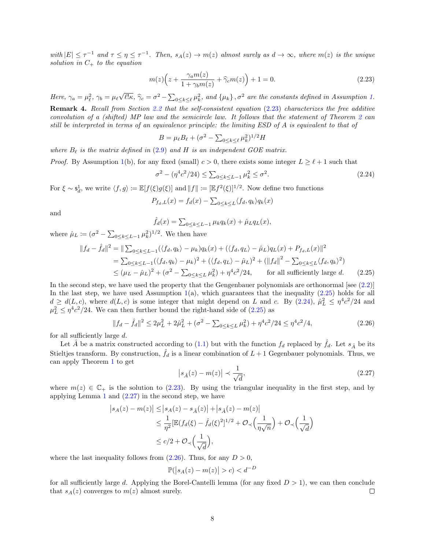with  $|E| \leq \tau^{-1}$  and  $\tau \leq \eta \leq \tau^{-1}$ . Then,  $s_A(z) \to m(z)$  almost surely as  $d \to \infty$ , where  $m(z)$  is the unique solution in  $C_+$  to the equation

$$
m(z)\left(z + \frac{\gamma_a m(z)}{1 + \gamma_b m(z)} + \widehat{\gamma}_c m(z)\right) + 1 = 0.
$$
\n(2.23)

Here,  $\gamma_a = \mu_\ell^2$ ,  $\gamma_b = \mu_\ell$ √  $\ell:\kappa$ ,  $\hat{\gamma}_c = \sigma^2 - \sum_{0 \le k \le \ell} \mu_k^2$ , and  $\{\mu_k\}, \sigma^2$  are the constants defined in Assumption [1.](#page-6-2) Remark 4. Recall from Section [2.2](#page-4-0) that the self-consistent equation [\(2.23\)](#page-7-0) characterizes the free additive convolution of a (shifted) MP law and the semicircle law. It follows that the statement of Theorem [2](#page-6-1) can

still be interpreted in terms of an equivalence principle: the limiting ESD of A is equivalent to that of

<span id="page-7-2"></span><span id="page-7-0"></span>
$$
B = \mu_{\ell} B_{\ell} + (\sigma^2 - \sum_{0 \le k \le \ell} \mu_k^2)^{1/2} H
$$

where  $B_{\ell}$  is the matrix defined in [\(2.9\)](#page-3-5) and H is an independent GOE matrix.

*Proof.* By Assumption [1\(](#page-6-2)b), for any fixed (small)  $c > 0$ , there exists some integer  $L \geq \ell + 1$  such that

$$
\sigma^2 - (\eta^4 c^2 / 24) \le \sum_{0 \le k \le L-1} \mu_k^2 \le \sigma^2. \tag{2.24}
$$

For  $\xi \sim s_d^1$ , we write  $\langle f, g \rangle := \mathbb{E}[f(\xi)g(\xi)]$  and  $||f|| := [\mathbb{E}f^2(\xi)]^{1/2}$ . Now define two functions

$$
P_{f_d,L}(x) = f_d(x) - \sum_{0 \le k \le L} \langle f_d, q_k \rangle q_k(x)
$$

and

$$
\hat{f}_d(x) = \sum_{0 \le k \le L-1} \mu_k q_k(x) + \hat{\mu}_L q_L(x),
$$

where  $\hat{\mu}_L \coloneqq (\sigma^2 - \sum_{0 \le k \le L-1} \mu_k^2)^{1/2}$ . We then have

$$
||f_d - \hat{f}_d||^2 = ||\sum_{0 \le k \le L-1} (\langle f_d, q_k \rangle - \mu_k) q_k(x) + (\langle f_d, q_L \rangle - \hat{\mu}_L) q_L(x) + P_{f_d, L}(x)||^2
$$
  
=  $\sum_{0 \le k \le L-1} (\langle f_d, q_k \rangle - \mu_k)^2 + (\langle f_d, q_L \rangle - \hat{\mu}_L)^2 + (||f_d||^2 - \sum_{0 \le k \le L} \langle f_d, q_k \rangle^2)$   
 $\le (\mu_L - \hat{\mu}_L)^2 + (\sigma^2 - \sum_{0 \le k \le L} \mu_k^2) + \eta^4 c^2 / 24$ , for all sufficiently large d. (2.25)

In the second step, we have used the property that the Gengenbauer polynomials are orthonormal [see  $(2.2)$ ] In the last step, we have used Assumption  $1(a)$  $1(a)$ , which guarantees that the inequality [\(2.25\)](#page-7-1) holds for all  $d \geq d(L, c)$ , where  $d(L, c)$  is some integer that might depend on L and c. By  $(2.24)$ ,  $\hat{\mu}_L^2 \leq \eta^4 c^2/24$  and  $\mu_L^2 \leq \eta^4 c^2 / 24$ . We can then further bound the right-hand side of [\(2.25\)](#page-7-1) as

$$
||f_d - \hat{f}_d||^2 \le 2\mu_L^2 + 2\hat{\mu}_L^2 + (\sigma^2 - \sum_{0 \le k \le L} \mu_k^2) + \eta^4 c^2 / 24 \le \eta^4 c^2 / 4,
$$
\n(2.26)

for all sufficiently large  $d$ .

Let  $\hat{A}$  be a matrix constructed according to [\(1.1\)](#page-1-1) but with the function  $f_d$  replaced by  $\hat{f}_d$ . Let  $s_{\hat{A}}$  be its Stieltjes transform. By construction,  $\hat{f}_d$  is a linear combination of  $L+1$  Gegenbauer polynomials. Thus, we can apply Theorem [1](#page-4-1) to get

<span id="page-7-4"></span><span id="page-7-3"></span><span id="page-7-1"></span>
$$
\left| s_{\hat{A}}(z) - m(z) \right| \prec \frac{1}{\sqrt{d}},\tag{2.27}
$$

where  $m(z) \in \mathbb{C}_+$  is the solution to [\(2.23\)](#page-7-0). By using the triangular inequality in the first step, and by applying Lemma [1](#page-6-3) and  $(2.27)$  in the second step, we have

$$
\begin{aligned} \left| s_A(z) - m(z) \right| &\leq \left| s_A(z) - s_{\hat{A}}(z) \right| + \left| s_{\hat{A}}(z) - m(z) \right| \\ &\leq \frac{1}{\eta^2} \left[ \mathbb{E} (f_d(\xi) - \hat{f}_d(\xi)^2)^{1/2} + \mathcal{O}_\prec \left( \frac{1}{\eta \sqrt{n}} \right) + \mathcal{O}_\prec \left( \frac{1}{\sqrt{d}} \right) \right] \\ &\leq c/2 + \mathcal{O}_\prec \left( \frac{1}{\sqrt{d}} \right), \end{aligned}
$$

where the last inequality follows from  $(2.26)$ . Thus, for any  $D > 0$ ,

$$
\mathbb{P}(|s_A(z) - m(z)| > c) < d^{-D}
$$

for all sufficiently large d. Applying the Borel-Cantelli lemma (for any fixed  $D > 1$ ), we can then conclude that  $s_A(z)$  converges to  $m(z)$  almost surely.  $\Box$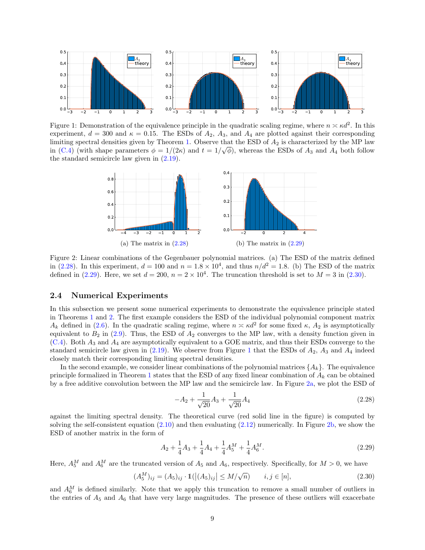<span id="page-8-4"></span>

<span id="page-8-5"></span>Figure 1: Demonstration of the equivalence principle in the quadratic scaling regime, where  $n \approx \kappa d^2$ . In this experiment,  $d = 300$  and  $\kappa = 0.15$ . The ESDs of  $A_2$ ,  $A_3$ , and  $A_4$  are plotted against their corresponding limiting spectral densities given by Theorem [1.](#page-4-1) Observe that the ESD of  $A_2$  is characterized by the MP law in [\(C.4\)](#page-26-2) (with shape parameters  $\phi = 1/(2\kappa)$  and  $t = 1/\sqrt{\phi}$ ), whereas the ESDs of  $A_3$  and  $A_4$  both follow the standard semicircle law given in [\(2.19\)](#page-5-3).



Figure 2: Linear combinations of the Gegenbauer polynomial matrices. (a) The ESD of the matrix defined in [\(2.28\)](#page-8-1). In this experiment,  $d = 100$  and  $n = 1.8 \times 10^4$ , and thus  $n/d^2 = 1.8$ . (b) The ESD of the matrix defined in [\(2.29\)](#page-8-2). Here, we set  $d = 200$ ,  $n = 2 \times 10^4$ . The truncation threshold is set to  $M = 3$  in [\(2.30\)](#page-8-3).

#### <span id="page-8-0"></span>2.4 Numerical Experiments

In this subsection we present some numerical experiments to demonstrate the equivalence principle stated in Theorems [1](#page-4-1) and [2.](#page-6-1) The first example considers the ESD of the individual polynomial component matrix  $A_k$  defined in [\(2.6\)](#page-3-4). In the quadratic scaling regime, where  $n \times \kappa d^2$  for some fixed  $\kappa$ ,  $A_2$  is asymptotically equivalent to  $B_2$  in [\(2.9\)](#page-3-5). Thus, the ESD of  $A_2$  converges to the MP law, with a density function given in  $(C.4)$ . Both  $A_3$  and  $A_4$  are asymptotically equivalent to a GOE matrix, and thus their ESDs converge to the standard semicircle law given in  $(2.19)$  $(2.19)$  $(2.19)$ . We observe from Figure 1 that the ESDs of  $A_2$ ,  $A_3$  and  $A_4$  indeed closely match their corresponding limiting spectral densities.

In the second example, we consider linear combinations of the polynomial matrices  $\{A_k\}$ . The equivalence principle formalized in Theorem [1](#page-4-1) states that the ESD of any fixed linear combination of  $A_k$  can be obtained by a free additive convolution between the MP law and the semicircle law. In Figure [2a,](#page-8-5) we plot the ESD of

<span id="page-8-3"></span><span id="page-8-2"></span><span id="page-8-1"></span>
$$
-A_2 + \frac{1}{\sqrt{20}}A_3 + \frac{1}{\sqrt{20}}A_4\tag{2.28}
$$

against the limiting spectral density. The theoretical curve (red solid line in the figure) is computed by solving the self-consistent equation  $(2.10)$  and then evaluating  $(2.12)$  numerically. In Figure [2b,](#page-8-5) we show the ESD of another matrix in the form of

$$
A_2 + \frac{1}{4}A_3 + \frac{1}{4}A_4 + \frac{1}{4}A_5^M + \frac{1}{4}A_6^M.
$$
\n(2.29)

Here,  $A_5^M$  and  $A_6^M$  are the truncated version of  $A_5$  and  $A_6$ , respectively. Specifically, for  $M > 0$ , we have

$$
(A_5^M)_{ij} = (A_5)_{ij} \cdot 1(|(A_5)_{ij}| \le M/\sqrt{n}) \qquad i, j \in [n],
$$
\n(2.30)

and  $A_6^M$  is defined similarly. Note that we apply this truncation to remove a small number of outliers in the entries of  $A_5$  and  $A_6$  that have very large magnitudes. The presence of these outliers will exacerbate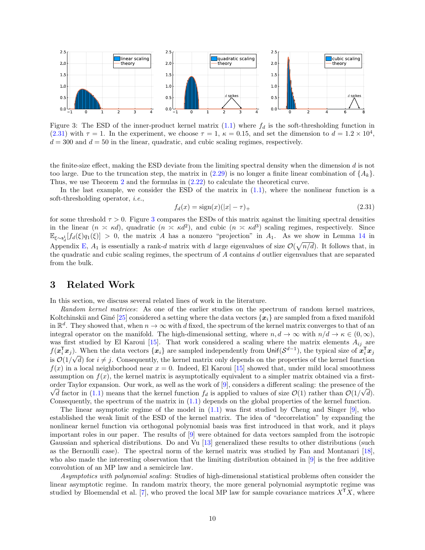<span id="page-9-2"></span>

Figure 3: The ESD of the inner-product kernel matrix  $(1.1)$  where  $f_d$  is the soft-thresholding function in  $(2.31)$  with  $\tau = 1$ . In the experiment, we choose  $\tau = 1$ ,  $\kappa = 0.15$ , and set the dimension to  $d = 1.2 \times 10^4$ ,  $d = 300$  and  $d = 50$  in the linear, quadratic, and cubic scaling regimes, respectively.

the finite-size effect, making the ESD deviate from the limiting spectral density when the dimension d is not too large. Due to the truncation step, the matrix in  $(2.29)$  is no longer a finite linear combination of  $\{A_k\}$ . Thus, we use Theorem [2](#page-6-1) and the formulas in [\(2.22\)](#page-6-4) to calculate the theoretical curve.

In the last example, we consider the ESD of the matrix in  $(1.1)$ , where the nonlinear function is a soft-thresholding operator, i.e.,

<span id="page-9-1"></span>
$$
f_d(x) = sign(x)(|x| - \tau)_+ \tag{2.31}
$$

for some threshold  $\tau > 0$ . Figure [3](#page-9-2) compares the ESDs of this matrix against the limiting spectral densities in the linear  $(n \le \kappa d)$ , quadratic  $(n \le \kappa d^2)$ , and cubic  $(n \le \kappa d^3)$  scaling regimes, respectively. Since  $\mathbb{E}_{\xi \sim s_d^1}[f_d(\xi)q_1(\xi)] > 0$ , the matrix A has a nonzero "projection" in A<sub>1</sub>. As we show in Lemma [14](#page-31-3) in Appendix [E,](#page-31-0)  $A_1$  is essentially a rank-d matrix with d large eigenvalues of size  $\mathcal{O}(\sqrt{n/d})$ . It follows that, in the quadratic and cubic scaling regimes, the spectrum of A contains d outlier eigenvalues that are separated from the bulk.

### <span id="page-9-0"></span>3 Related Work

In this section, we discuss several related lines of work in the literature.

Random kernel matrices: As one of the earlier studies on the spectrum of random kernel matrices, Koltchinskii and Giné [\[25\]](#page-41-12) considered a setting where the data vectors  ${x_i}$  are sampled from a fixed manifold in  $\mathbb{R}^d$ . They showed that, when  $n \to \infty$  with d fixed, the spectrum of the kernel matrix converges to that of an integral operator on the manifold. The high-dimensional setting, where  $n, d \to \infty$  with  $n/d \to \kappa \in (0, \infty)$ , was first studied by El Karoui [\[15\]](#page-41-13). That work considered a scaling where the matrix elements  $A_{ij}$  are  $f(\mathbf{x}_i^T \mathbf{x}_j)$ . When the data vectors  $\{\mathbf{x}_i\}$  are sampled independently from Unif $(\mathcal{S}^{d-1})$ , the typical size of  $\mathbf{x}_i^T \mathbf{x}_j$ is  $\mathcal{O}(1/\sqrt{d})$  for  $i \neq j$ . Consequently, the kernel matrix only depends on the properties of the kernel function  $f(x)$  in a local neighborhood near  $x = 0$ . Indeed, El Karoui [\[15\]](#page-41-13) showed that, under mild local smoothness assumption on  $f(x)$ , the kernel matrix is asymptotically equivalent to a simpler matrix obtained via a firstorder Taylor expansion. Our work, as well as the work of  $[9]$  $[9]$ , considers a different scaling: the presence of the d factor in [\(1.1\)](#page-1-1) means that the kernel function  $f_d$  is applied to values of size  $\mathcal{O}(1)$  rather than  $\mathcal{O}(1/\sqrt{d})$ . Consequently, the spectrum of the matrix in [\(1.1\)](#page-1-1) depends on the global properties of the kernel function.

The linear asymptotic regime of the model in  $(1.1)$  was first studied by Cheng and Singer [\[9\]](#page-40-0), who established the weak limit of the ESD of the kernel matrix. The idea of "decorrelation" by expanding the nonlinear kernel function via orthogonal polynomial basis was first introduced in that work, and it plays important roles in our paper. The results of [\[9\]](#page-40-0) were obtained for data vectors sampled from the isotropic Gaussian and spherical distributions. Do and Vu [\[13\]](#page-41-14) generalized these results to other distributions (such as the Bernoulli case). The spectral norm of the kernel matrix was studied by Fan and Montanari [\[18\]](#page-41-7), who also made the interesting observation that the limiting distribution obtained in [\[9\]](#page-40-0) is the free additive convolution of an MP law and a semicircle law.

Asymptotics with polynomial scaling: Studies of high-dimensional statistical problems often consider the linear asymptotic regime. In random matrix theory, the more general polynomial asymptotic regime was studied by Bloemendal et al. [\[7\]](#page-40-4), who proved the local MP law for sample covariance matrices  $X^{\mathsf{T}}X$ , where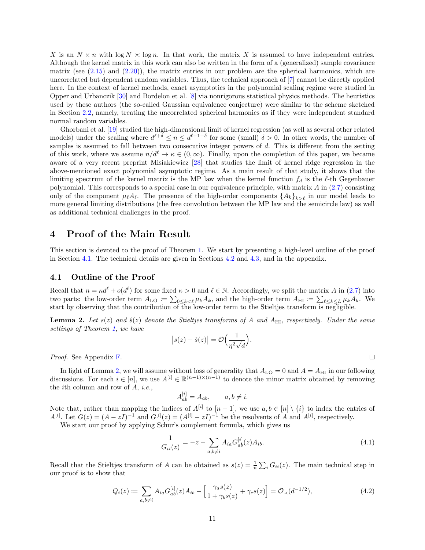X is an  $N \times n$  with  $\log N \approx \log n$ . In that work, the matrix X is assumed to have independent entries. Although the kernel matrix in this work can also be written in the form of a (generalized) sample covariance matrix (see  $(2.15)$ ) and  $(2.20)$ ), the matrix entries in our problem are the spherical harmonics, which are uncorrelated but dependent random variables. Thus, the technical approach of [\[7\]](#page-40-4) cannot be directly applied here. In the context of kernel methods, exact asymptotics in the polynomial scaling regime were studied in Opper and Urbanczik [\[30\]](#page-41-15) and Bordelon et al. [\[8\]](#page-40-5) via nonrigorous statistical physics methods. The heuristics used by these authors (the so-called Gaussian equivalence conjecture) were similar to the scheme sketched in Section [2.2,](#page-4-0) namely, treating the uncorrelated spherical harmonics as if they were independent standard normal random variables.

Ghorbani et al. [\[19\]](#page-41-16) studied the high-dimensional limit of kernel regression (as well as several other related models) under the scaling where  $d^{\ell+\delta} \leq n \leq d^{\ell+1-\delta}$  for some (small)  $\delta > 0$ . In other words, the number of samples is assumed to fall between two consecutive integer powers of d. This is different from the setting of this work, where we assume  $n/d^{\ell} \to \kappa \in (0,\infty)$ . Finally, upon the completion of this paper, we became aware of a very recent preprint Misiakiewicz [\[28\]](#page-41-17) that studies the limit of kernel ridge regression in the above-mentioned exact polynomial asymptotic regime. As a main result of that study, it shows that the limiting spectrum of the kernel matrix is the MP law when the kernel function  $f_d$  is the  $\ell$ -th Gegenbauer polynomial. This corresponds to a special case in our equivalence principle, with matrix A in [\(2.7\)](#page-3-7) consisting only of the component  $\mu_{\ell}A_{\ell}$ . The presence of the high-order components  ${A_k}_{k>\ell}$  in our model leads to more general limiting distributions (the free convolution between the MP law and the semicircle law) as well as additional technical challenges in the proof.

### <span id="page-10-0"></span>4 Proof of the Main Result

This section is devoted to the proof of Theorem [1.](#page-4-1) We start by presenting a high-level outline of the proof in Section [4.1.](#page-10-1) The technical details are given in Sections [4.2](#page-11-0) and [4.3,](#page-14-0) and in the appendix.

#### <span id="page-10-1"></span>4.1 Outline of the Proof

Recall that  $n = \kappa d^{\ell} + o(d^{\ell})$  for some fixed  $\kappa > 0$  and  $\ell \in \mathbb{N}$ . Accordingly, we split the matrix A in [\(2.7\)](#page-3-7) into two parts: the low-order term  $A_{\text{LO}} \coloneqq \sum_{0 \leq k < \ell} \mu_k A_k$ , and the high-order term  $A_{\text{HI}} \coloneqq \sum_{\ell \leq k \leq L} \mu_k A_k$ . We start by observing that the contribution of the low-order term to the Stieltjes transform is negligible.

<span id="page-10-2"></span>**Lemma 2.** Let  $s(z)$  and  $\hat{s}(z)$  denote the Stieltjes transforms of A and  $A_{\rm HI}$ , respectively. Under the same settings of Theorem [1,](#page-4-1) we have

$$
|s(z) - \hat{s}(z)| = \mathcal{O}\Big(\frac{1}{\eta^2 \sqrt{d}}\Big).
$$

Proof. See Appendix [F.](#page-37-0)

In light of Lemma [2,](#page-10-2) we will assume without loss of generality that  $A_{\text{LO}} = 0$  and  $A = A_{\text{HI}}$  in our following discussions. For each  $i \in [n]$ , we use  $A^{[i]} \in \mathbb{R}^{(n-1)\times (n-1)}$  to denote the minor matrix obtained by removing the ith column and row of A, i.e.,

$$
A_{ab}^{[i]} = A_{ab}, \qquad a, b \neq i.
$$

Note that, rather than mapping the indices of  $A^{[i]}$  to  $[n-1]$ , we use  $a, b \in [n] \setminus \{i\}$  to index the entries of  $A^{[i]}$ . Let  $G(z) = (A - zI)^{-1}$  and  $G^{[i]}(z) = (A^{[i]} - zI)^{-1}$  be the resolvents of A and  $A^{[i]}$ , respectively.

We start our proof by applying Schur's complement formula, which gives us

$$
\frac{1}{G_{ii}(z)} = -z - \sum_{a,b \neq i} A_{ia} G_{ab}^{[i]}(z) A_{ib}.
$$
\n(4.1)

Recall that the Stieltjes transform of A can be obtained as  $s(z) = \frac{1}{n} \sum_i G_{ii}(z)$ . The main technical step in our proof is to show that

$$
Q_i(z) := \sum_{a,b \neq i} A_{ia} G_{ab}^{[i]}(z) A_{ib} - \left[ \frac{\gamma_a s(z)}{1 + \gamma_b s(z)} + \gamma_c s(z) \right] = \mathcal{O}_{\prec}(d^{-1/2}),\tag{4.2}
$$

<span id="page-10-4"></span><span id="page-10-3"></span>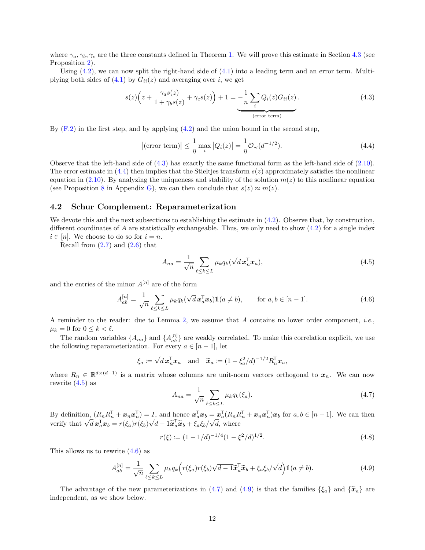where  $\gamma_a, \gamma_b, \gamma_c$  are the three constants defined in Theorem [1.](#page-4-1) We will prove this estimate in Section [4.3](#page-14-0) (see Proposition [2\)](#page-14-1).

Using  $(4.2)$ , we can now split the right-hand side of  $(4.1)$  into a leading term and an error term. Multiplying both sides of  $(4.1)$  by  $G_{ii}(z)$  and averaging over i, we get

$$
s(z)\left(z+\frac{\gamma_a s(z)}{1+\gamma_b s(z)}+\gamma_c s(z)\right)+1=\underbrace{-\frac{1}{n}\sum_i Q_i(z)G_{ii}(z)}_{\text{(error term)}}.\tag{4.3}
$$

By  $(F.2)$  in the first step, and by applying  $(4.2)$  and the union bound in the second step,

<span id="page-11-2"></span><span id="page-11-1"></span>
$$
\left|\left(\text{error term}\right)\right| \leq \frac{1}{\eta} \max_{i} \left|Q_i(z)\right| = \frac{1}{\eta} \mathcal{O}_{\prec}(d^{-1/2}).\tag{4.4}
$$

Observe that the left-hand side of [\(4.3\)](#page-11-1) has exactly the same functional form as the left-hand side of [\(2.10\)](#page-4-4). The error estimate in  $(4.4)$  then implies that the Stieltjes transform  $s(z)$  approximately satisfies the nonlinear equation in [\(2.10\)](#page-4-4). By analyzing the uniqueness and stability of the solution  $m(z)$  to this nonlinear equation (see Proposition [8](#page-39-1) in Appendix [G\)](#page-39-0), we can then conclude that  $s(z) \approx m(z)$ .

#### <span id="page-11-0"></span>4.2 Schur Complement: Reparameterization

We devote this and the next subsections to establishing the estimate in  $(4.2)$ . Observe that, by construction, different coordinates of A are statistically exchangeable. Thus, we only need to show  $(4.2)$  for a single index  $i \in [n]$ . We choose to do so for  $i = n$ .

Recall from  $(2.7)$  and  $(2.6)$  that

<span id="page-11-4"></span><span id="page-11-3"></span>
$$
A_{na} = \frac{1}{\sqrt{n}} \sum_{\ell \le k \le L} \mu_k q_k (\sqrt{d} \mathbf{x}_n^{\mathsf{T}} \mathbf{x}_a), \tag{4.5}
$$

and the entries of the minor  $A^{[n]}$  are of the form

$$
A_{ab}^{[n]} = \frac{1}{\sqrt{n}} \sum_{\ell \le k \le L} \mu_k q_k (\sqrt{d} \mathbf{x}_a^{\mathsf{T}} \mathbf{x}_b) \mathbb{1}(a \ne b), \qquad \text{for } a, b \in [n-1]. \tag{4.6}
$$

A reminder to the reader: due to Lemma [2,](#page-10-2) we assume that A contains no lower order component, i.e.,  $\mu_k = 0$  for  $0 \leq k < \ell$ .

The random variables  $\{A_{na}\}$  and  $\{A_{ab}^{[n]}\}$  are weakly correlated. To make this correlation explicit, we use the following reparameterization. For every  $a \in [n-1]$ , let

$$
\xi_a := \sqrt{d} \mathbf{x}_n^{\mathsf{T}} \mathbf{x}_a
$$
 and  $\widetilde{\mathbf{x}}_a := (1 - \xi_a^2/d)^{-1/2} R_n^{\mathsf{T}} \mathbf{x}_a$ ,

where  $R_n \in \mathbb{R}^{d \times (d-1)}$  is a matrix whose columns are unit-norm vectors orthogonal to  $x_n$ . We can now rewrite  $(4.5)$  as

<span id="page-11-7"></span><span id="page-11-6"></span><span id="page-11-5"></span>
$$
A_{na} = \frac{1}{\sqrt{n}} \sum_{\ell \le k \le L} \mu_k q_k(\xi_a). \tag{4.7}
$$

By definition,  $(R_n R_n^{\mathsf{T}} + \mathbf{x}_n \mathbf{x}_n^{\mathsf{T}}) = I$ , and hence  $\mathbf{x}_a^{\mathsf{T}} \mathbf{x}_b = \mathbf{x}_a^{\mathsf{T}} (R_n R_n^{\mathsf{T}} + \mathbf{x}_n \mathbf{x}_n^{\mathsf{T}}) \mathbf{x}_b$  for  $a, b \in [n-1]$ . We can then verify that  $\sqrt{d} \mathbf{x}_a^{\mathsf{T}} \mathbf{x}_b = r(\xi_a) r(\xi_b) \sqrt{d-1} \tilde{\math$ √  $\overline{d-1}\widetilde{\boldsymbol{x}}_a^{\mathsf{T}}\widetilde{\boldsymbol{x}}_b + \xi_a \xi_b/$ √  $d$ , where

$$
r(\xi) := (1 - 1/d)^{-1/4} (1 - \xi^2/d)^{1/2}.
$$
\n(4.8)

This allows us to rewrite [\(4.6\)](#page-11-4) as

$$
A_{ab}^{[n]} = \frac{1}{\sqrt{n}} \sum_{\ell \le k \le L} \mu_k q_k \Big( r(\xi_a) r(\xi_b) \sqrt{d-1} \tilde{\boldsymbol{x}}_a^{\mathsf{T}} \tilde{\boldsymbol{x}}_b + \xi_a \xi_b / \sqrt{d} \Big) \mathbb{1}(a \ne b). \tag{4.9}
$$

The advantage of the new parameterizations in [\(4.7\)](#page-11-5) and [\(4.9\)](#page-11-6) is that the families  $\{\xi_a\}$  and  $\{\tilde{x}_a\}$  are independent, as we show below.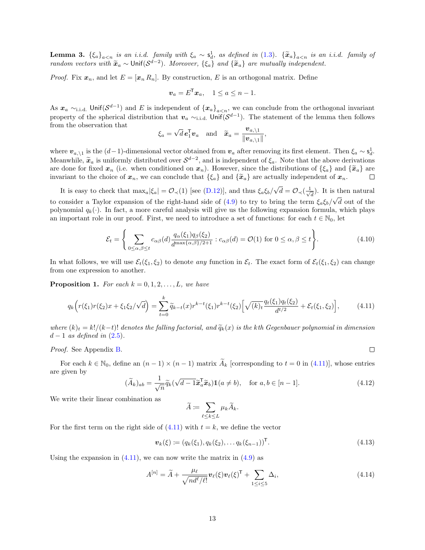<span id="page-12-3"></span>**Lemma 3.**  ${\xi_a}_{a \le n}$  is an i.i.d. family with  ${\xi_a} \sim s_d^1$ , as defined in [\(1.3\)](#page-2-1).  ${\{\tilde{x}_a\}}_{a \le n}$  is an i.i.d. family of random vectors with  $\tilde{\mathbf{x}}_a \sim \text{Unif}(\mathcal{S}^{d-2})$ . Moreover,  $\{\xi_a\}$  and  $\{\tilde{\mathbf{x}}_a\}$  are mutually independent.

*Proof.* Fix  $x_n$ , and let  $E = [x_n R_n]$ . By construction, E is an orthogonal matrix. Define

$$
\boldsymbol{v}_a = \boldsymbol{E}^{\mathsf{T}} \boldsymbol{x}_a, \quad 1 \le a \le n-1.
$$

As  $x_a \sim$ <sub>i.i.d.</sub> Unif( $S^{d-1}$ ) and E is independent of  ${x_a}_{a\lt n}$ , we can conclude from the orthogonal invariant property of the spherical distribution that  $v_a \sim_{i.i.d.}$  Unif $(\mathcal{S}^{d-1})$ . The statement of the lemma then follows from the observation that √

$$
\xi_a = \sqrt{d} \mathbf{e}_1^{\mathsf{T}} \mathbf{v}_a
$$
 and  $\widetilde{\mathbf{x}}_a = \frac{\mathbf{v}_{a,\backslash 1}}{\|\mathbf{v}_{a,\backslash 1}\|}$ ,

where  $v_{a,\n\lambda 1}$  is the  $(d-1)$ -dimensional vector obtained from  $v_a$  after removing its first element. Then  $\xi_a \sim \xi_d^1$ . Meanwhile,  $\tilde{x}_a$  is uniformly distributed over  $S^{d-2}$ , and is independent of  $\xi_a$ . Note that the above derivations<br>are done for fixed  $x_a$  (i.e., when conditioned on  $x_a$ ). However, since the distributions of  $\xi_a$ ) are done for fixed  $x_n$  (i.e. when conditioned on  $x_n$ ). However, since the distributions of  $\{\xi_a\}$  and  $\{\tilde{x}_a\}$  are invariant to the choice of  $x_n$ , we can conclude that  $\{\xi_a\}$  and  $\{\tilde{x}_a\}$  are actually indepen invariant to the choice of  $x_n$ , we can conclude that  $\{\xi_a\}$  and  $\{\tilde{x}_a\}$  are actually independent of  $x_n$ .

It is easy to check that  $\max_{a} |\xi_a| = \mathcal{O}_{\prec}(1)$  [see [\(D.12\)](#page-28-0)], and thus  $\xi_a \xi_b$ / √  $\overline{d} = \mathcal{O}_{\prec}(\frac{1}{\sqrt{2}})$  $\frac{1}{d}$ ). It is then natural to consider a Taylor expansion of the right-hand side of [\(4.9\)](#page-11-6) to try to bring the term  $\xi_a \xi_b / \sqrt{d}$  out of the polynomial  $q_k(\cdot)$ . In fact, a more careful analysis will give us the following expansion formula, which plays an important role in our proof. First, we need to introduce a set of functions: for each  $t \in \mathbb{N}_0$ , let

$$
\mathcal{E}_t = \left\{ \sum_{0 \le \alpha, \beta \le t} c_{\alpha\beta}(d) \frac{q_{\alpha}(\xi_1) q_{\beta}(\xi_2)}{d^{\max\{\alpha, \beta\}/2 + 1}} : c_{\alpha\beta}(d) = \mathcal{O}(1) \text{ for } 0 \le \alpha, \beta \le t \right\}.
$$
 (4.10)

In what follows, we will use  $\mathcal{E}_t(\xi_1, \xi_2)$  to denote any function in  $\mathcal{E}_t$ . The exact form of  $\mathcal{E}_t(\xi_1, \xi_2)$  can change from one expression to another.

<span id="page-12-0"></span>**Proposition 1.** For each  $k = 0, 1, 2, \ldots, L$ , we have

$$
q_k\left(r(\xi_1)r(\xi_2)x+\xi_1\xi_2/\sqrt{d}\right)=\sum_{t=0}^k\widetilde{q}_{k-t}(x)r^{k-t}(\xi_1)r^{k-t}(\xi_2)\Big[\sqrt{(k)_t}\frac{q_t(\xi_1)q_t(\xi_2)}{d^{t/2}}+\mathcal{E}_t(\xi_1,\xi_2)\Big],\tag{4.11}
$$

where  $(k)_t = k!/(k-t)!$  denotes the falling factorial, and  $\tilde{q}_k(x)$  is the kth Gegenbauer polynomial in dimension  $d-1$  as defined in  $(2.5)$ .

Proof. See Appendix [B.](#page-21-0)

For each  $k \in \mathbb{N}_0$ , define an  $(n-1) \times (n-1)$  matrix  $\tilde{A}_k$  [corresponding to  $t = 0$  in [\(4.11\)](#page-12-1)], whose entries are given by

$$
(\widetilde{A}_k)_{ab} = \frac{1}{\sqrt{n}} \widetilde{q}_k (\sqrt{d-1} \widetilde{\boldsymbol{x}}_a^{\mathsf{T}} \widetilde{\boldsymbol{x}}_b) \mathbb{1}(a \neq b), \quad \text{for } a, b \in [n-1]. \tag{4.12}
$$

We write their linear combination as

$$
\widetilde{A}:=\sum_{\ell\leq k\leq L}\mu_k\widetilde{A}_k.
$$

For the first term on the right side of  $(4.11)$  with  $t = k$ , we define the vector

$$
\boldsymbol{v}_k(\xi) := (q_k(\xi_1), q_k(\xi_2), \dots q_k(\xi_{n-1}))^{\mathsf{T}}.
$$
\n(4.13)

<span id="page-12-6"></span><span id="page-12-5"></span><span id="page-12-4"></span><span id="page-12-2"></span><span id="page-12-1"></span> $\Box$ 

Using the expansion in  $(4.11)$ , we can now write the matrix in  $(4.9)$  as

$$
A^{[n]} = \widetilde{A} + \frac{\mu_{\ell}}{\sqrt{nd^{\ell}/\ell!}} \mathbf{v}_{\ell}(\xi) \mathbf{v}_{\ell}(\xi)^{\mathsf{T}} + \sum_{1 \leq i \leq 5} \Delta_i,
$$
\n(4.14)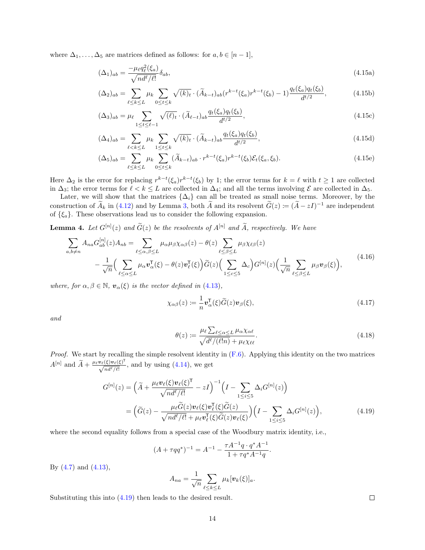where  $\Delta_1, \ldots, \Delta_5$  are matrices defined as follows: for  $a, b \in [n-1]$ ,

<span id="page-13-3"></span>
$$
(\Delta_1)_{ab} = \frac{-\mu_{\ell}q_{\ell}^2(\xi_a)}{\sqrt{nd^{\ell}/\ell!}}\delta_{ab},\tag{4.15a}
$$

<span id="page-13-5"></span>
$$
(\Delta_2)_{ab} = \sum_{\ell \le k \le L} \mu_k \sum_{0 \le t \le k} \sqrt{(k)_t} \cdot (\widetilde{A}_{k-t})_{ab} (r^{k-t}(\xi_a) r^{k-t}(\xi_b) - 1) \frac{q_t(\xi_a) q_t(\xi_b)}{d^{t/2}}, \tag{4.15b}
$$

<span id="page-13-7"></span>
$$
(\Delta_3)_{ab} = \mu_\ell \sum_{1 \le t \le \ell - 1} \sqrt{(\ell)_t} \cdot (\widetilde{A}_{\ell - t})_{ab} \frac{q_t(\xi_a) q_t(\xi_b)}{d^{t/2}},
$$
\n(4.15c)

$$
(\Delta_4)_{ab} = \sum_{\ell < k \le L} \mu_k \sum_{1 \le t \le k} \sqrt{(k)_t} \cdot (\widetilde{A}_{k-t})_{ab} \frac{q_t(\xi_a) q_t(\xi_b)}{d^{t/2}},\tag{4.15d}
$$

$$
(\Delta_5)_{ab} = \sum_{\ell \le k \le L} \mu_k \sum_{0 \le t \le k} (\widetilde{A}_{k-t})_{ab} \cdot r^{k-t}(\xi_a) r^{k-t}(\xi_b) \mathcal{E}_t(\xi_a, \xi_b). \tag{4.15e}
$$

Here  $\Delta_2$  is the error for replacing  $r^{k-t}(\xi_a)r^{k-t}(\xi_b)$  by 1; the error terms for  $k = \ell$  with  $t \ge 1$  are collected in  $\Delta_3$ ; the error terms for  $\ell < k \leq L$  are collected in  $\Delta_4$ ; and all the terms involving  $\mathcal E$  are collected in  $\Delta_5$ .

Later, we will show that the matrices  $\{\Delta_i\}$  can all be treated as small noise terms. Moreover, by the construction of  $\widetilde{A}_k$  in [\(4.12\)](#page-12-2) and by Lemma [3,](#page-12-3) both  $\widetilde{A}$  and its resolvent  $\widetilde{G}(z) := (\widetilde{A} - zI)^{-1}$  are independent of  $\{\xi_a\}$ . These observations lead us to consider the following expansion.

**Lemma 4.** Let  $G^{[n]}(z)$  and  $\tilde{G}(z)$  be the resolvents of  $A^{[n]}$  and  $\tilde{A}$ , respectively. We have

$$
\sum_{a,b\neq n} A_{na} G_{ab}^{[n]}(z) A_{nb} = \sum_{\ell \leq \alpha, \beta \leq L} \mu_{\alpha} \mu_{\beta} \chi_{\alpha\beta}(z) - \theta(z) \sum_{\ell \leq \beta \leq L} \mu_{\beta} \chi_{\ell\beta}(z) \n- \frac{1}{\sqrt{n}} \Big( \sum_{\ell \leq \alpha \leq L} \mu_{\alpha} \mathbf{v}_{\alpha}^{\mathsf{T}}(\xi) - \theta(z) \mathbf{v}_{\ell}^{\mathsf{T}}(\xi) \Big) \widetilde{G}(z) \Big( \sum_{1 \leq c \leq 5} \Delta_c \Big) G^{[n]}(z) \Big( \frac{1}{\sqrt{n}} \sum_{\ell \leq \beta \leq L} \mu_{\beta} \mathbf{v}_{\beta}(\xi) \Big),
$$
\n(4.16)

where, for  $\alpha, \beta \in \mathbb{N}$ ,  $v_{\alpha}(\xi)$  is the vector defined in [\(4.13\)](#page-12-4),

<span id="page-13-6"></span><span id="page-13-4"></span><span id="page-13-1"></span>
$$
\chi_{\alpha\beta}(z) := -\frac{1}{n} \mathbf{v}_{\alpha}^{\mathsf{T}}(\xi) \widetilde{G}(z) \mathbf{v}_{\beta}(\xi), \tag{4.17}
$$

and

<span id="page-13-2"></span>
$$
\theta(z) := \frac{\mu_{\ell} \sum_{\ell \le \alpha \le L} \mu_{\alpha} \chi_{\alpha \ell}}{\sqrt{d^{\ell}/(\ell!n)} + \mu_{\ell} \chi_{\ell \ell}}.
$$
\n(4.18)

*Proof.* We start by recalling the simple resolvent identity in  $(F.6)$ . Applying this identity on the two matrices  $A^{[n]}$  and  $\widetilde{A} + \frac{\mu_{\ell} \mathbf{v}_{\ell}(\xi) \mathbf{v}_{\ell}(\xi)^{\mathsf{T}}}{\sqrt{n d^{\ell}/\ell!}},$  and by using [\(4.14\)](#page-12-5), we get

$$
G^{[n]}(z) = \left(\widetilde{A} + \frac{\mu_{\ell}v_{\ell}(\xi)v_{\ell}(\xi)^{\mathsf{T}}}{\sqrt{nd^{\ell}/\ell!}} - zI\right)^{-1}\left(I - \sum_{1 \leq i \leq 5} \Delta_i G^{[n]}(z)\right)
$$

$$
= \left(\widetilde{G}(z) - \frac{\mu_{\ell}\widetilde{G}(z)v_{\ell}(\xi)v_{\ell}^{\mathsf{T}}(\xi)\widetilde{G}(z)}{\sqrt{nd^{\ell}/\ell!} + \mu_{\ell}v_{\ell}^{\mathsf{T}}(\xi)\widetilde{G}(z)v_{\ell}(\xi)}\right)\left(I - \sum_{1 \leq i \leq 5} \Delta_i G^{[n]}(z)\right),\tag{4.19}
$$

where the second equality follows from a special case of the Woodbury matrix identity, i.e.,

$$
(A + \tau qq^*)^{-1} = A^{-1} - \frac{\tau A^{-1}q \cdot q^* A^{-1}}{1 + \tau q^* A^{-1}q}.
$$

By [\(4.7\)](#page-11-5) and [\(4.13\)](#page-12-4),

$$
A_{na} = \frac{1}{\sqrt{n}} \sum_{\ell \leq k \leq L} \mu_k[\mathbf{v}_k(\xi)]_a.
$$

Substituting this into [\(4.19\)](#page-13-0) then leads to the desired result.

<span id="page-13-8"></span><span id="page-13-0"></span> $\Box$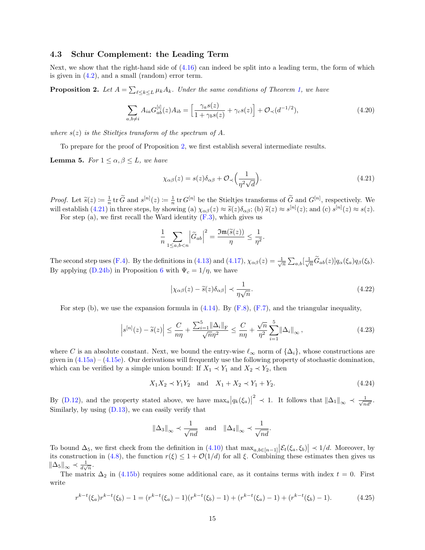#### <span id="page-14-0"></span>4.3 Schur Complement: the Leading Term

Next, we show that the right-hand side of  $(4.16)$  can indeed be split into a leading term, the form of which is given in  $(4.2)$ , and a small (random) error term.

<span id="page-14-1"></span>**Proposition 2.** Let  $A = \sum_{\ell \leq k \leq L} \mu_k A_k$ . Under the same conditions of Theorem [1,](#page-4-1) we have

$$
\sum_{a,b \neq i} A_{ia} G_{ab}^{[i]}(z) A_{ib} = \left[ \frac{\gamma_a s(z)}{1 + \gamma_b s(z)} + \gamma_c s(z) \right] + \mathcal{O}_{\prec}(d^{-1/2}),\tag{4.20}
$$

where  $s(z)$  is the Stieltjes transform of the spectrum of A.

To prepare for the proof of Proposition [2,](#page-14-1) we first establish several intermediate results.

<span id="page-14-8"></span>**Lemma 5.** For  $1 \leq \alpha, \beta \leq L$ , we have

<span id="page-14-7"></span><span id="page-14-2"></span>
$$
\chi_{\alpha\beta}(z) = s(z)\delta_{\alpha\beta} + \mathcal{O}_{\prec}\left(\frac{1}{\eta^2\sqrt{d}}\right). \tag{4.21}
$$

*Proof.* Let  $\tilde{s}(z) := \frac{1}{n}$  tr  $\tilde{G}$  and  $s^{[n]}(z) := \frac{1}{n}$  tr  $G^{[n]}$  be the Stieltjes transforms of  $\tilde{G}$  and  $G^{[n]}$ , respectively. We will establish [\(4.21\)](#page-14-2) in three steps, by showing (a)  $\chi_{\alpha\beta}(z) \approx \tilde{s}(z)\delta_{\alpha\beta}$ ; (b)  $\tilde{s}(z) \approx s^{[n]}(z)$ ; and (c)  $s^{[n]}(z) \approx s(z)$ .<br>For stop (a), we first rocall the Ward identity (F.3), which gives us

For step (a), we first recall the Ward identity  $(F.3)$ , which gives us

$$
\frac{1}{n}\sum_{1\leq a,b
$$

The second step uses [\(F.4\)](#page-37-6). By the definitions in [\(4.13\)](#page-12-4) and [\(4.17\)](#page-13-2),  $\chi_{\alpha\beta}(z) = \frac{1}{\sqrt{n}} \sum_{a,b} \left[\frac{1}{\sqrt{n}} \widetilde{G}_{ab}(z)\right] q_{\alpha}(\xi_a) q_{\beta}(\xi_b)$ . By applying [\(D.24b\)](#page-30-0) in Proposition [6](#page-30-1) with  $\Psi_c = 1/\eta$ , we have

<span id="page-14-5"></span><span id="page-14-4"></span>
$$
\left|\chi_{\alpha\beta}(z) - \tilde{s}(z)\delta_{\alpha\beta}\right| \prec \frac{1}{\eta\sqrt{n}}.\tag{4.22}
$$

For step (b), we use the expansion formula in  $(4.14)$ . By  $(F.8)$ ,  $(F.7)$ , and the triangular inequality,

$$
\left|s^{[n]}(z) - \widetilde{s}(z)\right| \leq \frac{C}{n\eta} + \frac{\sum_{i=1}^{5} \|\Delta_i\|_{\mathrm{F}}}{\sqrt{n}\eta^2} \leq \frac{C}{n\eta} + \frac{\sqrt{n}}{\eta^2} \sum_{i=1}^{5} \|\Delta_i\|_{\infty},\tag{4.23}
$$

where C is an absolute constant. Next, we bound the entry-wise  $\ell_{\infty}$  norm of  $\{\Delta_i\}$ , whose constructions are given in  $(4.15a) - (4.15e)$  $(4.15a) - (4.15e)$ . Our derivations will frequently use the following property of stochastic domination, which can be verified by a simple union bound: If  $X_1 \prec Y_1$  and  $X_2 \prec Y_2$ , then

<span id="page-14-3"></span>
$$
X_1 X_2 \prec Y_1 Y_2 \quad \text{and} \quad X_1 + X_2 \prec Y_1 + Y_2. \tag{4.24}
$$

By [\(D.12\)](#page-28-0), and the property stated above, we have  $\max_{a}|q_{k}(\xi_{a})|$ <sup>2</sup>  $\prec$  1. It follows that  $\|\Delta_1\|_{\infty} \prec \frac{1}{\sqrt{n}}$  $\frac{1}{nd^{\ell}}.$ Similarly, by using  $(D.13)$ , we can easily verify that

<span id="page-14-6"></span>
$$
\|\Delta_3\|_{\infty} \prec \frac{1}{\sqrt{nd}}
$$
 and  $\|\Delta_4\|_{\infty} \prec \frac{1}{\sqrt{nd}}$ .

To bound  $\Delta_5$ , we first check from the definition in [\(4.10\)](#page-12-6) that  $\max_{a,b\in[n-1]} \left|\mathcal{E}_t(\xi_a,\xi_b)\right| \prec 1/d$ . Moreover, by its construction in [\(4.8\)](#page-11-7), the function  $r(\xi) \leq 1 + \mathcal{O}(1/d)$  for all  $\xi$ . Combining these estimates then gives us  $\|\Delta_5\|_{\infty} \prec \frac{1}{d\sqrt{n}}.$ 

The matrix  $\Delta_2$  in [\(4.15b\)](#page-13-5) requires some additional care, as it contains terms with index  $t = 0$ . First write

$$
r^{k-t}(\xi_a)r^{k-t}(\xi_b) - 1 = (r^{k-t}(\xi_a) - 1)(r^{k-t}(\xi_b) - 1) + (r^{k-t}(\xi_a) - 1) + (r^{k-t}(\xi_b) - 1). \tag{4.25}
$$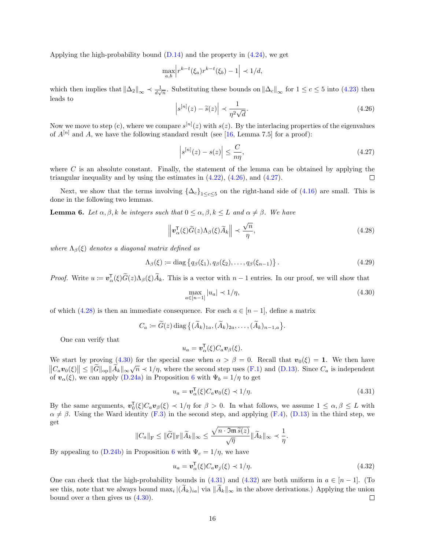Applying the high-probability bound  $(D.14)$  and the property in  $(4.24)$ , we get

$$
\max_{a,b} \left| r^{k-t}(\xi_a) r^{k-t}(\xi_b) - 1 \right| \prec 1/d,
$$

which then implies that  $\|\Delta_2\|_{\infty} \prec \frac{1}{d\sqrt{n}}$ . Substituting these bounds on  $\|\Delta_c\|_{\infty}$  for  $1 \leq c \leq 5$  into [\(4.23\)](#page-14-4) then leads to

$$
\left| s^{[n]}(z) - \tilde{s}(z) \right| \prec \frac{1}{\eta^2 \sqrt{d}}.\tag{4.26}
$$

Now we move to step (c), where we compare  $s^{[n]}(z)$  with  $s(z)$ . By the interlacing properties of the eigenvalues of  $A^{[n]}$  and A, we have the following standard result (see [\[16,](#page-41-9) Lemma 7.5] for a proof):

<span id="page-15-1"></span><span id="page-15-0"></span>
$$
\left|s^{[n]}(z) - s(z)\right| \le \frac{C}{n\eta},\tag{4.27}
$$

where  $C$  is an absolute constant. Finally, the statement of the lemma can be obtained by applying the triangular inequality and by using the estimates in  $(4.22)$ ,  $(4.26)$ , and  $(4.27)$ . П

Next, we show that the terms involving  ${\{\Delta_c\}}_{1\leq c\leq 5}$  on the right-hand side of  $(4.16)$  are small. This is done in the following two lemmas.

<span id="page-15-7"></span>**Lemma 6.** Let  $\alpha, \beta, k$  be integers such that  $0 \leq \alpha, \beta, k \leq L$  and  $\alpha \neq \beta$ . We have

$$
\left\|\mathbf{v}_{\alpha}^{\mathsf{T}}(\xi)\widetilde{G}(z)\Lambda_{\beta}(\xi)\widetilde{A}_{k}\right\| \prec \frac{\sqrt{n}}{\eta},\tag{4.28}
$$

where  $\Lambda_{\beta}(\xi)$  denotes a diagonal matrix defined as

$$
\Lambda_{\beta}(\xi) := \text{diag}\left\{q_{\beta}(\xi_1), q_{\beta}(\xi_2), \dots, q_{\beta}(\xi_{n-1})\right\}.
$$
\n(4.29)

*Proof.* Write  $u := \mathbf{v}_{\alpha}^{\mathsf{T}}(\xi)\widetilde{G}(z)\Lambda_{\beta}(\xi)\widetilde{A}_k$ . This is a vector with  $n-1$  entries. In our proof, we will show that

<span id="page-15-6"></span><span id="page-15-3"></span><span id="page-15-2"></span>
$$
\max_{a \in [n-1]} |u_a| \prec 1/\eta,\tag{4.30}
$$

of which [\(4.28\)](#page-15-2) is then an immediate consequence. For each  $a \in [n-1]$ , define a matrix

 $C_a \coloneqq G(z) \operatorname{diag} \{(A_k)_{1a}, (A_k)_{2a}, \ldots, (A_k)_{n-1,a}\}.$ 

One can verify that

<span id="page-15-4"></span>
$$
u_a = \boldsymbol{v}_\alpha^{\mathsf{T}}(\xi) C_a \boldsymbol{v}_\beta(\xi).
$$

We start by proving [\(4.30\)](#page-15-3) for the special case when  $\alpha > \beta = 0$ . Recall that  $v_0(\xi) = 1$ . We then have We start by proving (4.50) for the special case when  $\alpha > \beta = 0$ . Recall that  $v_0(\zeta) = 1$ . We then have  $||C_a v_0(\zeta)|| \le ||\widetilde{G}||_{op} ||\widetilde{A}_k||_{\infty} \sqrt{n} \prec 1/\eta$ , where the second step uses [\(F.1\)](#page-37-8) and [\(D.13\)](#page-28-1). Since  $C_a$  is indep of  $\mathbf{v}_{\alpha}(\xi)$ , we can apply [\(D.24a\)](#page-30-2) in Proposition [6](#page-30-1) with  $\Psi_b = 1/\eta$  to get

$$
u_a = \mathbf{v}_\alpha^\mathsf{T}(\xi) C_a \mathbf{v}_0(\xi) \prec 1/\eta. \tag{4.31}
$$

By the same arguments,  $\mathbf{v}_0^{\mathsf{T}}(\xi)C_a\mathbf{v}_{\beta}(\xi) \prec 1/\eta$  for  $\beta > 0$ . In what follows, we assume  $1 \leq \alpha, \beta \leq L$  with  $\alpha \neq \beta$ . Using the Ward identity [\(F.3\)](#page-37-5) in the second step, and applying [\(F.4\)](#page-37-6), [\(D.13\)](#page-28-1) in the third step, we get

$$
||C_a||_{\mathrm{F}} \leq ||\widetilde{G}||_{\mathrm{F}} ||\widetilde{A}_k||_{\infty} \leq \frac{\sqrt{n \cdot \mathfrak{Im} \widetilde{s}(z)}}{\sqrt{\eta}} ||\widetilde{A}_k||_{\infty} \prec \frac{1}{\eta}.
$$

By appealing to [\(D.24b\)](#page-30-0) in Proposition [6](#page-30-1) with  $\Psi_c = 1/\eta$ , we have

<span id="page-15-5"></span>
$$
u_a = \boldsymbol{v}_\alpha^{\mathsf{T}}(\xi) C_a \boldsymbol{v}_j(\xi) \prec 1/\eta. \tag{4.32}
$$

One can check that the high-probability bounds in [\(4.31\)](#page-15-4) and [\(4.32\)](#page-15-5) are both uniform in  $a \in [n-1]$ . (To see this, note that we always bound  $\max_i |(A_k)_{ia}|$  via  $||A_k||_{\infty}$  in the above derivations.) Applying the union bound over a then gives us  $(4.30)$ .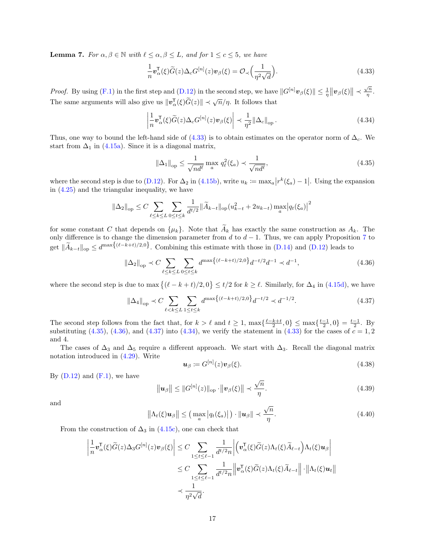**Lemma 7.** For  $\alpha, \beta \in \mathbb{N}$  with  $\ell \leq \alpha, \beta \leq L$ , and for  $1 \leq c \leq 5$ , we have

<span id="page-16-0"></span>
$$
\frac{1}{n}\mathbf{v}_{\alpha}^{\mathsf{T}}(\xi)\widetilde{G}(z)\Delta_{c}G^{[n]}(z)\mathbf{v}_{\beta}(\xi) = \mathcal{O}_{\prec}\left(\frac{1}{\eta^{2}\sqrt{d}}\right).
$$
\n(4.33)

*Proof.* By using [\(F.1\)](#page-37-8) in the first step and [\(D.12\)](#page-28-0) in the second step, we have  $||G^{[n]}v_{\beta}(\xi)|| \leq \frac{1}{\eta} ||v_{\beta}(\xi)|| \leq \frac{\sqrt{n}}{\eta}$  $\frac{\sqrt{n}}{\eta}$  . The same arguments will also give us  $\|\mathbf{v}_{\alpha}^{\mathsf{T}}(\xi)\widetilde{G}(z)\| \prec \sqrt{n}/\eta$ . It follows that

$$
\left|\frac{1}{n}\boldsymbol{v}_{\alpha}^{\mathsf{T}}(\xi)\widetilde{G}(z)\Delta_{c}G^{[n]}(z)\boldsymbol{v}_{\beta}(\xi)\right| \prec \frac{1}{\eta^{2}}\|\Delta_{c}\|_{\text{op}}.\tag{4.34}
$$

Thus, one way to bound the left-hand side of [\(4.33\)](#page-16-0) is to obtain estimates on the operator norm of  $\Delta_c$ . We start from  $\Delta_1$  in [\(4.15a\)](#page-13-3). Since it is a diagonal matrix,

<span id="page-16-4"></span><span id="page-16-1"></span>
$$
\|\Delta_1\|_{\text{op}} \le \frac{1}{\sqrt{nd^\ell}} \max_a q_\ell^2(\xi_a) \prec \frac{1}{\sqrt{nd^\ell}},\tag{4.35}
$$

where the second step is due to [\(D.12\)](#page-28-0). For  $\Delta_2$  in [\(4.15b\)](#page-13-5), write  $u_k := \max_a |r^k(\xi_a) - 1|$ . Using the expansion in [\(4.25\)](#page-14-6) and the triangular inequality, we have

$$
\|\Delta_2\|_{\text{op}} \leq C \sum_{\ell \leq k \leq L} \sum_{0 \leq t \leq k} \frac{1}{d^{t/2}} \|\widetilde{A}_{k-t}\|_{\text{op}} (u_{k-t}^2 + 2u_{k-t}) \max_a |q_t(\xi_a)|^2
$$

for some constant C that depends on  $\{\mu_k\}$ . Note that  $\widetilde{A}_k$  has exactly the same construction as  $A_k$ . The only difference is to change the dimension parameter from d to  $d-1$ . Thus, we can apply Proposition [7](#page-36-1) to get  $\|\widetilde{A}_{k-t}\|_{\text{op}} \leq d^{\max\{(\ell-k+t)/2,0\}}$ . Combining this estimate with those in [\(D.14\)](#page-28-2) and [\(D.12\)](#page-28-0) leads to

$$
\|\Delta_2\|_{\text{op}} \prec C \sum_{\ell \le k \le L} \sum_{0 \le t \le k} d^{\max\{(\ell - k + t)/2, 0\}} d^{-t/2} d^{-1} \prec d^{-1},\tag{4.36}
$$

where the second step is due to max  $\{(\ell - k + t)/2, 0\} \le t/2$  for  $k \ge \ell$ . Similarly, for  $\Delta_4$  in  $(4.15d)$ , we have

$$
\|\Delta_4\|_{\text{op}} \prec C \sum_{\ell < k \le L} \sum_{1 \le t \le k} d^{\max\{(\ell - k + t)/2, 0\}} d^{-t/2} \prec d^{-1/2}.
$$
\n
$$
(4.37)
$$

The second step follows from the fact that, for  $k > \ell$  and  $t \geq 1$ ,  $\max{\frac{\ell-k+t}{2}, 0} \leq \max{\frac{t-1}{2}, 0} = \frac{t-1}{2}$ . By substituting  $(4.35)$ ,  $(4.36)$ , and  $(4.37)$  into  $(4.34)$ , we verify the statement in  $(4.33)$  for the cases of  $c = 1, 2$ and 4.

The cases of  $\Delta_3$  and  $\Delta_5$  require a different approach. We start with  $\Delta_3$ . Recall the diagonal matrix notation introduced in [\(4.29\)](#page-15-6). Write

<span id="page-16-7"></span><span id="page-16-6"></span><span id="page-16-5"></span><span id="page-16-3"></span><span id="page-16-2"></span>
$$
\mathbf{u}_{\beta} \coloneqq G^{[n]}(z)\mathbf{v}_{\beta}(\xi). \tag{4.38}
$$

By  $(D.12)$  and  $(F.1)$ , we have

$$
\|\mathbf{u}_{\beta}\| \leq \|G^{[n]}(z)\|_{\text{op}} \cdot \|\mathbf{v}_{\beta}(\xi)\| \prec \frac{\sqrt{n}}{\eta}.
$$
\n(4.39)

and

$$
\left\|\Lambda_t(\xi)\mathbf{u}_{\beta}\right\| \leq \left(\max_a \left|q_t(\xi_a)\right|\right) \cdot \|\mathbf{u}_{\beta}\| \prec \frac{\sqrt{n}}{\eta}.\tag{4.40}
$$

From the construction of  $\Delta_3$  in [\(4.15c\)](#page-13-7), one can check that

$$
\left| \frac{1}{n} \mathbf{v}_{\alpha}^{\mathsf{T}}(\xi) \widetilde{G}(z) \Delta_3 G^{[n]}(z) \mathbf{v}_{\beta}(\xi) \right| \leq C \sum_{1 \leq t \leq \ell-1} \frac{1}{d^{t/2} n} \left| \left( \mathbf{v}_{\alpha}^{\mathsf{T}}(\xi) \widetilde{G}(z) \Lambda_t(\xi) \widetilde{A}_{\ell-t} \right) \Lambda_t(\xi) \mathbf{u}_{\beta} \right|
$$
  

$$
\leq C \sum_{1 \leq t \leq \ell-1} \frac{1}{d^{t/2} n} \left| \mathbf{v}_{\alpha}^{\mathsf{T}}(\xi) \widetilde{G}(z) \Lambda_t(\xi) \widetilde{A}_{\ell-t} \right| \cdot \left\| \Lambda_t(\xi) \mathbf{u}_t \right\|
$$
  

$$
\prec \frac{1}{\eta^2 \sqrt{d}}.
$$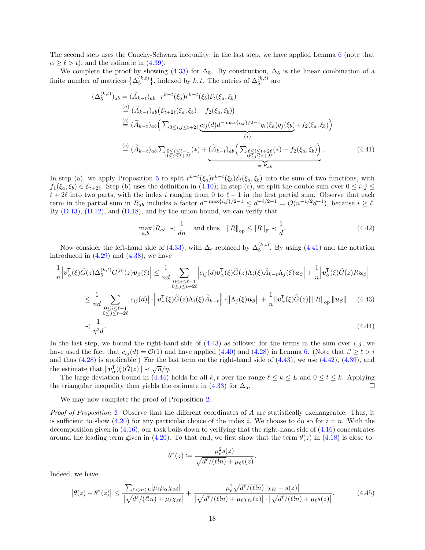The second step uses the Cauchy-Schwarz inequality; in the last step, we have applied Lemma [6](#page-15-7) (note that  $\alpha > \ell > t$ , and the estimate in [\(4.39\)](#page-16-5).

We complete the proof by showing [\(4.33\)](#page-16-0) for  $\Delta_5$ . By construction,  $\Delta_5$  is the linear combination of a finite number of matrices  $\{\Delta_5^{(k,t)}\}\$ , indexed by k, t. The entries of  $\Delta_5^{(k,t)}$  are

$$
(\Delta_{5}^{(k,t)})_{ab} = (\widetilde{A}_{k-t})_{ab} \cdot r^{k-t}(\xi_{a})r^{k-t}(\xi_{b})\mathcal{E}_{t}(\xi_{a}, \xi_{b})
$$
  
\n
$$
\stackrel{(a)}{=} (\widetilde{A}_{k-t})_{ab} (\mathcal{E}_{t+2\ell}(\xi_{a}, \xi_{b}) + f_{2}(\xi_{a}, \xi_{b}))
$$
  
\n
$$
\stackrel{(b)}{=} (\widetilde{A}_{k-t})_{ab} \Big( \sum_{0 \leq i, j \leq t+2\ell} \underbrace{c_{ij}(d)d^{-\max\{i, j\}/2-1} q_{i}(\xi_{a}) q_{j}(\xi_{b})}_{(*)} + f_{2}(\xi_{a}, \xi_{b}) \Big)
$$
  
\n
$$
\stackrel{(c)}{=} (\widetilde{A}_{k-t})_{ab} \sum_{\substack{0 \leq i \leq \ell-1 \\ 0 \leq j \leq t+2\ell}} (*) + (\widetilde{A}_{k-t})_{ab} \Big( \sum_{\substack{\ell \leq i \leq t+2\ell \\ 0 \leq j \leq t+2\ell}} (*) + f_{2}(\xi_{a}, \xi_{b}) \Big) . \tag{4.41}
$$

In step (a), we apply Proposition [5](#page-29-0) to split  $r^{k-t}(\xi_a)r^{k-t}(\xi_b)\mathcal{E}_t(\xi_a,\xi_b)$  into the sum of two functions, with  $f_1(\xi_a, \xi_b) \in \mathcal{E}_{t+2\ell}$ . Step (b) uses the definition in [\(4.10\)](#page-12-6); In step (c), we split the double sum over  $0 \le i, j \le k$  $t + 2\ell$  into two parts, with the index i ranging from 0 to  $\ell - 1$  in the first partial sum. Observe that each term in the partial sum in  $R_{ab}$  includes a factor  $d^{-\max\{i,j\}/2-1} \leq d^{-\ell/2-1} = \mathcal{O}(n^{-1/2}d^{-1})$ , because  $i \geq \ell$ . By  $(D.13)$ ,  $(D.12)$ , and  $(D.18)$ , and by the union bound, we can verify that

<span id="page-17-2"></span><span id="page-17-1"></span><span id="page-17-0"></span>
$$
\max_{a,b} |R_{ab}| \prec \frac{1}{dn} \quad \text{and thus} \quad ||R||_{op} \le ||R||_{\mathrm{F}} \prec \frac{1}{d}.\tag{4.42}
$$

Now consider the left-hand side of [\(4.33\)](#page-16-0), with  $\Delta_c$  replaced by  $\Delta_5^{(k,t)}$ . By using [\(4.41\)](#page-17-0) and the notation introduced in [\(4.29\)](#page-15-6) and [\(4.38\)](#page-16-6), we have

$$
\frac{1}{n} \left| \mathbf{v}_{\alpha}^{\mathsf{T}}(\xi) \tilde{G}(z) \Delta_{5}^{(k,t)} G^{[n]}(z) \mathbf{v}_{\beta}(\xi) \right| \leq \frac{1}{n d} \sum_{\substack{0 \leq i \leq \ell-1 \\ 0 \leq j \leq t+2\ell}} \left| c_{ij}(d) \mathbf{v}_{\alpha}^{\mathsf{T}}(\xi) \tilde{G}(z) \Lambda_{i}(\xi) \tilde{A}_{k-t} \Lambda_{j}(\xi) \mathbf{u}_{\beta} \right| + \frac{1}{n} \left| \mathbf{v}_{\alpha}^{\mathsf{T}}(\xi) \tilde{G}(z) R \mathbf{u}_{\beta} \right|
$$
\n
$$
\leq \frac{1}{n d} \sum_{\substack{0 \leq i \leq \ell-1 \\ 0 \leq j \leq t+2\ell}} \left| c_{ij}(d) \right| \cdot \left\| \mathbf{v}_{\alpha}^{\mathsf{T}}(\xi) \tilde{G}(z) \Lambda_{i}(\xi) \tilde{A}_{k-t} \right\| \cdot \left\| \Lambda_{j}(\xi) \mathbf{u}_{\beta} \right\| + \frac{1}{n} \left\| \mathbf{v}_{\alpha}^{\mathsf{T}}(\xi) \tilde{G}(z) \right\| \left\| R \right\|_{\text{op}} \left\| \mathbf{u}_{\beta} \right\| \tag{4.43}
$$
\n
$$
\prec \frac{1}{\eta^{2} d}.
$$
\n(4.44)

In the last step, we bound the right-hand side of  $(4.43)$  as follows: for the terms in the sum over  $i, j$ , we have used the fact that  $c_{ij} (d) = \mathcal{O}(1)$  and have applied [\(4.40\)](#page-16-7) and [\(4.28\)](#page-15-2) in Lemma [6.](#page-15-7) (Note that  $\beta \ge \ell > i$ and thus [\(4.28\)](#page-15-2) is applicable.) For the last term on the right-hand side of [\(4.43\)](#page-17-1), we use [\(4.42\)](#page-17-2), [\(4.39\)](#page-16-5), and the estimate that  $\|\mathbf{v}_{\alpha}^{\mathsf{T}}(\xi)\widetilde{G}(z)\| \prec \sqrt{n}/n$ .

The large deviation bound in [\(4.44\)](#page-17-3) holds for all k, t over the range  $\ell \leq k \leq L$  and  $0 \leq t \leq k$ . Applying the triangular inequality then yields the estimate in [\(4.33\)](#page-16-0) for  $\Delta_5$ .  $\Box$ 

We may now complete the proof of Proposition [2.](#page-14-1)

Proof of Proposition [2.](#page-14-1) Observe that the different coordinates of A are statistically exchangeable. Thus, it is sufficient to show [\(4.20\)](#page-14-7) for any particular choice of the index i. We choose to do so for  $i = n$ . With the decomposition given in [\(4.16\)](#page-13-1), our task boils down to verifying that the right-hand side of [\(4.16\)](#page-13-1) concentrates around the leading term given in [\(4.20\)](#page-14-7). To that end, we first show that the term  $\theta(z)$  in [\(4.18\)](#page-13-8) is close to

<span id="page-17-4"></span><span id="page-17-3"></span>
$$
\theta^*(z) \coloneqq \frac{\mu_\ell^2 s(z)}{\sqrt{d^\ell/(\ell!n)} + \mu_\ell s(z)}.
$$

Indeed, we have

$$
\left|\theta(z) - \theta^*(z)\right| \le \frac{\sum_{\ell < \alpha \le L} |\mu_{\ell}\mu_{\alpha}\chi_{\alpha\ell}|}{\left|\sqrt{d^{\ell}/(\ell!n)} + \mu_{\ell}\chi_{\ell\ell}\right|} + \frac{\mu_{\ell}^2 \sqrt{d^{\ell}/(\ell!n)}\left|\chi_{\ell\ell} - s(z)\right|}{\left|\sqrt{d^{\ell}/(\ell!n)} + \mu_{\ell}\chi_{\ell\ell}(z)\right| \cdot \left|\sqrt{d^{\ell}/(\ell!n)} + \mu_{\ell}s(z)\right|}.
$$
(4.45)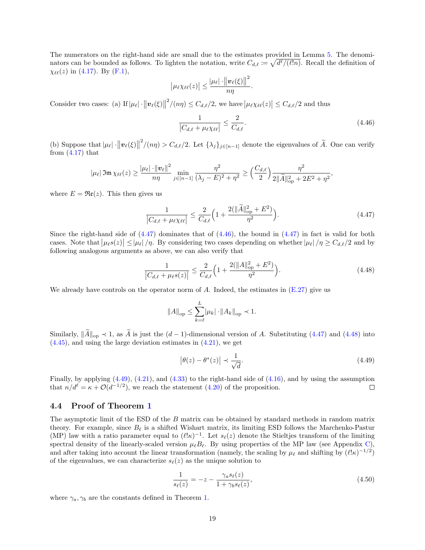The numerators on the right-hand side are small due to the estimates provided in Lemma [5.](#page-14-8) The denominators can be bounded as follows. To lighten the notation, write  $C_{d,\ell} := \sqrt{d^{\ell}/(\ell!n)}$ . Recall the definition of  $\chi_{\ell\ell}(z)$  in [\(4.17\)](#page-13-2). By [\(F.1\)](#page-37-8),

$$
\left|\mu_{\ell}\chi_{\ell\ell}(z)\right| \leq \frac{\left|\mu_{\ell}\right|\cdot\left\|\mathbf{v}_{\ell}(\xi)\right\|^{2}}{n\eta}.
$$

Consider two cases: (a) If  $|\mu_{\ell}| \cdot ||\boldsymbol{v}_{\ell}(\xi)||$  $\vert \mathcal{L}^2/(n\eta) \leq C_{d,\ell}/2$ , we have  $\vert \mu_{\ell} \chi_{\ell \ell}(z) \vert \leq C_{d,\ell}/2$  and thus

<span id="page-18-2"></span><span id="page-18-1"></span>
$$
\frac{1}{|C_{d,\ell} + \mu_{\ell} \chi_{\ell\ell}|} \le \frac{2}{C_{d,\ell}}.\tag{4.46}
$$

(b) Suppose that  $|\mu_{\ell}| \cdot ||\boldsymbol{v}_{\ell}(\xi)||$  $2/(n\eta) > C_{d,\ell}/2$ . Let  $\{\lambda_j\}_{j\in[n-1]}$  denote the eigenvalues of  $\widetilde{A}$ . One can verify from  $(4.17)$  that

$$
|\mu_{\ell}|\mathfrak{Im}\,\chi_{\ell\ell}(z)\geq\frac{|\mu_{\ell}|\cdot\|\mathbf{v}_{\ell}\|^2}{n\eta}\min_{j\in[n-1]}\frac{\eta^2}{(\lambda_j-E)^2+\eta^2}\geq \Big(\frac{C_{d,\ell}}{2}\Big)\frac{\eta^2}{2\|\widetilde{A}\|_{\mathrm{op}}^2+2E^2+\eta^2},
$$

where  $E = \Re(z)$ . This then gives us

$$
\frac{1}{|C_{d,\ell} + \mu_{\ell} \chi_{\ell\ell}|} \le \frac{2}{C_{d,\ell}} \Big( 1 + \frac{2(\|\tilde{A}\|_{\text{op}}^2 + E^2)}{\eta^2} \Big). \tag{4.47}
$$

Since the right-hand side of  $(4.47)$  dominates that of  $(4.46)$ , the bound in  $(4.47)$  in fact is valid for both cases. Note that  $|\mu_{\ell} s(z)| \leq |\mu_{\ell}| / \eta$ . By considering two cases depending on whether  $|\mu_{\ell}| / \eta \geq C_{d,\ell}/2$  and by following analogous arguments as above, we can also verify that

$$
\frac{1}{|C_{d,\ell} + \mu_{\ell}s(z)|} \le \frac{2}{C_{d,\ell}} \Big( 1 + \frac{2(||A||_{\text{op}}^2 + E^2)}{\eta^2} \Big). \tag{4.48}
$$

We already have controls on the operator norm of  $A$ . Indeed, the estimates in  $(E.27)$  give us

<span id="page-18-3"></span>
$$
||A||_{\text{op}} \le \sum_{k=\ell}^{L} |\mu_k| \cdot ||A_k||_{\text{op}} \prec 1.
$$

Similarly,  $\|\widetilde{A}\|_{op} \prec 1$ , as  $\widetilde{A}$  is just the  $(d-1)$ -dimensional version of A. Substituting [\(4.47\)](#page-18-1) and [\(4.48\)](#page-18-3) into  $(4.45)$ , and using the large deviation estimates in  $(4.21)$ , we get

<span id="page-18-4"></span>
$$
\left|\theta(z) - \theta^*(z)\right| \prec \frac{1}{\sqrt{d}}.\tag{4.49}
$$

Finally, by applying  $(4.49)$ ,  $(4.21)$ , and  $(4.33)$  to the right-hand side of  $(4.16)$ , and by using the assumption that  $n/d^{\ell} = \kappa + \mathcal{O}(d^{-1/2})$ , we reach the statement [\(4.20\)](#page-14-7) of the proposition.  $\Box$ 

#### <span id="page-18-0"></span>4.4 Proof of Theorem [1](#page-4-1)

The asymptotic limit of the ESD of the B matrix can be obtained by standard methods in random matrix theory. For example, since  $B_{\ell}$  is a shifted Wishart matrix, its limiting ESD follows the Marchenko-Pastur (MP) law with a ratio parameter equal to  $(\ell \kappa)^{-1}$ . Let  $s_{\ell}(z)$  denote the Stieltjes transform of the limiting spectral density of the linearly-scaled version  $\mu_{\ell}B_{\ell}$ . By using properties of the MP law (see Appendix [C\)](#page-25-0), and after taking into account the linear transformation (namely, the scaling by  $\mu_{\ell}$  and shifting by  $(\ell \, k)^{-1/2}$ ) of the eigenvalues, we can characterize  $s_{\ell}(z)$  as the unique solution to

<span id="page-18-5"></span>
$$
\frac{1}{s_{\ell}(z)} = -z - \frac{\gamma_a s_{\ell}(z)}{1 + \gamma_b s_{\ell}(z)},\tag{4.50}
$$

where  $\gamma_a, \gamma_b$  are the constants defined in Theorem [1.](#page-4-1)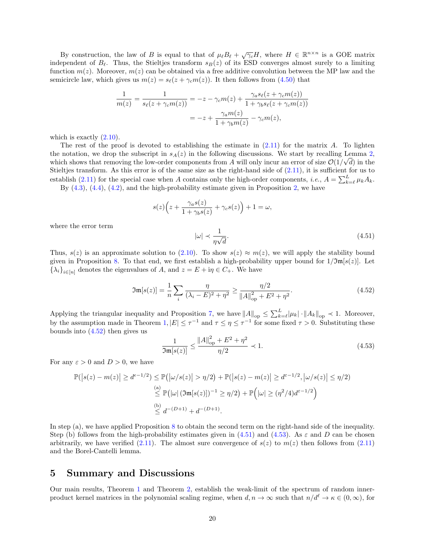By construction, the law of B is equal to that of  $\mu_{\ell} B_{\ell} + \sqrt{\gamma_c} H$ , where  $H \in \mathbb{R}^{n \times n}$  is a GOE matrix independent of  $B_\ell$ . Thus, the Stieltjes transform  $s_B(z)$  of its ESD converges almost surely to a limiting function  $m(z)$ . Moreover,  $m(z)$  can be obtained via a free additive convolution between the MP law and the semicircle law, which gives us  $m(z) = s_{\ell}(z + \gamma_c m(z))$ . It then follows from [\(4.50\)](#page-18-5) that

$$
\frac{1}{m(z)} = \frac{1}{s_{\ell}(z + \gamma_c m(z))} = -z - \gamma_c m(z) + \frac{\gamma_a s_{\ell}(z + \gamma_c m(z))}{1 + \gamma_b s_{\ell}(z + \gamma_c m(z))}
$$

$$
= -z + \frac{\gamma_a m(z)}{1 + \gamma_b m(z)} - \gamma_c m(z),
$$

which is exactly  $(2.10)$ .

The rest of the proof is devoted to establishing the estimate in  $(2.11)$  for the matrix A. To lighten the notation, we drop the subscript in  $s_A(z)$  in the following discussions. We start by recalling Lemma [2,](#page-10-2) which shows that removing the low-order components from A will only incur an error of size  $\mathcal{O}(1/\sqrt{d})$  in the Stieltjes transform. As this error is of the same size as the right-hand side of [\(2.11\)](#page-4-8), it is sufficient for us to establish [\(2.11\)](#page-4-8) for the special case when A contains only the high-order components, *i.e.*,  $A = \sum_{k=\ell}^{L} \mu_k A_k$ . By  $(4.3)$ ,  $(4.4)$ ,  $(4.2)$ , and the high-probability estimate given in Proposition [2,](#page-14-1) we have

$$
s(z)\Big(z+\frac{\gamma_{a}s(z)}{1+\gamma_{b}s(z)}+\gamma_{c}s(z)\Big)+1=\omega,
$$

where the error term

<span id="page-19-2"></span><span id="page-19-1"></span> $|\omega| \prec \frac{1}{\sqrt{2}}$ η  $\frac{1}{\sqrt{2}}$ d  $(4.51)$ 

Thus,  $s(z)$  is an approximate solution to [\(2.10\)](#page-4-4). To show  $s(z) \approx m(z)$ , we will apply the stability bound given in Proposition [8.](#page-39-1) To that end, we first establish a high-probability upper bound for  $1/\mathfrak{Im}[s(z)]$ . Let  $\{\lambda_i\}_{i\in[n]}$  denotes the eigenvalues of A, and  $z = E + i\eta \in C_+$ . We have

$$
\mathfrak{Im}[s(z)] = \frac{1}{n} \sum_{i} \frac{\eta}{(\lambda_i - E)^2 + \eta^2} \ge \frac{\eta/2}{\|A\|_{\text{op}}^2 + E^2 + \eta^2}.
$$
 (4.52)

Applying the triangular inequality and Proposition [7,](#page-36-1) we have  $||A||_{op} \le \sum_{k=\ell}^{L} |\mu_k| \cdot ||A_k||_{op} \prec 1$ . Moreover, by the assumption made in Theorem [1,](#page-4-1)  $|E| \leq \tau^{-1}$  and  $\tau \leq \eta \leq \tau^{-1}$  for some fixed  $\tau > 0$ . Substituting these bounds into  $(4.52)$  then gives us

<span id="page-19-3"></span>
$$
\frac{1}{\Im \mathfrak{m}[s(z)]} \le \frac{\|A\|_{\rm op}^2 + E^2 + \eta^2}{\eta/2} \prec 1.
$$
\n(4.53)

For any  $\varepsilon > 0$  and  $D > 0$ , we have

$$
\mathbb{P}(|s(z) - m(z)| \ge d^{\epsilon - 1/2}) \le \mathbb{P}(|\omega/s(z)| > \eta/2) + \mathbb{P}(|s(z) - m(z)| \ge d^{\epsilon - 1/2}, |\omega/s(z)| \le \eta/2)
$$
  
\n(a)  
\n
$$
\le \mathbb{P}(|\omega| (\mathfrak{Im}[s(z)])^{-1} \ge \eta/2) + \mathbb{P}(|\omega| \ge (\eta^2/4)d^{\epsilon - 1/2})
$$
  
\n(b)  
\n
$$
\le d^{-(D+1)} + d^{-(D+1)}.
$$

In step (a), we have applied Proposition [8](#page-39-1) to obtain the second term on the right-hand side of the inequality. Step (b) follows from the high-probability estimates given in [\(4.51\)](#page-19-2) and [\(4.53\)](#page-19-3). As  $\varepsilon$  and D can be chosen arbitrarily, we have verified [\(2.11\)](#page-4-8). The almost sure convergence of  $s(z)$  to  $m(z)$  then follows from (2.11) and the Borel-Cantelli lemma.

### <span id="page-19-0"></span>5 Summary and Discussions

Our main results, Theorem [1](#page-4-1) and Theorem [2,](#page-6-1) establish the weak-limit of the spectrum of random innerproduct kernel matrices in the polynomial scaling regime, when  $d, n \to \infty$  such that  $n/d^{\ell} \to \kappa \in (0, \infty)$ , for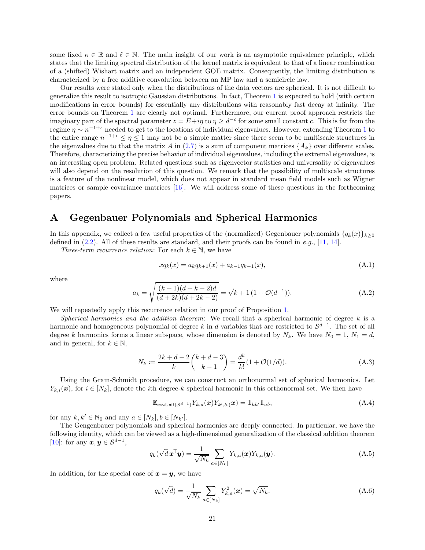some fixed  $\kappa \in \mathbb{R}$  and  $\ell \in \mathbb{N}$ . The main insight of our work is an asymptotic equivalence principle, which states that the limiting spectral distribution of the kernel matrix is equivalent to that of a linear combination of a (shifted) Wishart matrix and an independent GOE matrix. Consequently, the limiting distribution is characterized by a free additive convolution between an MP law and a semicircle law.

Our results were stated only when the distributions of the data vectors are spherical. It is not difficult to generalize this result to isotropic Gaussian distributions. In fact, Theorem [1](#page-4-1) is expected to hold (with certain modifications in error bounds) for essentially any distributions with reasonably fast decay at infinity. The error bounds on Theorem [1](#page-4-1) are clearly not optimal. Furthermore, our current proof approach restricts the imaginary part of the spectral parameter  $z = E + i\eta$  to  $\eta \geq d^{-c}$  for some small constant c. This is far from the regime  $\eta \sim n^{-1+\epsilon}$  $\eta \sim n^{-1+\epsilon}$  $\eta \sim n^{-1+\epsilon}$  needed to get to the locations of individual eigenvalues. However, extending Theorem 1 to the entire range  $n^{-1+\epsilon} \leq \eta \leq 1$  may not be a simple matter since there seem to be multiscale structures in the eigenvalues due to that the matrix A in [\(2.7\)](#page-3-7) is a sum of component matrices  $\{A_k\}$  over different scales. Therefore, characterizing the precise behavior of individual eigenvalues, including the extremal eigenvalues, is an interesting open problem. Related questions such as eigenvector statistics and universality of eigenvalues will also depend on the resolution of this question. We remark that the possibility of multiscale structures is a feature of the nonlinear model, which does not appear in standard mean field models such as Wigner matrices or sample covariance matrices [\[16\]](#page-41-9). We will address some of these questions in the forthcoming papers.

### <span id="page-20-0"></span>A Gegenbauer Polynomials and Spherical Harmonics

In this appendix, we collect a few useful properties of the (normalized) Gegenbauer polynomials  $\{q_k(x)\}_{k\geq0}$ defined in  $(2.2)$ . All of these results are standard, and their proofs can be found in e.g., [\[11,](#page-40-3) [14\]](#page-41-10).

Three-term recurrence relation: For each  $k \in \mathbb{N}$ , we have

<span id="page-20-5"></span><span id="page-20-4"></span>
$$
xq_k(x) = a_kq_{k+1}(x) + a_{k-1}q_{k-1}(x),
$$
\n(A.1)

where

$$
a_k = \sqrt{\frac{(k+1)(d+k-2)d}{(d+2k)(d+2k-2)}} = \sqrt{k+1} \left(1 + \mathcal{O}(d^{-1})\right). \tag{A.2}
$$

We will repeatedly apply this recurrence relation in our proof of Proposition [1.](#page-12-0)

Spherical harmonics and the addition theorem: We recall that a spherical harmonic of degree k is a harmonic and homogeneous polynomial of degree k in d variables that are restricted to  $S^{d-1}$ . The set of all degree k harmonics forms a linear subspace, whose dimension is denoted by  $N_k$ . We have  $N_0 = 1$ ,  $N_1 = d$ , and in general, for  $k \in \mathbb{N}$ ,

$$
N_k := \frac{2k + d - 2}{k} {k + d - 3 \choose k - 1} = \frac{d^k}{k!} (1 + \mathcal{O}(1/d)).
$$
 (A.3)

Using the Gram-Schmidt procedure, we can construct an orthonormal set of spherical harmonics. Let  $Y_{k,i}(\boldsymbol{x})$ , for  $i \in [N_k]$ , denote the *i*th degree-k spherical harmonic in this orthonormal set. We then have

<span id="page-20-6"></span><span id="page-20-1"></span>
$$
\mathbb{E}_{\boldsymbol{x}\sim\mathsf{Unif}(\mathcal{S}^{d-1})}Y_{k,a}(\boldsymbol{x})Y_{k',b,}(\boldsymbol{x})=\mathbb{1}_{kk'}\mathbb{1}_{ab},\tag{A.4}
$$

for any  $k, k' \in \mathbb{N}_0$  and any  $a \in [N_k], b \in [N_{k'}].$ 

The Gengenbauer polynomials and spherical harmonics are deeply connected. In particular, we have the following identity, which can be viewed as a high-dimensional generalization of the classical addition theorem [\[10\]](#page-40-6): for any  $\boldsymbol{x}, \boldsymbol{y} \in \mathcal{S}^{d-1}$ ,

$$
q_k(\sqrt{d}\boldsymbol{x}^{\mathsf{T}}\boldsymbol{y}) = \frac{1}{\sqrt{N_k}} \sum_{a \in [N_k]} Y_{k,a}(\boldsymbol{x}) Y_{k,a}(\boldsymbol{y}).
$$
\n(A.5)

In addition, for the special case of  $x = y$ , we have

<span id="page-20-3"></span><span id="page-20-2"></span>
$$
q_k(\sqrt{d}) = \frac{1}{\sqrt{N_k}} \sum_{a \in [N_k]} Y_{k,a}^2(\mathbf{x}) = \sqrt{N_k}.
$$
 (A.6)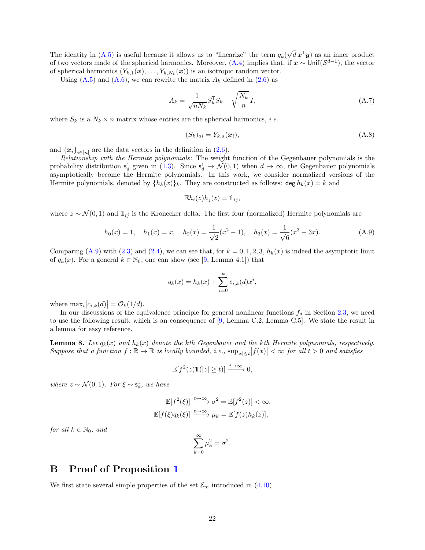The identity in  $(A.5)$  is useful because it allows us to "linearize" the term  $q_k($ √  $\overline{d}$   $\boldsymbol{x}^{\mathsf{T}}\boldsymbol{y}$  as an inner product of two vectors made of the spherical harmonics. Moreover,  $(A.4)$  implies that, if  $x \sim$  Unif $(\mathcal{S}^{d-1})$ , the vector of spherical harmonics  $(Y_{k,1}(\boldsymbol{x}), \ldots, Y_{k,N_k}(\boldsymbol{x}))$  is an isotropic random vector.

Using  $(A.5)$  and  $(A.6)$ , we can rewrite the matrix  $A_k$  defined in  $(2.6)$  as

$$
A_k = \frac{1}{\sqrt{nN_k}} S_k^{\mathsf{T}} S_k - \sqrt{\frac{N_k}{n}} I,\tag{A.7}
$$

where  $S_k$  is a  $N_k \times n$  matrix whose entries are the spherical harmonics, *i.e.* 

<span id="page-21-4"></span><span id="page-21-3"></span>
$$
(S_k)_{ai} = Y_{k,a}(\boldsymbol{x}_i),\tag{A.8}
$$

and  $\{x_i\}_{i\in[n]}$  are the data vectors in the definition in [\(2.6\)](#page-3-4).

Relationship with the Hermite polynomials: The weight function of the Gegenbauer polynomials is the probability distribution  $s_d^1$  given in [\(1.3\)](#page-2-1). Since  $s_d^1 \to \mathcal{N}(0,1)$  when  $d \to \infty$ , the Gegenbauer polynomials asymptotically become the Hermite polynomials. In this work, we consider normalized versions of the Hermite polynomials, denoted by  $\{h_k(x)\}_k$ . They are constructed as follows:  $\deg h_k(x) = k$  and

<span id="page-21-2"></span>
$$
\mathbb{E}h_i(z)h_j(z) = \mathbb{1}_{ij},
$$

where  $z \sim \mathcal{N}(0, 1)$  and  $\mathbb{1}_{ij}$  is the Kronecker delta. The first four (normalized) Hermite polynomials are

$$
h_0(x) = 1, \quad h_1(x) = x, \quad h_2(x) = \frac{1}{\sqrt{2}}(x^2 - 1), \quad h_3(x) = \frac{1}{\sqrt{6}}(x^3 - 3x). \tag{A.9}
$$

Comparing [\(A.9\)](#page-21-2) with [\(2.3\)](#page-3-9) and [\(2.4\)](#page-3-10), we can see that, for  $k = 0, 1, 2, 3$ ,  $h_k(x)$  is indeed the asymptotic limit of  $q_k(x)$ . For a general  $k \in \mathbb{N}_0$ , one can show (see [\[9,](#page-40-0) Lemma 4.1]) that

$$
q_k(x) = h_k(x) + \sum_{i=0}^{k} c_{i,k}(d)x^i,
$$

where  $\max_i |c_{i,k}(d)| = \mathcal{O}_k(1/d)$ .

In our discussions of the equivalence principle for general nonlinear functions  $f_d$  in Section [2.3,](#page-6-0) we need to use the following result, which is an consequence of [\[9,](#page-40-0) Lemma C.2, Lemma C.5]. We state the result in a lemma for easy reference.

<span id="page-21-1"></span>**Lemma 8.** Let  $q_k(x)$  and  $h_k(x)$  denote the kth Gegenbauer and the kth Hermite polynomials, respectively. Suppose that a function  $f : \mathbb{R} \to \mathbb{R}$  is locally bounded, i.e.,  $\sup_{|x| \le t} |f(x)| < \infty$  for all  $t > 0$  and satisfies

$$
\mathbb{E}[f^2(z)\mathbb{1}(|z| \ge t)] \xrightarrow{t \to \infty} 0,
$$

where  $z \sim \mathcal{N}(0, 1)$ . For  $\xi \sim s_d^1$ , we have

$$
\mathbb{E}[f^{2}(\xi)] \xrightarrow{t \to \infty} \sigma^{2} = \mathbb{E}[f^{2}(z)] < \infty,
$$
  

$$
\mathbb{E}[f(\xi)q_{k}(\xi)] \xrightarrow{t \to \infty} \mu_{k} = \mathbb{E}[f(z)h_{k}(z)],
$$

for all  $k \in \mathbb{N}_0$ , and

$$
\sum_{k=0}^{\infty} \mu_k^2 = \sigma^2.
$$

# <span id="page-21-0"></span>B Proof of Proposition [1](#page-12-0)

We first state several simple properties of the set  $\mathcal{E}_m$  introduced in [\(4.10\)](#page-12-6).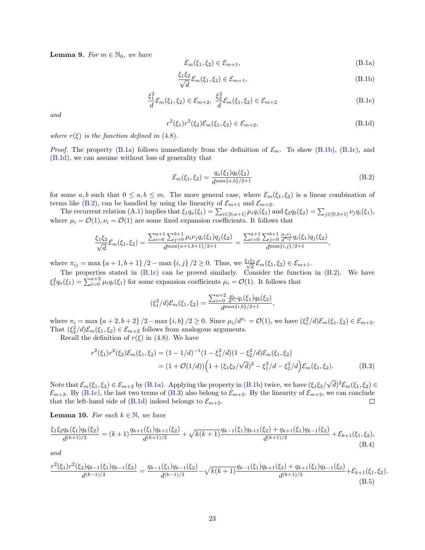**Lemma 9.** For  $m \in \mathbb{N}_0$ , we have

<span id="page-22-3"></span><span id="page-22-2"></span><span id="page-22-1"></span><span id="page-22-0"></span>
$$
\mathcal{E}_m(\xi_1, \xi_2) \in \mathcal{E}_{m+1},\tag{B.1a}
$$

$$
\frac{\xi_1 \xi_2}{\sqrt{d}} \mathcal{E}_m(\xi_1, \xi_2) \in \mathcal{E}_{m+1},\tag{B.1b}
$$

$$
\frac{\xi_1^2}{d} \mathcal{E}_m(\xi_1, \xi_2) \in \mathcal{E}_{m+2}, \ \frac{\xi_2^2}{d} \mathcal{E}_m(\xi_1, \xi_2) \in \mathcal{E}_{m+2}
$$
\n(B.1c)

and

$$
r^{2}(\xi_{1})r^{2}(\xi_{2})\mathcal{E}_{m}(\xi_{1},\xi_{2}) \in \mathcal{E}_{m+2},
$$
\n(B.1d)

where  $r(\xi)$  is the function defined in [\(4.8\)](#page-11-7).

*Proof.* The property [\(B.1a\)](#page-22-0) follows immediately from the definition of  $\mathcal{E}_m$ . To show [\(B.1b\)](#page-22-1), [\(B.1c\)](#page-22-2), and [\(B.1d\)](#page-22-3), we can assume without loss of generality that

<span id="page-22-4"></span>
$$
\mathcal{E}_m(\xi_1, \xi_2) = \frac{q_a(\xi_1) q_b(\xi_2)}{d^{\max\{a, b\}/2 + 1}}\tag{B.2}
$$

for some a, b such that  $0 \le a, b \le m$ . The more general case, where  $\mathcal{E}_m(\xi_1, \xi_2)$  is a linear combination of terms like [\(B.2\)](#page-22-4), can be handled by using the linearity of  $\mathcal{E}_{m+1}$  and  $\mathcal{E}_{m+2}$ .

The recurrent relation [\(A.1\)](#page-20-4) implies that  $\xi_1q_a(\xi_1) = \sum_{i \in [0,a+1]} \mu_iq_i(\xi_1)$  and  $\xi_2q_b(\xi_2) = \sum_{j \in [0,b+1]} \nu_jq_i(\xi_1)$ , where  $\mu_i = \mathcal{O}(1), \nu_i = \mathcal{O}(1)$  are some fixed expansion coefficients. It follows that

$$
\frac{\xi_1 \xi_2}{\sqrt{d}} \mathcal{E}_m(\xi_1, \xi_2) = \frac{\sum_{i=0}^{a+1} \sum_{j=0}^{b+1} \mu_i \nu_j q_i(\xi_1) q_j(\xi_2)}{d^{\max\{a+1, b+1\}/2+1}} = \frac{\sum_{i=0}^{a+1} \sum_{j=0}^{b+1} \frac{\mu_i \nu_j}{d^{\max\{i, j\}/2+1}} q_i(\xi_1) q_j(\xi_2)}{d^{\max\{i, j\}/2+1}},
$$

where  $\pi_{ij} = \max\{a+1, b+1\}/2 - \max\{i, j\}/2 \ge 0$ . Thus, we  $\frac{\xi_1 \xi_2}{\sqrt{d}} \mathcal{E}_m(\xi_1, \xi_2) \in \mathcal{E}_{m+1}$ .

The properties stated in [\(B.1c\)](#page-22-2) can be proved similarly. Consider the function in [\(B.2\)](#page-22-4). We have  $\xi_1^2 q_a(\xi_1) = \sum_{i=0}^{a+2} \mu_i q_i(\xi_1)$  for some expansion coefficients  $\mu_i = \mathcal{O}(1)$ . It follows that

<span id="page-22-7"></span><span id="page-22-6"></span><span id="page-22-5"></span>
$$
(\xi_1^2/d)\mathcal{E}_m(\xi_1,\xi_2) = \frac{\sum_{i=0}^{a+2} \frac{\mu_i}{d^{\pi_i}} q_i(\xi_1) q_b(\xi_2)}{d^{\max\{i,b\}/2+1}},
$$

where  $\pi_i = \max\{a+2, b+2\}/2 - \max\{i, b\}/2 \ge 0$ . Since  $\mu_i/d^{\pi_i} = \mathcal{O}(1)$ , we have  $(\xi_1^2/d)\mathcal{E}_m(\xi_1, \xi_2) \in \mathcal{E}_{m+2}$ . That  $(\xi_2^2/d)\mathcal{E}_m(\xi_1,\xi_2) \in \mathcal{E}_{m+2}$  follows from analogous arguments.

Recall the definition of  $r(\xi)$  in [\(4.8\)](#page-11-7). We have

$$
r^{2}(\xi_{1})r^{2}(\xi_{2})\mathcal{E}_{m}(\xi_{1},\xi_{2}) = (1 - 1/d)^{-1}(1 - \xi_{1}^{2}/d)(1 - \xi_{2}^{2}/d)\mathcal{E}_{m}(\xi_{1},\xi_{2})
$$
  
=  $(1 + \mathcal{O}(1/d))\left(1 + (\xi_{1}\xi_{2}/\sqrt{d})^{2} - \xi_{1}^{2}/d - \xi_{2}^{2}/d\right)\mathcal{E}_{m}(\xi_{1},\xi_{2}).$  (B.3)

√ Note that  $\mathcal{E}_m(\xi_1, \xi_2) \in \mathcal{E}_{m+2}$  by [\(B.1a\)](#page-22-0). Applying the property in [\(B.1b\)](#page-22-1) twice, we have  $(\xi_1 \xi_2)$  $\overline{d})^2 \mathcal{E}_m(\xi_1,\xi_2) \in$  $\mathcal{E}_{m+2}$ . By [\(B.1c\)](#page-22-2), the last two terms of [\(B.3\)](#page-22-5) also belong to  $\mathcal{E}_{m+2}$ . By the linearity of  $\mathcal{E}_{m+2}$ , we can conclude that the left-hand side of  $(B.1d)$  indeed belongs to  $\mathcal{E}_{m+2}$ .  $\Box$ 

**Lemma 10.** For each  $k \in \mathbb{N}$ , we have

$$
\frac{\xi_1 \xi_2 q_k(\xi_1) q_k(\xi_2)}{d^{(k+1)/2}} = (k+1) \frac{q_{k+1}(\xi_1) q_{k+1}(\xi_2)}{d^{(k+1)/2}} + \sqrt{k(k+1)} \frac{q_{k-1}(\xi_1) q_{k+1}(\xi_2) + q_{k+1}(\xi_1) q_{k-1}(\xi_2)}{d^{(k+1)/2}} + \mathcal{E}_{k+1}(\xi_1, \xi_2),
$$
\n(B.4)

and

$$
\frac{r^2(\xi_1)r^2(\xi_2)q_{k-1}(\xi_1)q_{k-1}(\xi_2)}{d^{(k-1)/2}} = \frac{q_{k-1}(\xi_1)q_{k-1}(\xi_2)}{d^{(k-1)/2}} - \sqrt{k(k+1)}\frac{q_{k-1}(\xi_1)q_{k+1}(\xi_2) + q_{k+1}(\xi_1)q_{k-1}(\xi_2)}{d^{(k+1)/2}} + \mathcal{E}_{k+1}(\xi_1, \xi_2). \tag{B.5}
$$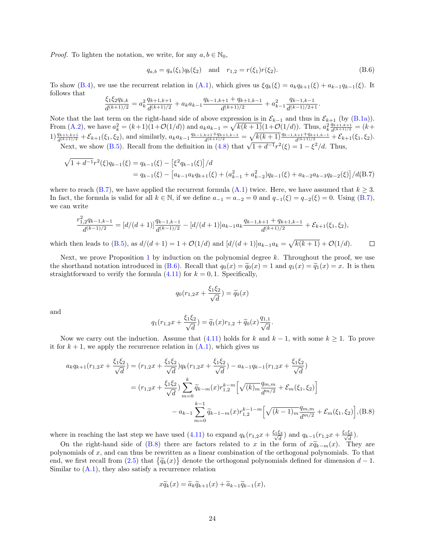*Proof.* To lighten the notation, we write, for any  $a, b \in \mathbb{N}_0$ ,

<span id="page-23-1"></span>
$$
q_{a,b} = q_a(\xi_1)q_b(\xi_2) \quad \text{and} \quad r_{1,2} = r(\xi_1)r(\xi_2). \tag{B.6}
$$

To show [\(B.4\)](#page-22-6), we use the recurrent relation in [\(A.1\)](#page-20-4), which gives us  $\xi q_k(\xi) = a_k q_{k+1}(\xi) + a_{k-1}q_{k-1}(\xi)$ . It follows that

$$
\frac{\xi_1\xi_2q_{k,k}}{d^{(k+1)/2}} = a_k^2 \frac{q_{k+1,k+1}}{d^{(k+1)/2}} + a_k a_{k-1} \frac{q_{k-1,k+1} + q_{k+1,k-1}}{d^{(k+1)/2}} + a_{k-1}^2 \frac{q_{k-1,k-1}}{d^{(k-1)/2+1}}.
$$

Note that the last term on the right-hand side of above expression is in  $\mathcal{E}_{k-1}$  and thus in  $\mathcal{E}_{k+1}$  (by [\(B.1a\)](#page-22-0)). From [\(A.2\)](#page-20-5), we have  $a_k^2 = (k+1)(1+\mathcal{O}(1/d))$  and  $a_ka_{k-1} = \sqrt{k(k+1)}(1+\mathcal{O}(1/d))$ . Thus,  $a_k^2 \frac{q_{k+1,k+1}}{d^{(k+1)/2}} = (k+1)$  $1) \frac{q_{k+1,k+1}}{d^{(k+1)/2}} + \mathcal{E}_{k+1}(\xi_1, \xi_2)$ , and similarly,  $a_k a_{k-1} \frac{q_{k-1,k+1} + q_{k+1,k-1}}{d^{(k+1)/2}} = \sqrt{k(k+1)} \frac{q_{k-1,k+1} + q_{k+1,k-1}}{d^{(k+1)/2}} + \mathcal{E}_{k+1}(\xi_1, \xi_2)$ . Next, we show [\(B.5\)](#page-22-7). Recall from the definition in [\(4.8\)](#page-11-7) that  $\sqrt{1+d^{-1}}r^2(\xi) = 1 - \xi^2/d$ . Thus,

$$
\sqrt{1+d^{-1}}r^{2}(\xi)q_{k-1}(\xi) = q_{k-1}(\xi) - \left[\xi^{2}q_{k-1}(\xi)\right]/d
$$
  
=  $q_{k-1}(\xi) - \left[a_{k-1}a_{k}q_{k+1}(\xi) + (a_{k-1}^{2} + a_{k-2}^{2})q_{k-1}(\xi) + a_{k-2}a_{k-3}q_{k-2}(\xi)\right]/d(B.7)$ 

where to reach [\(B.7\)](#page-23-0), we have applied the recurrent formula [\(A.1\)](#page-20-4) twice. Here, we have assumed that  $k \geq 3$ . In fact, the formula is valid for all  $k \in \mathbb{N}$ , if we define  $a_{-1} = a_{-2} = 0$  and  $q_{-1}(\xi) = q_{-2}(\xi) = 0$ . Using  $(B.7)$ , we can write

$$
\frac{r_{1,2}^{2}q_{k-1,k-1}}{d^{(k-1)/2}} = [d/(d+1)]\frac{q_{k-1,k-1}}{d^{(k-1)/2}} - [d/(d+1)]a_{k-1}a_k\frac{q_{k-1,k+1} + q_{k+1,k-1}}{d^{(k+1)/2}} + \mathcal{E}_{k+1}(\xi_1, \xi_2),
$$

which then leads to [\(B.5\)](#page-22-7), as  $d/(d+1) = 1 + \mathcal{O}(1/d)$  and  $\left[ d/(d+1) \right] a_{k-1} a_k = \sqrt{k(k+1)} + \mathcal{O}(1/d)$ .  $\Box$ 

Next, we prove Proposition [1](#page-12-0) by induction on the polynomial degree  $k$ . Throughout the proof, we use the shorthand notation introduced in [\(B.6\)](#page-23-1). Recall that  $q_0(x) = \tilde{q}_0(x) = 1$  and  $q_1(x) = \tilde{q}_1(x) = x$ . It is then straightforward to verify the formula  $(4.11)$  for  $k = 0, 1$ . Specifically,

<span id="page-23-0"></span>
$$
q_0(r_{1,2}x + \frac{\xi_1 \xi_2}{\sqrt{d}}) = \widetilde{q}_0(x)
$$

and

$$
q_1(r_{1,2}x + \frac{\xi_1 \xi_2}{\sqrt{d}}) = \widetilde{q}_1(x)r_{1,2} + \widetilde{q}_0(x)\frac{q_{1,1}}{\sqrt{d}}.
$$

Now we carry out the induction. Assume that [\(4.11\)](#page-12-1) holds for k and  $k-1$ , with some  $k \geq 1$ . To prove it for  $k + 1$ , we apply the recurrence relation in  $(A.1)$ , which gives us

$$
a_k q_{k+1}(r_{1,2}x + \frac{\xi_1 \xi_2}{\sqrt{d}}) = (r_{1,2}x + \frac{\xi_1 \xi_2}{\sqrt{d}})q_k(r_{1,2}x + \frac{\xi_1 \xi_2}{\sqrt{d}}) - a_{k-1}q_{k-1}(r_{1,2}x + \frac{\xi_1 \xi_2}{\sqrt{d}})
$$
  

$$
= (r_{1,2}x + \frac{\xi_1 \xi_2}{\sqrt{d}}) \sum_{m=0}^k \widetilde{q}_{k-m}(x)r_{1,2}^{k-m} \left[ \sqrt{(k)_m} \frac{q_{m,m}}{d^{m/2}} + \mathcal{E}_m(\xi_1, \xi_2) \right]
$$

$$
- a_{k-1} \sum_{m=0}^{k-1} \widetilde{q}_{k-1-m}(x)r_{1,2}^{k-1-m} \left[ \sqrt{(k-1)_m} \frac{q_{m,m}}{d^{m/2}} + \mathcal{E}_m(\xi_1, \xi_2) \right], (B.8)
$$

where in reaching the last step we have used [\(4.11\)](#page-12-1) to expand  $q_k(r_{1,2}x + \frac{\xi_1\xi_2}{\sqrt{d}})$  and  $q_{k-1}(r_{1,2}x + \frac{\xi_1\xi_2}{\sqrt{d}})$ .

On the right-hand side of [\(B.8\)](#page-23-2) there are factors related to x in the form of  $x\widetilde{q}_{k-m}(x)$ . They are<br>unomials of x and can thus be couritten as a linear combination of the orthogonal polynomials. To that polynomials of x, and can thus be rewritten as a linear combination of the orthogonal polynomials. To that end, we first recall from [\(2.5\)](#page-3-8) that  $\{\tilde{q}_k(x)\}$  denote the orthogonal polynomials defined for dimension  $d-1$ .<br>Similar to  $(A, 1)$  that also satisfy a requirement value of the orthogonal polynomials defined for dimensio Similar to  $(A.1)$ , they also satisfy a recurrence relation

<span id="page-23-2"></span>
$$
x\widetilde{q}_k(x) = \widetilde{a}_k \widetilde{q}_{k+1}(x) + \widetilde{a}_{k-1} \widetilde{q}_{k-1}(x),
$$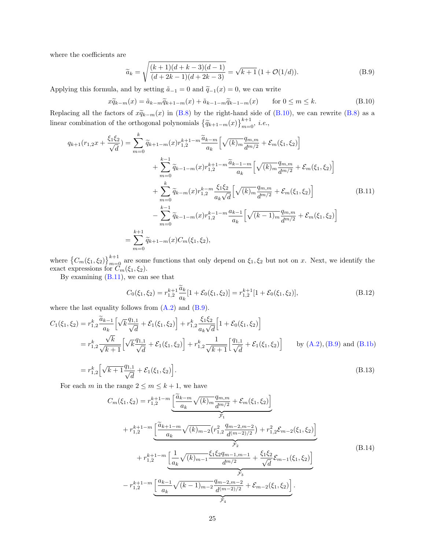where the coefficients are

<span id="page-24-2"></span><span id="page-24-0"></span>
$$
\widetilde{a}_k = \sqrt{\frac{(k+1)(d+k-3)(d-1)}{(d+2k-1)(d+2k-3)}} = \sqrt{k+1} \left(1 + \mathcal{O}(1/d)\right).
$$
\n(B.9)

Applying this formula, and by setting  $\tilde{a}_{-1} = 0$  and  $\tilde{q}_{-1}(x) = 0$ , we can write

$$
x\widetilde{q}_{k-m}(x) = \widetilde{a}_{k-m}\widetilde{q}_{k+1-m}(x) + \widetilde{a}_{k-1-m}\widetilde{q}_{k-1-m}(x) \qquad \text{for } 0 \le m \le k. \tag{B.10}
$$

Replacing all the factors of  $x\widetilde{q}_{k-m}(x)$  in [\(B.8\)](#page-23-2) by the right-hand side of [\(B.10\)](#page-24-0), we can rewrite (B.8) as a linear combination of the orthogonal polynomials  $\{\widetilde{q}_{k+1-m}(x)\}_{m=0}^{k+1}$ , *i.e.*,

$$
q_{k+1}(r_{1,2}x + \frac{\xi_1 \xi_2}{\sqrt{d}}) = \sum_{m=0}^k \widetilde{q}_{k+1-m}(x) r_{1,2}^{k+1-m} \frac{\widetilde{a}_{k-m}}{a_k} \left[ \sqrt{(k)_m} \frac{q_{m,m}}{d^{m/2}} + \mathcal{E}_m(\xi_1, \xi_2) \right]
$$
  
+ 
$$
\sum_{m=0}^{k-1} \widetilde{q}_{k-1-m}(x) r_{1,2}^{k+1-m} \frac{\widetilde{a}_{k-1-m}}{a_k} \left[ \sqrt{(k)_m} \frac{q_{m,m}}{d^{m/2}} + \mathcal{E}_m(\xi_1, \xi_2) \right]
$$
  
+ 
$$
\sum_{m=0}^k \widetilde{q}_{k-m}(x) r_{1,2}^{k-m} \frac{\xi_1 \xi_2}{a_k \sqrt{d}} \left[ \sqrt{(k)_m} \frac{q_{m,m}}{d^{m/2}} + \mathcal{E}_m(\xi_1, \xi_2) \right]
$$
  
- 
$$
\sum_{m=0}^{k-1} \widetilde{q}_{k-1-m}(x) r_{1,2}^{k-1-m} \frac{a_{k-1}}{a_k} \left[ \sqrt{(k-1)_m} \frac{q_{m,m}}{d^{m/2}} + \mathcal{E}_m(\xi_1, \xi_2) \right]
$$
  
= 
$$
\sum_{m=0}^{k+1} \widetilde{q}_{k+1-m}(x) C_m(\xi_1, \xi_2),
$$
 (B.11)

where  ${C_m(\xi_1,\xi_2)}_{m=0}^{k+1}$  are some functions that only depend on  $\xi_1,\xi_2$  but not on x. Next, we identify the exact expressions for  $C_m(\xi_1, \xi_2)$ .

By examining  $(B.11)$ , we can see that

<span id="page-24-5"></span><span id="page-24-4"></span><span id="page-24-1"></span>
$$
C_0(\xi_1, \xi_2) = r_{1,2}^{k+1} \frac{\tilde{a}_k}{a_k} [1 + \mathcal{E}_0(\xi_1, \xi_2)] = r_{1,2}^{k+1} [1 + \mathcal{E}_0(\xi_1, \xi_2)], \tag{B.12}
$$

where the last equality follows from  $(A.2)$  and  $(B.9)$ .

$$
C_{1}(\xi_{1},\xi_{2}) = r_{1,2}^{k} \frac{\tilde{a}_{k-1}}{a_{k}} \left[ \sqrt{k} \frac{q_{1,1}}{\sqrt{d}} + \mathcal{E}_{1}(\xi_{1},\xi_{2}) \right] + r_{1,2}^{k} \frac{\xi_{1}\xi_{2}}{a_{k}\sqrt{d}} \left[ 1 + \mathcal{E}_{0}(\xi_{1},\xi_{2}) \right]
$$
  
\n
$$
= r_{1,2}^{k} \frac{\sqrt{k}}{\sqrt{k+1}} \left[ \sqrt{k} \frac{q_{1,1}}{\sqrt{d}} + \mathcal{E}_{1}(\xi_{1},\xi_{2}) \right] + r_{1,2}^{k} \frac{1}{\sqrt{k+1}} \left[ \frac{q_{1,1}}{\sqrt{d}} + \mathcal{E}_{1}(\xi_{1},\xi_{2}) \right] \qquad \text{by (A.2), (B.9) and (B.1b)}
$$
  
\n
$$
= r_{k}^{k} \left[ \sqrt{k+1} \frac{q_{1,1}}{d} + \mathcal{E}_{1}(\xi_{1},\xi_{2}) \right] \qquad (B.13)
$$

$$
= r_{1,2}^{k} \left[ \sqrt{k+1} \frac{q_{1,1}}{\sqrt{d}} + \mathcal{E}_1(\xi_1, \xi_2) \right].
$$
 (B.13)

For each  $m$  in the range  $2 \le m \le k + 1$ , we have

<span id="page-24-3"></span>
$$
C_{m}(\xi_{1},\xi_{2}) = r_{1,2}^{k+1-m} \underbrace{\left[\frac{\tilde{a}_{k-m}}{a_{k}}\sqrt{(k)_{m}}\frac{q_{m,m}}{d^{m/2}} + \mathcal{E}_{m}(\xi_{1},\xi_{2})\right]}_{\mathcal{F}_{1}} + r_{1,2}^{k+1-m} \underbrace{\left[\frac{\tilde{a}_{k+1-m}}{a_{k}}\sqrt{(k)_{m-2}}\left(r_{1,2}^{2}\frac{q_{m-2,m-2}}{d^{(m-2)/2}}\right) + r_{1,2}^{2}\mathcal{E}_{m-2}(\xi_{1},\xi_{2})\right]}_{\mathcal{F}_{2}} + r_{1,2}^{k+1-m} \underbrace{\left[\frac{1}{a_{k}}\sqrt{(k)_{m-1}}\frac{\xi_{1}\xi_{2}q_{m-1,m-1}}{d^{m/2}} + \frac{\xi_{1}\xi_{2}}{\sqrt{d}}\mathcal{E}_{m-1}(\xi_{1},\xi_{2})\right]}_{\mathcal{F}_{3}} - r_{1,2}^{k+1-m} \underbrace{\left[\frac{a_{k-1}}{a_{k}}\sqrt{(k-1)_{m-2}}\frac{q_{m-2,m-2}}{d^{(m-2)/2}} + \mathcal{E}_{m-2}(\xi_{1},\xi_{2})\right]}_{\mathcal{F}_{4}}.
$$
\n(B.14)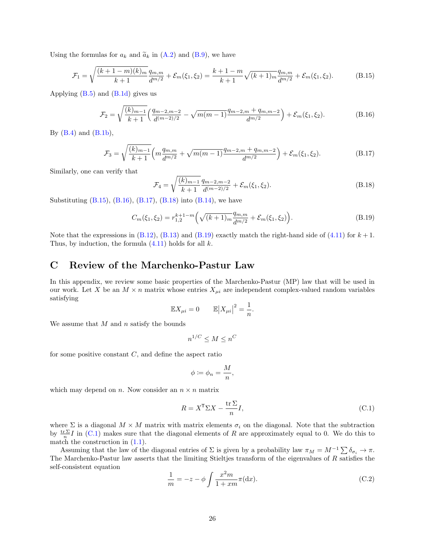Using the formulas for  $a_k$  and  $\tilde{a}_k$  in [\(A.2\)](#page-20-5) and [\(B.9\)](#page-24-2), we have

$$
\mathcal{F}_1 = \sqrt{\frac{(k+1-m)(k)_m}{k+1}} \frac{q_{m,m}}{d^{m/2}} + \mathcal{E}_m(\xi_1, \xi_2) = \frac{k+1-m}{k+1} \sqrt{(k+1)_m} \frac{q_{m,m}}{d^{m/2}} + \mathcal{E}_m(\xi_1, \xi_2).
$$
(B.15)

Applying  $(B.5)$  and  $(B.1d)$  gives us

$$
\mathcal{F}_2 = \sqrt{\frac{(k)_{m-1}}{k+1}} \left( \frac{q_{m-2,m-2}}{d^{(m-2)/2}} - \sqrt{m(m-1)} \frac{q_{m-2,m} + q_{m,m-2}}{d^{m/2}} \right) + \mathcal{E}_m(\xi_1, \xi_2). \tag{B.16}
$$

By  $(B.4)$  and  $(B.1b)$ ,

$$
\mathcal{F}_3 = \sqrt{\frac{(k)_{m-1}}{k+1}} \left( m \frac{q_{m,m}}{d^{m/2}} + \sqrt{m(m-1)} \frac{q_{m-2,m} + q_{m,m-2}}{d^{m/2}} \right) + \mathcal{E}_m(\xi_1, \xi_2). \tag{B.17}
$$

Similarly, one can verify that

<span id="page-25-7"></span><span id="page-25-6"></span><span id="page-25-5"></span><span id="page-25-4"></span><span id="page-25-3"></span>
$$
\mathcal{F}_4 = \sqrt{\frac{(k)_{m-1}}{k+1}} \frac{q_{m-2,m-2}}{d^{(m-2)/2}} + \mathcal{E}_m(\xi_1, \xi_2). \tag{B.18}
$$

Substituting [\(B.15\)](#page-25-3), [\(B.16\)](#page-25-4), [\(B.17\)](#page-25-5), [\(B.18\)](#page-25-6) into [\(B.14\)](#page-24-3), we have

$$
C_m(\xi_1, \xi_2) = r_{1,2}^{k+1-m} \left( \sqrt{(k+1)_m} \frac{q_{m,m}}{d^{m/2}} + \mathcal{E}_m(\xi_1, \xi_2) \right). \tag{B.19}
$$

Note that the expressions in  $(B.12)$ ,  $(B.13)$  and  $(B.19)$  exactly match the right-hand side of  $(4.11)$  for  $k+1$ . Thus, by induction, the formula  $(4.11)$  holds for all k.

### <span id="page-25-0"></span>C Review of the Marchenko-Pastur Law

In this appendix, we review some basic properties of the Marchenko-Pastur (MP) law that will be used in our work. Let X be an  $M \times n$  matrix whose entries  $X_{\mu i}$  are independent complex-valued random variables satisfying

$$
\mathbb{E}X_{\mu i} = 0 \qquad \mathbb{E}|X_{\mu i}|^2 = \frac{1}{n}.
$$

We assume that  $M$  and  $n$  satisfy the bounds

$$
n^{1/C} \le M \le n^C
$$

for some positive constant  $C$ , and define the aspect ratio

<span id="page-25-1"></span>
$$
\phi \coloneqq \phi_n = \frac{M}{n},
$$

which may depend on n. Now consider an  $n \times n$  matrix

<span id="page-25-2"></span>
$$
R = X^{\mathsf{T}} \Sigma X - \frac{\operatorname{tr} \Sigma}{n} I,\tag{C.1}
$$

where  $\Sigma$  is a diagonal  $M \times M$  matrix with matrix elements  $\sigma_i$  on the diagonal. Note that the subtraction by  $\frac{\text{tr} \Sigma}{n} I$  in [\(C.1\)](#page-25-1) makes sure that the diagonal elements of R are approximately equal to 0. We do this to match the construction in  $(1.1)$ .

Assuming that the law of the diagonal entries of  $\Sigma$  is given by a probability law  $\pi_M = M^{-1} \sum \delta_{\sigma_i} \to \pi$ . The Marchenko-Pastur law asserts that the limiting Stieltjes transform of the eigenvalues of R satisfies the self-consistent equation

$$
\frac{1}{m} = -z - \phi \int \frac{x^2 m}{1 + x m} \pi(\mathrm{d}x). \tag{C.2}
$$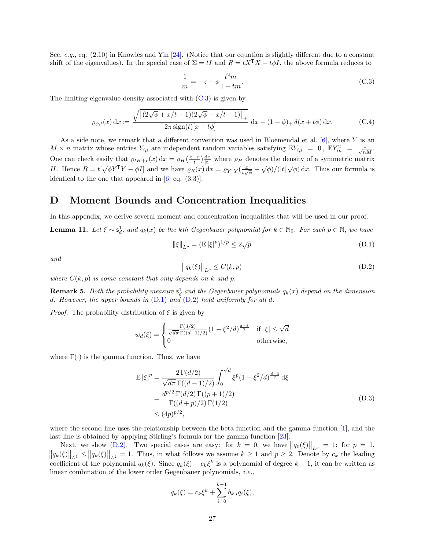See, e.g., eq.  $(2.10)$  in Knowles and Yin [\[24\]](#page-41-18). (Notice that our equation is slightly different due to a constant shift of the eigenvalues). In the special case of  $\Sigma = tI$  and  $R = tX^{\mathsf{T}}X - t\phi I$ , the above formula reduces to

<span id="page-26-3"></span><span id="page-26-2"></span>
$$
\frac{1}{m} = -z - \phi \frac{t^2 m}{1 + tm}.
$$
 (C.3)

The limiting eigenvalue density associated with [\(C.3\)](#page-26-3) is given by

$$
\varrho_{\phi,t}(x) dx := \frac{\sqrt{\left[ (2\sqrt{\phi} + x/t - 1)(2\sqrt{\phi} - x/t + 1) \right]_+}}{2\pi \operatorname{sign}(t)[x + t\phi]} dx + (1 - \phi)_+ \delta(x + t\phi) dx.
$$
 (C.4)

As a side note, we remark that a different convention was used in Bloemendal et al.  $[6]$ , where Y is an  $M \times n$  matrix whose entries  $Y_{i\mu}$  are independent random variables satisfying  $\mathbb{E}Y_{i\mu} = 0$ ,  $\mathbb{E}Y_{i\mu}^2 = \frac{1}{\sqrt{nM}}$ . One can check easily that  $\varrho_{tH+r}(x) dx = \varrho_H \left( \frac{x-r}{t} \right) \frac{dx}{|t|}$  where  $\varrho_H$  denotes the density of a symmetric matrix H. Hence  $R = t[\sqrt{\phi}Y^{\mathsf{T}}Y - \phi I]$  and we have  $\varrho_R(x) dx = \varrho_{Y^{\mathsf{T}}Y}(\frac{x}{t\sqrt{\phi}} + \sqrt{\phi})/(|t|\sqrt{\phi}) dx$ . Thus our formula is identical to the one that appeared in  $[6, \text{ eq. } (3.3)]$ .

### <span id="page-26-0"></span>D Moment Bounds and Concentration Inequalities

In this appendix, we derive several moment and concentration inequalities that will be used in our proof. **Lemma 11.** Let  $\xi \sim s_d^1$ , and  $q_k(x)$  be the kth Gegenbauer polynomial for  $k \in \mathbb{N}_0$ . For each  $p \in \mathbb{N}$ , we have

$$
\|\xi\|_{L^p} = (\mathbb{E}|\xi|^p)^{1/p} \le 2\sqrt{p} \tag{D.1}
$$

and

<span id="page-26-5"></span><span id="page-26-4"></span>
$$
\left\|q_k(\xi)\right\|_{L^p} \le C(k, p) \tag{D.2}
$$

where  $C(k, p)$  is some constant that only depends on k and p.

**Remark 5.** Both the probability measure  $s_d^1$  and the Gegenbauer polynomials  $q_k(x)$  depend on the dimension d. However, the upper bounds in  $(D.1)$  and  $(D.2)$  hold uniformly for all d.

*Proof.* The probability distribution of  $\xi$  is given by

$$
w_d(\xi) = \begin{cases} \frac{\Gamma(d/2)}{\sqrt{d\pi} \Gamma((d-1)/2)} (1 - \xi^2/d)^{\frac{d-3}{2}} & \text{if } |\xi| \le \sqrt{d} \\ 0 & \text{otherwise,} \end{cases}
$$

where  $\Gamma(\cdot)$  is the gamma function. Thus, we have

$$
\mathbb{E} |\xi|^p = \frac{2\,\Gamma(d/2)}{\sqrt{d\pi}\,\Gamma((d-1)/2)} \int_0^{\sqrt{d}} \xi^p (1 - \xi^2/d)^{\frac{d-3}{2}} \,\mathrm{d}\xi
$$
\n
$$
= \frac{d^{p/2}\,\Gamma(d/2)\,\Gamma((p+1)/2)}{\Gamma((d+p)/2)\,\Gamma(1/2)} \tag{D.3}
$$
\n
$$
\leq (4p)^{p/2},
$$

where the second line uses the relationship between the beta function and the gamma function [\[1\]](#page-40-8), and the last line is obtained by applying Stirling's formula for the gamma function [\[23\]](#page-41-19).

Next, we show [\(D.2\)](#page-26-5). Two special cases are easy: for  $k = 0$ , we have  $||q_0(\xi)||_{L^p} = 1$ ; for  $p = 1$ ,  $||q_k(\xi)||_{L^1} \leq ||q_k(\xi)||_{L^2} = 1$ . Thus, in what follows we assume  $k \geq 1$  and  $p \geq 2$ . Denote by  $c_k$  the leading coefficient of the polynomial  $q_k(\xi)$ . Since  $q_k(\xi) - c_k \xi^k$  is a polynomial of degree  $k-1$ , it can be written as linear combination of the lower order Gegenbauer polynomials, i.e.,

<span id="page-26-1"></span>
$$
q_k(\xi) = c_k \xi^k + \sum_{i=0}^{k-1} b_{k,i} q_i(\xi),
$$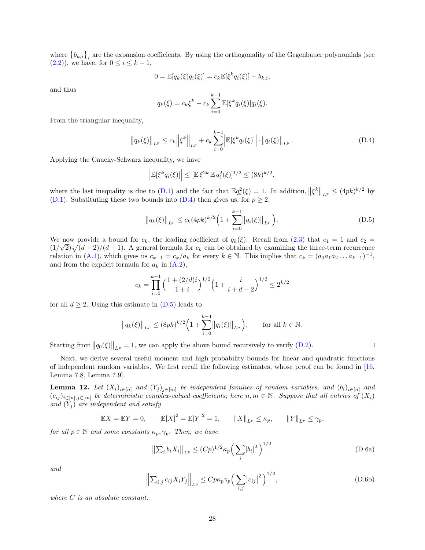where  ${b_{k,i}}_i$  are the expansion coefficients. By using the orthogonality of the Gegenbauer polynomials (see [\(2.2\)](#page-3-6)), we have, for  $0 \le i \le k - 1$ ,

$$
0 = \mathbb{E}[q_k(\xi)q_i(\xi)] = c_k \mathbb{E}[\xi^k q_i(\xi)] + b_{k,i},
$$

and thus

<span id="page-27-0"></span>
$$
q_k(\xi) = c_k \xi^k - c_k \sum_{i=0}^{k-1} \mathbb{E}[\xi^k q_i(\xi)] q_i(\xi).
$$

From the triangular inequality,

$$
\|q_k(\xi)\|_{L^p} \le c_k \left\|\xi^k\right\|_{L^p} + c_k \sum_{i=0}^{k-1} \left|\mathbb{E}[\xi^k q_i(\xi)]\right| \cdot \left\|q_i(\xi)\right\|_{L^p}.
$$
 (D.4)

Applying the Cauchy-Schwarz inequality, we have

$$
\left| \mathbb{E}[\xi^k q_i(\xi)] \right| \leq \left[ \mathbb{E} \xi^{2k} \mathbb{E} q_i^2(\xi) \right]^{1/2} \leq (8k)^{k/2},
$$

where the last inequality is due to [\(D.1\)](#page-26-4) and the fact that  $\mathbb{E}q_i^2(\xi) = 1$ . In addition,  $||\xi^k||_{L^p} \leq (4pk)^{k/2}$  by [\(D.1\)](#page-26-4). Substituting these two bounds into [\(D.4\)](#page-27-0) then gives us, for  $p \geq 2$ ,

$$
||q_k(\xi)||_{L^p} \le c_k (4pk)^{k/2} \Big( 1 + \sum_{i=0}^{k-1} ||q_i(\xi)||_{L^p} \Big). \tag{D.5}
$$

We now provide a bound for  $c_k$ , the leading coefficient of  $q_k(\xi)$ . Recall from [\(2.3\)](#page-3-9) that  $c_1 = 1$  and  $c_2 =$  $(1/\sqrt{2})\sqrt{(d+2)/(d-1)}$ . A general formula for  $c_k$  can be obtained by examining the three-term recurrence relation in [\(A.1\)](#page-20-4), which gives us  $c_{k+1} = c_k/a_k$  for every  $k \in \mathbb{N}$ . This implies that  $c_k = (a_0a_1a_2 \ldots a_{k-1})^{-1}$ , and from the explicit formula for  $a_k$  in  $(A.2)$ ,

$$
c_k = \prod_{i=0}^{k-1} \left( \frac{1 + (2/d)i}{1+i} \right)^{1/2} \left( 1 + \frac{i}{i+d-2} \right)^{1/2} \le 2^{k/2}
$$

for all  $d \geq 2$ . Using this estimate in  $(D.5)$  leads to

$$
||q_k(\xi)||_{L^p} \le (8pk)^{k/2} \Big( 1 + \sum_{i=0}^{k-1} ||q_i(\xi)||_{L^p} \Big), \quad \text{for all } k \in \mathbb{N}.
$$

Starting from  $||q_0(\xi)||_{L^p} = 1$ , we can apply the above bound recursively to verify [\(D.2\)](#page-26-5).

Next, we derive several useful moment and high probability bounds for linear and quadratic functions of independent random variables. We first recall the following estimates, whose proof can be found in [\[16,](#page-41-9) Lemma 7.8, Lemma 7.9].

<span id="page-27-3"></span>**Lemma 12.** Let  $(X_i)_{i\in[n]}$  and  $(Y_j)_{j\in[m]}$  be independent families of random variables, and  $(b_i)_{i\in[n]}$  and  $(c_{ij})_{i\in[n],j\in[m]}$  be deterministic complex-valued coefficients; here  $n,m\in\mathbb{N}$ . Suppose that all entries of  $(X_i)$ and  $(Y_i)$  are independent and satisfy

$$
\mathbb{E}X = \mathbb{E}Y = 0, \qquad \mathbb{E}|X|^2 = \mathbb{E}|Y|^2 = 1, \qquad \|X\|_{L^p} \le \kappa_p, \qquad \|Y\|_{L^p} \le \gamma_p,
$$

for all  $p \in \mathbb{N}$  and some constants  $\kappa_p, \gamma_p$ . Then, we have

$$
\left\| \sum_{i} b_{i} X_{i} \right\|_{L^{p}} \le (Cp)^{1/2} \kappa_{p} \left( \sum_{i} |b_{i}|^{2} \right)^{1/2}
$$
 (D.6a)

and

$$
\left\| \sum_{i,j} c_{ij} X_i Y_j \right\|_{L^p} \le C p \kappa_p \gamma_p \left( \sum_{i,j} |c_{ij}|^2 \right)^{1/2},\tag{D.6b}
$$

where C is an absolute constant.

<span id="page-27-4"></span><span id="page-27-2"></span><span id="page-27-1"></span> $\Box$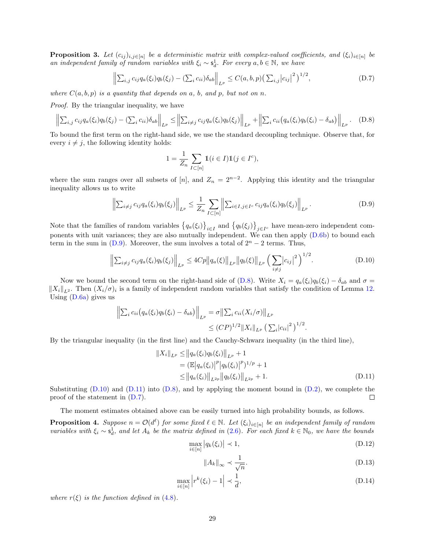**Proposition 3.** Let  $(c_{ij})_{i,j\in[n]}$  be a deterministic matrix with complex-valued coefficients, and  $(\xi_i)_{i\in[n]}$  be an independent family of random variables with  $\xi_i \sim s_d^1$ . For every  $a, b \in \mathbb{N}$ , we have

$$
\left\| \sum_{i,j} c_{ij} q_a(\xi_i) q_b(\xi_j) - (\sum_i c_{ii}) \delta_{ab} \right\|_{L^p} \le C(a, b, p) \left( \sum_{i,j} |c_{ij}|^2 \right)^{1/2}, \tag{D.7}
$$

where  $C(a, b, p)$  is a quantity that depends on a, b, and p, but not on n.

Proof. By the triangular inequality, we have

$$
\left\| \sum_{i,j} c_{ij} q_a(\xi_i) q_b(\xi_j) - (\sum_i c_{ii}) \delta_{ab} \right\|_{L^p} \le \left\| \sum_{i \neq j} c_{ij} q_a(\xi_i) q_b(\xi_j) \right\|_{L^p} + \left\| \sum_i c_{ii} \left( q_a(\xi_i) q_b(\xi_i) - \delta_{ab} \right) \right\|_{L^p}.
$$
 (D.8)

To bound the first term on the right-hand side, we use the standard decoupling technique. Observe that, for every  $i \neq j$ , the following identity holds:

<span id="page-28-7"></span><span id="page-28-5"></span><span id="page-28-4"></span><span id="page-28-3"></span>
$$
1 = \frac{1}{Z_n} \sum_{I \subset [n]} \mathbb{1}(i \in I) \mathbb{1}(j \in I^c),
$$

where the sum ranges over all subsets of [n], and  $Z_n = 2^{n-2}$ . Applying this identity and the triangular inequality allows us to write

$$
\left\| \sum_{i \neq j} c_{ij} q_a(\xi_i) q_b(\xi_j) \right\|_{L^p} \leq \frac{1}{Z_n} \sum_{I \subset [n]} \left\| \sum_{i \in I, j \in I^c} c_{ij} q_a(\xi_i) q_b(\xi_j) \right\|_{L^p}.
$$
 (D.9)

Note that the families of random variables  $\{q_a(\xi_i)\}_{i\in I}$  and  $\{q_b(\xi_j)\}_{j\in I_c}$  have mean-zero independent components with unit variances; they are also mutually independent. We can then apply [\(D.6b\)](#page-27-2) to bound each term in the sum in [\(D.9\)](#page-28-3). Moreover, the sum involves a total of  $2<sup>n</sup> - 2$  terms. Thus,

$$
\left\| \sum_{i \neq j} c_{ij} q_a(\xi_i) q_b(\xi_j) \right\|_{L^p} \le 4Cp \|q_a(\xi)\|_{L^p} \|q_b(\xi)\|_{L^p} \left(\sum_{i \neq j} |c_{ij}|^2\right)^{1/2}.
$$
 (D.10)

Now we bound the second term on the right-hand side of [\(D.8\)](#page-28-4). Write  $X_i = q_a(\xi_i)q_b(\xi_i) - \delta_{ab}$  and  $\sigma =$  $||X_i||_{L^2}$ . Then  $(X_i/\sigma)_i$  is a family of independent random variables that satisfy the condition of Lemma [12.](#page-27-3) Using  $(D.6a)$  gives us

$$
\left\| \sum_{i} c_{ii} (q_a(\xi_i) q_b(\xi_i) - \delta_{ab}) \right\|_{L^p} = \sigma \left\| \sum_{i} c_{ii} (X_i/\sigma) \right\|_{L^p}
$$
  

$$
\leq (CP)^{1/2} \|X_i\|_{L^p} \left( \sum_{i} |c_{ii}|^2 \right)^{1/2}.
$$

By the triangular inequality (in the first line) and the Cauchy-Schwarz inequality (in the third line),

$$
||X_i||_{L^p} \le ||q_a(\xi_i)q_b(\xi_i)||_{L^p} + 1
$$
  
=  $(\mathbb{E}|q_a(\xi_i)|^p|q_b(\xi_i)|^p)^{1/p} + 1$   
 $\le ||q_a(\xi_i)||_{L^{2p}}||q_b(\xi_i)||_{L^{2p}} + 1.$  (D.11)

Substituting  $(D.10)$  and  $(D.11)$  into  $(D.8)$ , and by applying the moment bound in  $(D.2)$ , we complete the proof of the statement in [\(D.7\)](#page-28-7).  $\Box$ 

The moment estimates obtained above can be easily turned into high probability bounds, as follows.

**Proposition 4.** Suppose  $n = \mathcal{O}(d^{\ell})$  for some fixed  $\ell \in \mathbb{N}$ . Let  $(\xi_i)_{i \in [n]}$  be an independent family of random variables with  $\xi_i \sim \mathsf{s}_d^1$ , and let  $A_k$  be the matrix defined in [\(2.6\)](#page-3-4). For each fixed  $k \in \mathbb{N}_0$ , we have the bounds

$$
\max_{i \in [n]} |q_k(\xi_i)| \prec 1,\tag{D.12}
$$

<span id="page-28-6"></span><span id="page-28-2"></span><span id="page-28-1"></span><span id="page-28-0"></span>
$$
||A_k||_{\infty} \prec \frac{1}{\sqrt{n}}.\tag{D.13}
$$

$$
\max_{i \in [n]} \left| r^k(\xi_i) - 1 \right| \prec \frac{1}{d},\tag{D.14}
$$

where  $r(\xi)$  is the function defined in [\(4.8\)](#page-11-7).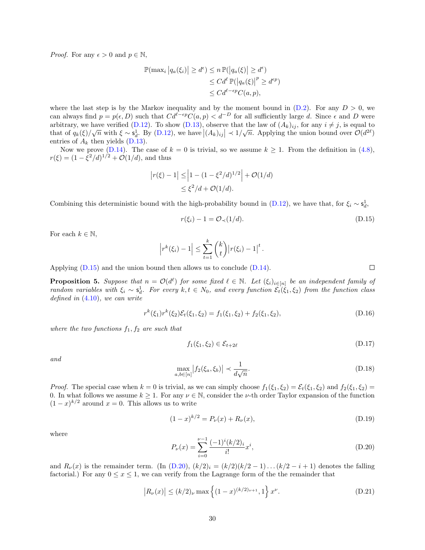*Proof.* For any  $\epsilon > 0$  and  $p \in \mathbb{N}$ ,

$$
\mathbb{P}(\max_{i} |q_a(\xi_i)| \ge d^{\epsilon}) \le n \mathbb{P}(|q_a(\xi)| \ge d^{\epsilon})
$$
  
\n
$$
\le C d^{\ell} \mathbb{P}(|q_a(\xi)|^p \ge d^{\epsilon p})
$$
  
\n
$$
\le C d^{\ell - \epsilon p} C(a, p),
$$

where the last step is by the Markov inequality and by the moment bound in  $(D.2)$ . For any  $D > 0$ , we can always find  $p = p(\epsilon, D)$  such that  $Cd^{\ell-\epsilon p}C(a, p) < d^{-D}$  for all sufficiently large d. Since  $\epsilon$  and D were arbitrary, we have verified [\(D.12\)](#page-28-0). To show [\(D.13\)](#page-28-1), observe that the law of  $(A_k)_{ij}$ , for any  $i \neq j$ , is equal to at but at y, we have verified [\(D.12\)](#page-28-0). To show (D.15), observe that the law of  $(A_k)_{ij}$ , for any  $i \neq j$ , is equal to that of  $q_k(\xi)/\sqrt{n}$  with  $\xi \sim s_d^1$ . By (D.12), we have  $|(A_k)_{ij}| \prec 1/\sqrt{n}$ . Applying the union bound over entries of  $A_k$  then yields [\(D.13\)](#page-28-1).

Now we prove [\(D.14\)](#page-28-2). The case of  $k = 0$  is trivial, so we assume  $k \ge 1$ . From the definition in [\(4.8\)](#page-11-7),  $r(\xi) = (1 - \xi^2/d)^{1/2} + \mathcal{O}(1/d)$ , and thus

$$
|r(\xi) - 1| \le |1 - (1 - \xi^2/d)^{1/2}| + \mathcal{O}(1/d)
$$
  

$$
\le \xi^2/d + \mathcal{O}(1/d).
$$

Combining this deterministic bound with the high-probability bound in [\(D.12\)](#page-28-0), we have that, for  $\xi_i \sim \mathsf{s}_d^1$ ,

$$
r(\xi_i) - 1 = \mathcal{O}_{\prec}(1/d). \tag{D.15}
$$

For each  $k \in \mathbb{N}$ ,

$$
|r^{k}(\xi_{i})-1| \leq \sum_{t=1}^{k} {k \choose t} |r(\xi_{i})-1|^{t}.
$$

Applying [\(D.15\)](#page-29-2) and the union bound then allows us to conclude [\(D.14\)](#page-28-2).

<span id="page-29-0"></span>**Proposition 5.** Suppose that  $n = \mathcal{O}(d^{\ell})$  for some fixed  $\ell \in \mathbb{N}$ . Let  $(\xi_i)_{i \in [n]}$  be an independent family of random variables with  $\xi_i \sim s_d^1$ . For every  $k, t \in N_0$ , and every function  $\mathcal{E}_t(\xi_1, \xi_2)$  from the function class defined in [\(4.10\)](#page-12-6), we can write

$$
r^{k}(\xi_{1})r^{k}(\xi_{2})\mathcal{E}_{t}(\xi_{1},\xi_{2}) = f_{1}(\xi_{1},\xi_{2}) + f_{2}(\xi_{1},\xi_{2}), \tag{D.16}
$$

where the two functions  $f_1, f_2$  are such that

$$
f_1(\xi_1, \xi_2) \in \mathcal{E}_{t+2\ell} \tag{D.17}
$$

and

$$
\max_{a,b \in [n]} |f_2(\xi_a, \xi_b)| \prec \frac{1}{d\sqrt{n}}.\tag{D.18}
$$

*Proof.* The special case when  $k = 0$  is trivial, as we can simply choose  $f_1(\xi_1, \xi_2) = \mathcal{E}_t(\xi_1, \xi_2)$  and  $f_2(\xi_1, \xi_2) =$ 0. In what follows we assume  $k \geq 1$ . For any  $\nu \in \mathbb{N}$ , consider the  $\nu$ -th order Taylor expansion of the function  $(1-x)^{k/2}$  around  $x=0$ . This allows us to write

$$
(1-x)^{k/2} = P_{\nu}(x) + R_{\nu}(x),
$$
\n(D.19)

where

<span id="page-29-6"></span>
$$
P_{\nu}(x) = \sum_{i=0}^{\nu-1} \frac{(-1)^{i} (k/2)_{i}}{i!} x^{i},
$$
\n(D.20)

and  $R_{\nu}(x)$  is the remainder term. (In [\(D.20\)](#page-29-3),  $(k/2)<sub>i</sub> = (k/2)(k/2 - 1)...(k/2 - i + 1)$  denotes the falling factorial.) For any  $0 \le x \le 1$ , we can verify from the Lagrange form of the the remainder that

$$
|R_{\nu}(x)| \le (k/2)_{\nu} \max\left\{ (1-x)^{(k/2)_{\nu+1}}, 1 \right\} x^{\nu}.
$$
 (D.21)

<span id="page-29-7"></span><span id="page-29-5"></span><span id="page-29-4"></span><span id="page-29-3"></span><span id="page-29-2"></span><span id="page-29-1"></span> $\Box$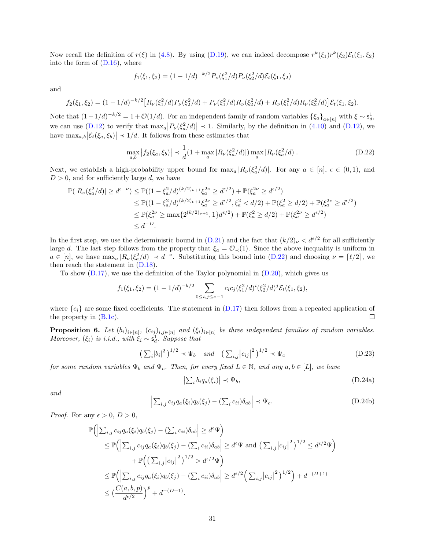Now recall the definition of  $r(\xi)$  in [\(4.8\)](#page-11-7). By using [\(D.19\)](#page-29-4), we can indeed decompose  $r^k(\xi_1)r^k(\xi_2)\mathcal{E}_t(\xi_1,\xi_2)$ into the form of  $(D.16)$ , where

$$
f_1(\xi_1, \xi_2) = (1 - 1/d)^{-k/2} P_{\nu}(\xi_1^2/d) P_{\nu}(\xi_2^2/d) \mathcal{E}_t(\xi_1, \xi_2)
$$

and

$$
f_2(\xi_1,\xi_2)=(1-1/d)^{-k/2}\big[R_\nu(\xi_1^2/d)P_\nu(\xi_2^2/d)+P_\nu(\xi_1^2/d)R_\nu(\xi_2^2/d)+R_\nu(\xi_1^2/d)R_\nu(\xi_2^2/d)\big]\mathcal{E}_t(\xi_1,\xi_2).
$$

Note that  $(1-1/d)^{-k/2} = 1 + \mathcal{O}(1/d)$ . For an independent family of random variables  $\{\xi_a\}_{a \in [n]}$  with  $\xi \sim s_d^1$ , we can use [\(D.12\)](#page-28-0) to verify that  $\max_{a}|P_{\nu}(\xi_a^2/d)| \prec 1$ . Similarly, by the definition in [\(4.10\)](#page-12-6) and (D.12), we have  $\max_{a,b} |\mathcal{E}_t(\xi_a, \xi_b)| \prec 1/d$ . It follows from these estimates that

<span id="page-30-3"></span>
$$
\max_{a,b} |f_2(\xi_a, \xi_b)| \prec \frac{1}{d} (1 + \max_a |R_\nu(\xi_a^2/d)|) \max_a |R_\nu(\xi_a^2/d)|. \tag{D.22}
$$

Next, we establish a high-probability upper bound for  $\max_a |R_{\nu}(\xi_a^2/d)|$ . For any  $a \in [n], \epsilon \in (0,1)$ , and  $D > 0$ , and for sufficiently large d, we have

$$
\mathbb{P}(|R_{\nu}(\xi_a^2/d)| \ge d^{\epsilon-\nu}) \le \mathbb{P}((1 - \xi_a^2/d)^{(k/2)\nu + 1} \xi_a^{2\nu} \ge d^{\epsilon/2}) + \mathbb{P}(\xi_a^{2\nu} \ge d^{\epsilon/2})
$$
  
\n
$$
\le \mathbb{P}((1 - \xi_a^2/d)^{(k/2)\nu + 1} \xi_a^{2\nu} \ge d^{\epsilon/2}, \xi_a^2 < d/2) + \mathbb{P}(\xi_a^2 \ge d/2) + \mathbb{P}(\xi_a^{2\nu} \ge d^{\epsilon/2})
$$
  
\n
$$
\le \mathbb{P}(\xi_a^{2\nu} \ge \max\{2^{(k/2)\nu + 1}, 1\} d^{\epsilon/2}) + \mathbb{P}(\xi_a^2 \ge d/2) + \mathbb{P}(\xi_a^{2\nu} \ge d^{\epsilon/2})
$$
  
\n
$$
\le d^{-D}.
$$

In the first step, we use the deterministic bound in [\(D.21\)](#page-29-6) and the fact that  $(k/2)_{\nu} < d^{\epsilon/2}$  for all sufficiently large d. The last step follows from the property that  $\xi_a = \mathcal{O}_{\prec}(1)$ . Since the above inequality is uniform in  $a \in [n]$ , we have  $\max_a |R_{\nu}(\xi_a^2/d)| \prec d^{-\nu}$ . Substituting this bound into  $(D.22)$  and choosing  $\nu = [\ell/2]$ , we then reach the statement in [\(D.18\)](#page-29-1).

To show  $(D.17)$ , we use the definition of the Taylor polynomial in  $(D.20)$ , which gives us

$$
f_1(\xi_1, \xi_2) = (1 - 1/d)^{-k/2} \sum_{0 \le i, j \le \nu - 1} c_i c_j (\xi_1^2 / d)^i (\xi_2^2 / d)^j \mathcal{E}_t(\xi_1, \xi_2),
$$

where  ${c_i}$  are some fixed coefficients. The statement in [\(D.17\)](#page-29-7) then follows from a repeated application of the property in [\(B.1c\)](#page-22-2).  $\Box$ 

<span id="page-30-1"></span>**Proposition 6.** Let  $(b_i)_{i \in [n]}$ ,  $(c_{ij})_{i,j \in [n]}$  and  $(\xi_i)_{i \in [n]}$  be three independent families of random variables. Moreover,  $(\xi_i)$  is i.i.d., with  $\xi_i \sim \mathsf{s}_d^1$ . Suppose that

$$
\left(\sum_{i} |b_{i}|^{2}\right)^{1/2} \prec \Psi_{b} \quad \text{and} \quad \left(\sum_{i,j} |c_{ij}|^{2}\right)^{1/2} \prec \Psi_{c} \tag{D.23}
$$

for some random variables  $\Psi_b$  and  $\Psi_c$ . Then, for every fixed  $L \in \mathbb{N}$ , and any  $a, b \in [L]$ , we have

<span id="page-30-4"></span><span id="page-30-2"></span><span id="page-30-0"></span>
$$
\left| \sum_{i} b_i q_a(\xi_i) \right| \prec \Psi_b,\tag{D.24a}
$$

and

$$
\left| \sum_{i,j} c_{ij} q_a(\xi_i) q_b(\xi_j) - (\sum_i c_{ii}) \delta_{ab} \right| \prec \Psi_c.
$$
 (D.24b)

*Proof.* For any  $\epsilon > 0$ ,  $D > 0$ ,

$$
\mathbb{P}\Big(\Big|\sum_{i,j}c_{ij}q_a(\xi_i)q_b(\xi_j) - \langle \sum_i c_{ii}\rangle\delta_{ab}\Big| \ge d^{\epsilon}\Psi\Big)
$$
\n
$$
\le \mathbb{P}\Big(\Big|\sum_{i,j}c_{ij}q_a(\xi_i)q_b(\xi_j) - \langle \sum_i c_{ii}\rangle\delta_{ab}\Big| \ge d^{\epsilon}\Psi \text{ and } \big(\sum_{i,j}|c_{ij}|^2\big)^{1/2} \le d^{\epsilon/2}\Psi\Big)
$$
\n
$$
+ \mathbb{P}\Big(\Big(\sum_{i,j}|c_{ij}|^2\Big)^{1/2} > d^{\epsilon/2}\Psi\Big)
$$
\n
$$
\le \mathbb{P}\Big(\Big|\sum_{i,j}c_{ij}q_a(\xi_i)q_b(\xi_j) - \langle \sum_i c_{ii}\rangle\delta_{ab}\Big| \ge d^{\epsilon/2}\Big(\sum_{i,j}|c_{ij}|^2\Big)^{1/2}\Big) + d^{-(D+1)}
$$
\n
$$
\le \Big(\frac{C(a,b,p)}{d^{\epsilon/2}}\Big)^p + d^{-(D+1)}.
$$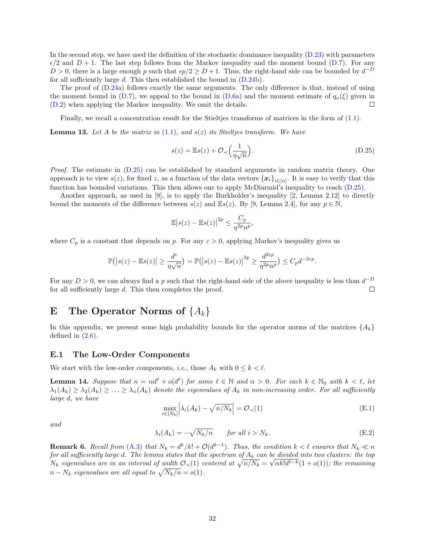In the second step, we have used the definition of the stochastic dominance inequality [\(D.23\)](#page-30-4) with parameters  $\epsilon/2$  and  $D+1$ . The last step follows from the Markov inequality and the moment bound [\(D.7\)](#page-28-7). For any  $D > 0$ , there is a large enough p such that  $\epsilon p/2 \ge D+1$ . Thus, the right-hand side can be bounded by  $d^{-D}$ for all sufficiently large  $d$ . This then established the bound in  $(D.24b)$ .

The proof of [\(D.24a\)](#page-30-2) follows exactly the same arguments. The only difference is that, instead of using the moment bound in  $(D.7)$ , we appeal to the bound in  $(D.6a)$  and the moment estimate of  $q_a(\xi)$  given in [\(D.2\)](#page-26-5) when applying the Markov inequality. We omit the details.  $\Box$ 

Finally, we recall a concentration result for the Stieltjes transforms of matrices in the form of [\(1.1\)](#page-1-1).

<span id="page-31-2"></span>**Lemma 13.** Let A be the matrix in  $(1.1)$ , and  $s(z)$  its Stieltjes transform. We have

<span id="page-31-4"></span>
$$
s(z) = \mathbb{E}s(z) + \mathcal{O}_{\prec}\left(\frac{1}{\eta\sqrt{n}}\right). \tag{D.25}
$$

Proof. The estimate in [\(D.25\)](#page-31-4) can be established by standard arguments in random matrix theory. One approach is to view  $s(z)$ , for fixed z, as a function of the data vectors  $\{x_i\}_{i\in[n]}$ . It is easy to verify that this function has bounded variations. This then allows one to apply McDiarmid's inequality to reach [\(D.25\)](#page-31-4).

Another approach, as used in [\[9\]](#page-40-0), is to apply the Burkholder's inequality [\[2,](#page-40-9) Lemma 2.12] to directly bound the moments of the difference between  $s(z)$  and  $\mathbb{E}s(z)$ . By [\[9,](#page-40-0) Lemma 2.4], for any  $p \in \mathbb{N}$ ,

$$
\mathbb{E}|s(z) - \mathbb{E}s(z)|^{2p} \le \frac{C_p}{\eta^{2p}n^p},
$$

where  $C_p$  is a constant that depends on p. For any  $\varepsilon > 0$ , applying Markov's inequality gives us

$$
\mathbb{P}(|s(z) - \mathbb{E} s(z)| \ge \frac{d^{\varepsilon}}{\eta \sqrt{n}}) = \mathbb{P}(|s(z) - \mathbb{E} s(z)|^{2p} \ge \frac{d^{2\varepsilon p}}{\eta^{2p} n^p}) \le C_p d^{-2\varepsilon p}.
$$

For any  $D > 0$ , we can always find a p such that the right-hand side of the above inequality is less than  $d^{-D}$ for all sufficiently large d. This then completes the proof.  $\Box$ 

# <span id="page-31-0"></span>E The Operator Norms of  $\{A_k\}$

In this appendix, we present some high probability bounds for the operator norms of the matrices  $\{A_k\}$ defined in  $(2.6)$ .

#### <span id="page-31-1"></span>E.1 The Low-Order Components

We start with the low-order components, *i.e.*, those  $A_k$  with  $0 \le k \le \ell$ .

<span id="page-31-3"></span>**Lemma 14.** Suppose that  $n = \alpha d^{\ell} + o(d^{\ell})$  for some  $\ell \in \mathbb{N}$  and  $\alpha > 0$ . For each  $k \in \mathbb{N}_0$  with  $k < \ell$ , let  $\lambda_1(A_k) \geq \lambda_2(A_k) \geq \ldots \geq \lambda_n(A_k)$  denote the eigenvalues of  $A_k$  in non-increasing order. For all sufficiently large d, we have

<span id="page-31-6"></span><span id="page-31-5"></span>
$$
\max_{i \in [N_k]} \left| \lambda_i(A_k) - \sqrt{n/N_k} \right| = \mathcal{O}_{\prec}(1) \tag{E.1}
$$

and

$$
\lambda_i(A_k) = -\sqrt{N_k/n} \qquad \text{for all } i > N_k. \tag{E.2}
$$

**Remark 6.** Recall from  $(A.3)$  that  $N_k = d^k/k! + \mathcal{O}(d^{k-1})$ . Thus, the condition  $k < \ell$  ensures that  $N_k \ll n$ for all sufficiently large  $d$ . The lemma states that the spectrum of  $A_k$  can be divided into two clusters: the top  $N_k$  eigenvalues are in an interval of width  $\mathcal{O}_{\prec}(1)$  centered at  $\sqrt{n/N_k} = \sqrt{\alpha k! d^{\ell-k}} (1+o(1))$ ; the remaining  $n - N_k$  eigenvalues are all equal to  $\sqrt{N_k/n} = o(1)$ .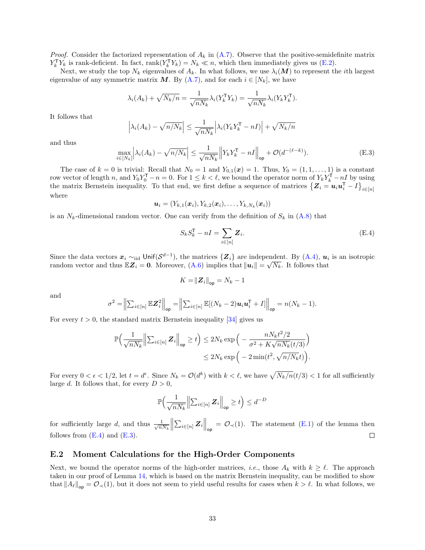*Proof.* Consider the factorized representation of  $A_k$  in  $(A.7)$ . Observe that the positive-semidefinite matrix  $Y_k^{\mathsf{T}} Y_k$  is rank-deficient. In fact, rank $(Y_k^{\mathsf{T}} Y_k) = N_k \ll n$ , which then immediately gives us [\(E.2\)](#page-31-5).

Next, we study the top  $N_k$  eigenvalues of  $A_k$ . In what follows, we use  $\lambda_i(\mathbf{M})$  to represent the *i*th largest eigenvalue of any symmetric matrix  $M$ . By  $(A.7)$ , and for each  $i \in [N_k]$ , we have

$$
\lambda_i(A_k) + \sqrt{N_k/n} = \frac{1}{\sqrt{nN_k}} \lambda_i(Y_k^{\mathsf{T}} Y_k) = \frac{1}{\sqrt{nN_k}} \lambda_i(Y_k Y_k^{\mathsf{T}}).
$$

It follows that

$$
\left|\lambda_i(A_k) - \sqrt{n/N_k}\right| \le \frac{1}{\sqrt{nN_k}} \left|\lambda_i(Y_k Y_k^{\mathsf{T}} - nI)\right| + \sqrt{N_k/n}
$$

and thus

$$
\max_{i \in [N_k]} \left| \lambda_i(A_k) - \sqrt{n/N_k} \right| \le \frac{1}{\sqrt{nN_k}} \left\| Y_k Y_k^{\mathsf{T}} - nI \right\|_{\text{op}} + \mathcal{O}(d^{-(\ell-k)}).
$$
\n(E.3)

The case of  $k = 0$  is trivial: Recall that  $N_0 = 1$  and  $Y_{0,1}(x) = 1$ . Thus,  $Y_0 = (1, 1, \ldots, 1)$  is a constant row vector of length n, and  $Y_0 Y_0^{\mathsf{T}} - n = 0$ . For  $1 \leq k < \ell$ , we bound the operator norm of  $Y_k Y_k^{\mathsf{T}} - nI$  by using the matrix Bernstein inequality. To that end, we first define a sequence of matrices  $\{Z_i = u_i u_i^{\mathsf{T}} - I\}_{i \in [n]}$ where

$$
\boldsymbol{u}_i=(Y_{k,1}(\boldsymbol{x}_i),Y_{k,2}(\boldsymbol{x}_i),\ldots,Y_{k,N_k}(\boldsymbol{x}_i))
$$

is an  $N_k$ -dimensional random vector. One can verify from the definition of  $S_k$  in  $(A.8)$  that

<span id="page-32-2"></span><span id="page-32-1"></span>
$$
S_k S_k^{\mathsf{T}} - nI = \sum_{i \in [n]} \mathbf{Z}_i.
$$
 (E.4)

Since the data vectors  $x_i \sim_{\text{iid}} \text{Unif}(\mathcal{S}^{d-1})$ , the matrices  $\{Z_i\}$  are independent. By  $(A.4)$ ,  $u_i$  is an isotropic random vector and thus  $\mathbb{E}Z_i = 0$ . Moreover,  $(A.6)$  implies that  $||u_i|| = \sqrt{N_k}$ . It follows that

$$
K = ||\boldsymbol{Z}_i||_{op} = N_k - 1
$$

and

$$
\sigma^2 = \left\| \sum_{i \in [n]} \mathbb{E} \mathbf{Z}_i^2 \right\|_{\text{op}} = \left\| \sum_{i \in [n]} \mathbb{E} [(N_k - 2) \mathbf{u}_i \mathbf{u}_i^{\mathsf{T}} + I] \right\|_{\text{op}} = n(N_k - 1).
$$

For every  $t > 0$ , the standard matrix Bernstein inequality [\[34\]](#page-42-2) gives us

$$
\mathbb{P}\Big(\frac{1}{\sqrt{nN_k}} \Big\| \sum_{i \in [n]} \mathbf{Z}_i \Big\|_{\mathrm{op}} \ge t\Big) \le 2N_k \exp\Big(-\frac{nN_k t^2/2}{\sigma^2 + K\sqrt{nN_k}(t/3)}\Big) \le 2N_k \exp\Big(-2\min(t^2, \sqrt{n/N_k}t)\Big).
$$

For every  $0 < \epsilon < 1/2$ , let  $t = d^{\epsilon}$ . Since  $N_k = \mathcal{O}(d^k)$  with  $k < \ell$ , we have  $\sqrt{N_k/n}(t/3) < 1$  for all sufficiently large d. It follows that, for every  $D > 0$ ,

$$
\mathbb{P}\Big(\frac{1}{\sqrt{nN_k}}\Big\lVert\sum_{i\in[n]}\mathbf{Z}_i\Big\rVert_{\text{op}}\geq t\Big)\leq d^{-D}
$$

 $\left\| \sum_{i\in[n]} Z_i \right\|_{op} = \mathcal{O}_{\prec}(1)$ . The statement [\(E.1\)](#page-31-6) of the lemma then for sufficiently large d, and thus  $\frac{1}{\sqrt{n}}$  $\overline{nN_k}$  $\Box$ follows from  $(E.4)$  and  $(E.3)$ .

#### <span id="page-32-0"></span>E.2 Moment Calculations for the High-Order Components

Next, we bound the operator norms of the high-order matrices, *i.e.*, those  $A_k$  with  $k \geq \ell$ . The approach taken in our proof of Lemma [14,](#page-31-3) which is based on the matrix Bernstein inequality, can be modified to show that  $||A_\ell||_{op} = \mathcal{O}_{\prec}(1)$ , but it does not seem to yield useful results for cases when  $k > \ell$ . In what follows, we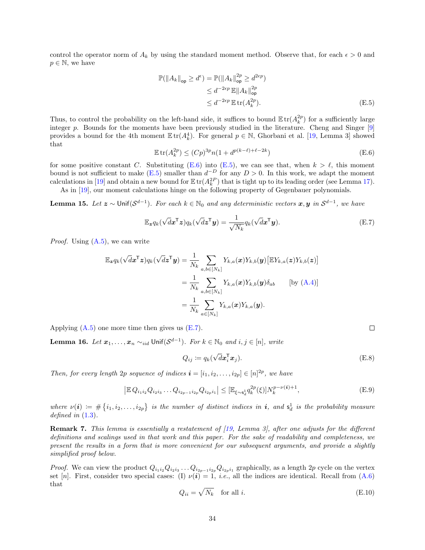control the operator norm of  $A_k$  by using the standard moment method. Observe that, for each  $\epsilon > 0$  and  $p \in \mathbb{N}$ , we have

<span id="page-33-1"></span>
$$
\mathbb{P}(\|A_k\|_{\text{op}} \ge d^{\epsilon}) = \mathbb{P}(\|A_k\|_{\text{op}}^{2p} \ge d^{2\epsilon p})
$$
  
\n
$$
\le d^{-2\epsilon p} \mathbb{E}\|A_k\|_{\text{op}}^{2p}
$$
  
\n
$$
\le d^{-2\epsilon p} \mathbb{E}\operatorname{tr}(A_k^{2p}).
$$
\n(E.5)

Thus, to control the probability on the left-hand side, it suffices to bound  $\mathbb{E} \text{tr}(A_k^{2p})$  for a sufficiently large integer p. Bounds for the moments have been previously studied in the literature. Cheng and Singer [\[9\]](#page-40-0) provides a bound for the 4th moment  $\mathbb{E} \text{tr}(A_k^4)$ . For general  $p \in \mathbb{N}$ , Ghorbani et al. [\[19,](#page-41-16) Lemma 3] showed that

$$
\mathbb{E}\operatorname{tr}(A_k^{2p}) \le (Cp)^{3p} n(1 + d^{p(k-\ell)+\ell-2k})\tag{E.6}
$$

for some positive constant C. Substituting [\(E.6\)](#page-33-0) into [\(E.5\)](#page-33-1), we can see that, when  $k > \ell$ , this moment bound is not sufficient to make [\(E.5\)](#page-33-1) smaller than  $d^{-D}$  for any  $D > 0$ . In this work, we adapt the moment calculations in [\[19\]](#page-41-16) and obtain a new bound for  $\mathbb{E} \text{tr}(A_k^{2P})$  that is tight up to its leading order (see Lemma [17\)](#page-35-0).

As in [\[19\]](#page-41-16), our moment calculations hinge on the following property of Gegenbauer polynomials.

**Lemma 15.** Let  $z \sim$  Unif $(S^{d-1})$ . For each  $k \in \mathbb{N}_0$  and any deterministic vectors  $x, y$  in  $S^{d-1}$ , we have

$$
\mathbb{E}_{\boldsymbol{z}} q_k(\sqrt{d}\boldsymbol{x}^{\mathsf{T}}\boldsymbol{z}) q_k(\sqrt{d}\boldsymbol{z}^{\mathsf{T}}\boldsymbol{y}) = \frac{1}{\sqrt{N_k}} q_k(\sqrt{d}\boldsymbol{x}^{\mathsf{T}}\boldsymbol{y}).
$$
\n(E.7)

*Proof.* Using  $(A.5)$ , we can write

$$
\mathbb{E}_{\boldsymbol{z}} q_k(\sqrt{d}\boldsymbol{x}^{\mathsf{T}}\boldsymbol{z}) q_k(\sqrt{d}\boldsymbol{z}^{\mathsf{T}}\boldsymbol{y}) = \frac{1}{N_k} \sum_{a,b \in [N_k]} Y_{k,a}(\boldsymbol{x}) Y_{k,b}(\boldsymbol{y}) \big[ \mathbb{E} Y_{k,a}(\boldsymbol{z}) Y_{k,b}(\boldsymbol{z}) \big] \n= \frac{1}{N_k} \sum_{a,b \in [N_k]} Y_{k,a}(\boldsymbol{x}) Y_{k,b}(\boldsymbol{y}) \delta_{ab} \qquad \text{[by (A.4)]} \n= \frac{1}{N_k} \sum_{a \in [N_k]} Y_{k,a}(\boldsymbol{x}) Y_{k,a}(\boldsymbol{y}).
$$

Applying  $(A.5)$  one more time then gives us  $(E.7)$ .

<span id="page-33-6"></span>Lemma 16. Let  $x_1, \ldots, x_n \sim_{iid}$  Unif $(\mathcal{S}^{d-1})$ . For  $k \in \mathbb{N}_0$  and  $i, j \in [n]$ , write

$$
Q_{ij} := q_k(\sqrt{d} \mathbf{x}_i^{\mathsf{T}} \mathbf{x}_j). \tag{E.8}
$$

Then, for every length 2p sequence of indices  $\mathbf{i} = [i_1, i_2, \ldots, i_{2p}] \in [n]^{2p}$ , we have

$$
\left| \mathbb{E} Q_{i_1 i_2} Q_{i_2 i_3} \dots Q_{i_{2p-1} i_{2p}} Q_{i_{2p} i_1} \right| \leq \left[ \mathbb{E}_{\xi \sim s_d^1} q_k^{2p}(\xi) \right] N_k^{p-\nu(i)+1},\tag{E.9}
$$

where  $\nu(i) := \#\{i_1, i_2, \ldots, i_{2p}\}\$  is the number of distinct indices in **i**, and  $s_d^1$  is the probability measure defined in  $(1.3)$ .

Remark 7. This lemma is essentially a restatement of [\[19,](#page-41-16) Lemma 3], after one adjusts for the different definitions and scalings used in that work and this paper. For the sake of readability and completeness, we present the results in a form that is more convenient for our subsequent arguments, and provide a slightly simplified proof below.

*Proof.* We can view the product  $Q_{i_1i_2}Q_{i_2i_3}\ldots Q_{i_{2p-1}i_{2p}}Q_{i_{2p}i_1}$  graphically, as a length 2p cycle on the vertex set [n]. First, consider two special cases: (I)  $\nu(i) = 1$ , *i.e.*, all the indices are identical. Recall from [\(A.6\)](#page-20-3) that

$$
Q_{ii} = \sqrt{N_k} \quad \text{for all } i. \tag{E.10}
$$

<span id="page-33-5"></span><span id="page-33-4"></span><span id="page-33-3"></span><span id="page-33-2"></span><span id="page-33-0"></span> $\Box$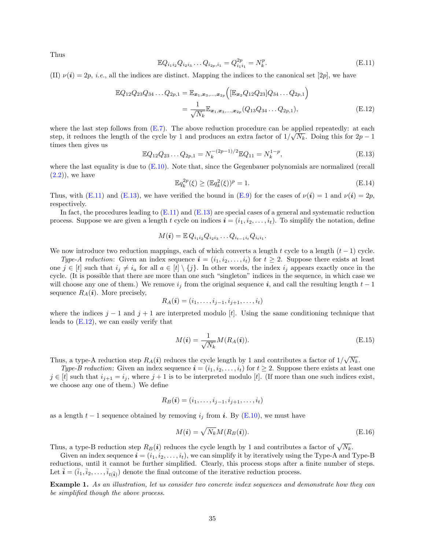Thus

<span id="page-34-0"></span>
$$
\mathbb{E}Q_{i_1i_2}Q_{i_2i_3}\dots Q_{i_{2p},i_1} = Q_{i_1i_1}^{2p} = N_k^p.
$$
\n(E.11)

(II)  $\nu(i) = 2p$ , *i.e.*, all the indices are distinct. Mapping the indices to the canonical set [2p], we have

$$
\mathbb{E}Q_{12}Q_{23}Q_{34}\dots Q_{2p,1} = \mathbb{E}_{x_1,x_3,\dots,x_{2p}}\Big([\mathbb{E}_{x_2}Q_{12}Q_{23}]Q_{34}\dots Q_{2p,1}\Big) \n= \frac{1}{\sqrt{N_k}}\mathbb{E}_{x_1,x_3,\dots,x_{2p}}(Q_{13}Q_{34}\dots Q_{2p,1}),
$$
\n(E.12)

where the last step follows from  $(E.7)$ . The above reduction procedure can be applied repeatedly: at each step, it reduces the length of the cycle by 1 and produces an extra factor of  $1/\sqrt{N_k}$ . Doing this for  $2p-1$ times then gives us

$$
\mathbb{E}Q_{12}Q_{23}\dots Q_{2p,1} = N_k^{-(2p-1)/2}\mathbb{E}Q_{11} = N_k^{1-p},\tag{E.13}
$$

where the last equality is due to  $(E.10)$ . Note that, since the Gegenbauer polynomials are normalized (recall  $(2.2)$ , we have

<span id="page-34-5"></span><span id="page-34-2"></span><span id="page-34-1"></span>
$$
\mathbb{E}q_k^{2p}(\xi) \ge (\mathbb{E}q_k^2(\xi))^p = 1.
$$
\n(E.14)

Thus, with [\(E.11\)](#page-34-0) and [\(E.13\)](#page-34-1), we have verified the bound in [\(E.9\)](#page-33-4) for the cases of  $\nu(i) = 1$  and  $\nu(i) = 2p$ , respectively.

In fact, the procedures leading to  $(E.11)$  and  $(E.13)$  are special cases of a general and systematic reduction process. Suppose we are given a length t cycle on indices  $\mathbf{i} = (i_1, i_2, \dots, i_t)$ . To simplify the notation, define

$$
M(i) = \mathbb{E} Q_{i_1 i_2} Q_{i_2 i_3} \dots Q_{i_{t-1} i_t} Q_{i_t i_1}.
$$

We now introduce two reduction mappings, each of which converts a length t cycle to a length  $(t-1)$  cycle.

Type-A reduction: Given an index sequence  $\mathbf{i} = (i_1, i_2, \ldots, i_t)$  for  $t \geq 2$ . Suppose there exists at least one  $j \in [t]$  such that  $i_j \neq i_a$  for all  $a \in [t] \setminus \{j\}$ . In other words, the index  $i_j$  appears exactly once in the cycle. (It is possible that there are more than one such "singleton" indices in the sequence, in which case we will choose any one of them.) We remove  $i_j$  from the original sequence i, and call the resulting length  $t-1$ sequence  $R_A(i)$ . More precisely,

$$
R_A(\boldsymbol{i})=(i_1,\ldots,i_{j-1},i_{j+1},\ldots,i_t)
$$

where the indices  $j-1$  and  $j+1$  are interpreted modulo [t]. Using the same conditioning technique that leads to [\(E.12\)](#page-34-2), we can easily verify that

<span id="page-34-3"></span>
$$
M(\boldsymbol{i}) = \frac{1}{\sqrt{N_k}} M(R_A(\boldsymbol{i})).
$$
\n(E.15)

Thus, a type-A reduction step  $R_A(i)$  reduces the cycle length by 1 and contributes a factor of  $1/\sqrt{N_k}$ .

Type-B reduction: Given an index sequence  $\boldsymbol{i} = (i_1, i_2, \ldots, i_t)$  for  $t \geq 2$ . Suppose there exists at least one  $j \in [t]$  such that  $i_{j+1} = i_j$ , where  $j+1$  is to be interpreted modulo [t]. (If more than one such indices exist, we choose any one of them.) We define

$$
R_B(\boldsymbol{i})=(i_1,\ldots,i_{j-1},i_{j+1},\ldots,i_t)
$$

as a length  $t-1$  sequence obtained by removing  $i_j$  from i. By [\(E.10\)](#page-33-3), we must have

<span id="page-34-4"></span>
$$
M(\boldsymbol{i}) = \sqrt{N_k} M(R_B(\boldsymbol{i})).
$$
\n(E.16)

Thus, a type-B reduction step  $R_B(i)$  reduces the cycle length by 1 and contributes a factor of  $\sqrt{N_k}$ .

Given an index sequence  $\boldsymbol{i} = (i_1, i_2, \ldots, i_t)$ , we can simplify it by iteratively using the Type-A and Type-B reductions, until it cannot be further simplified. Clearly, this process stops after a finite number of steps. Let  $\vec{i} = (\vec{i}_1, \vec{i}_2, \dots, \vec{i}_{t(\vec{i})})$  denote the final outcome of the iterative reduction process.

Example 1. As an illustration, let us consider two concrete index sequences and demonstrate how they can be simplified though the above process.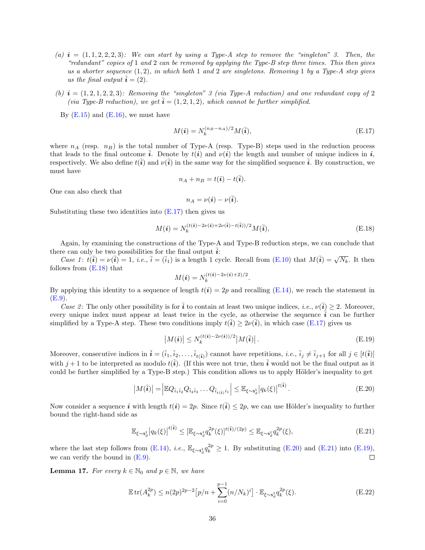- (a)  $\mathbf{i} = (1, 1, 2, 2, 2, 3)$ : We can start by using a Type-A step to remove the "singleton" 3. Then, the "redundant" copies of 1 and 2 can be removed by applying the Type-B step three times. This then gives us a shorter sequence  $(1, 2)$ , in which both 1 and 2 are singletons. Removing 1 by a Type-A step gives us the final output  $\bar{i} = (2)$ .
- (b)  $i = (1, 2, 1, 2, 2, 3)$ : Removing the "singleton" 3 (via Type-A reduction) and one redundant copy of 2 (via Type-B reduction), we get  $\overline{i} = (1, 2, 1, 2)$ , which cannot be further simplified.

By  $(E.15)$  and  $(E.16)$ , we must have

<span id="page-35-1"></span>
$$
M(\boldsymbol{i}) = N_k^{(n_B - n_A)/2} M(\bar{\boldsymbol{i}}),\tag{E.17}
$$

where  $n_A$  (resp.  $n_B$ ) is the total number of Type-A (resp. Type-B) steps used in the reduction process that leads to the final outcome  $\vec{i}$ . Denote by  $t(i)$  and  $\nu(i)$  the length and number of unique indices in  $\vec{i}$ , respectively. We also define  $t(\bar{i})$  and  $\nu(\bar{i})$  in the same way for the simplified sequence  $\bar{i}$ . By construction, we must have

$$
n_A + n_B = t(\mathbf{i}) - t(\overline{\mathbf{i}}).
$$

One can also check that

<span id="page-35-2"></span>
$$
n_A = \nu(i) - \nu(\overline{i}).
$$

Substituting these two identities into  $(E.17)$  then gives us

$$
M(\boldsymbol{i}) = N_k^{(t(\boldsymbol{i}) - 2\nu(\boldsymbol{i}) + 2\nu(\boldsymbol{i}) - t(\boldsymbol{i}))/2} M(\boldsymbol{i}),
$$
\n(E.18)

Again, by examining the constructions of the Type-A and Type-B reduction steps, we can conclude that there can only be two possibilities for the final output  $\overline{i}$ :

Case 1:  $t(\overline{i}) = \nu(\overline{i}) = 1$ , *i.e.*,  $\overline{i} = (\overline{i}_1)$  is a length 1 cycle. Recall from [\(E.10\)](#page-33-3) that  $M(\overline{i}) = \sqrt{N_k}$ . It then follows from [\(E.18\)](#page-35-2) that

$$
M(\textbf{\textit{i}})=N_{k}^{(t(\textbf{\textit{i}})-2\nu(\textbf{\textit{i}})+2)/2}.
$$

By applying this identity to a sequence of length  $t(i) = 2p$  and recalling [\(E.14\)](#page-34-5), we reach the statement in [\(E.9\)](#page-33-4).

Case 2: The only other possibility is for  $\bar{i}$  to contain at least two unique indices, *i.e.*,  $\nu(\bar{i}) \geq 2$ . Moreover, every unique index must appear at least twice in the cycle, as otherwise the sequence  $\vec{i}$  can be further simplified by a Type-A step. These two conditions imply  $\ell(\bar{i}) \geq 2\nu(\bar{i})$ , in which case [\(E.17\)](#page-35-1) gives us

<span id="page-35-5"></span><span id="page-35-4"></span><span id="page-35-3"></span>
$$
\left|M(i)\right| \le N_k^{(t(i)-2\nu(i))/2} \left|M(\overline{i})\right|.
$$
\n(E.19)

Moreover, consecutive indices in  $\overline{i} = (\overline{i}_1, \overline{i}_2, \dots, \overline{i}_{t(\overline{i})})$  cannot have repetitions, *i.e.*,  $\overline{i}_j \neq \overline{i}_{j+1}$  for all  $j \in [t(\overline{i})]$ with  $j+1$  to be interpreted as modulo  $t(\bar{\mathbf{i}})$ . (If this were not true, then  $\bar{\mathbf{i}}$  would not be the final output as it could be further simplified by a Type-B step.) This condition allows us to apply Hölder's inequality to get

$$
\left| M(\overline{\mathbf{i}}) \right| = \left| \mathbb{E} Q_{\overline{i}_1 \overline{i}_2} Q_{\overline{i}_2 \overline{i}_3} \dots Q_{\overline{i}_{t(\overline{\mathbf{i}})} i_1} \right| \leq \mathbb{E}_{\xi \sim \mathbf{s}_d^1} \left| q_k(\xi) \right|^{t(\overline{\mathbf{i}})}.
$$
\n(E.20)

Now consider a sequence i with length  $t(i) = 2p$ . Since  $t(\bar{i}) \leq 2p$ , we can use Hölder's inequality to further bound the right-hand side as

$$
\mathbb{E}_{\xi \sim s_d^1} |q_k(\xi)|^{t(\bar{i})} \leq [\mathbb{E}_{\xi \sim s_d^1} q_k^{2p}(\xi)]^{t(\bar{i})/(2p)} \leq \mathbb{E}_{\xi \sim s_d^1} q_k^{2p}(\xi),
$$
\n(E.21)

where the last step follows from [\(E.14\)](#page-34-5), *i.e.*,  $\mathbb{E}_{\xi \sim s_d^1} q_k^{2p} \geq 1$ . By substituting [\(E.20\)](#page-35-3) and [\(E.21\)](#page-35-4) into [\(E.19\)](#page-35-5), we can verify the bound in  $(E.9)$ .  $\Box$ 

<span id="page-35-0"></span>**Lemma 17.** For every  $k \in \mathbb{N}_0$  and  $p \in \mathbb{N}$ , we have

<span id="page-35-6"></span>
$$
\mathbb{E}\operatorname{tr}(A_k^{2p}) \le n(2p)^{2p-2} \big[ p/n + \sum_{i=0}^{p-1} (n/N_k)^i \big] \cdot \mathbb{E}_{\xi \sim s_d^1} q_k^{2p}(\xi). \tag{E.22}
$$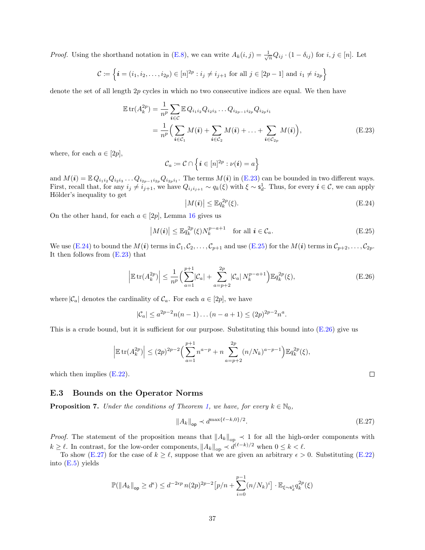*Proof.* Using the shorthand notation in [\(E.8\)](#page-33-5), we can write  $A_k(i,j) = \frac{1}{\sqrt{n}} Q_{ij} \cdot (1 - \delta_{ij})$  for  $i, j \in [n]$ . Let

$$
\mathcal{C} := \left\{ \bm{i} = (i_1, i_2, \dots, i_{2p}) \in [n]^{2p} : i_j \neq i_{j+1} \text{ for all } j \in [2p-1] \text{ and } i_1 \neq i_{2p} \right\}
$$

denote the set of all length 2p cycles in which no two consecutive indices are equal. We then have

$$
\mathbb{E} \operatorname{tr}(A_k^{2p}) = \frac{1}{n^p} \sum_{i \in C} \mathbb{E} Q_{i_1 i_2} Q_{i_2 i_3} \dots Q_{i_{2p-1} i_{2p}} Q_{i_{2p} i_1}
$$
\n
$$
= \frac{1}{n^p} \Big( \sum_{i \in C_1} M(i) + \sum_{i \in C_2} M(i) + \dots + \sum_{i \in C_{2p}} M(i) \Big), \tag{E.23}
$$

where, for each  $a \in [2p]$ ,

$$
\mathcal{C}_a\coloneqq \mathcal{C}\cap \left\{\boldsymbol{i}\in [n]^{2p}: \nu(\boldsymbol{i})=a\right\}
$$

and  $M(i) = \mathbb{E} Q_{i_1 i_2} Q_{i_2 i_3} \dots Q_{i_{2p-1} i_{2p}} Q_{i_{2p} i_1}$ . The terms  $M(i)$  in [\(E.23\)](#page-36-3) can be bounded in two different ways. First, recall that, for any  $i_j \neq i_{j+1}$ , we have  $Q_{i_j i_{j+1}} \sim q_k(\xi)$  with  $\xi \sim \mathsf{s}_d^1$ . Thus, for every  $i \in \mathcal{C}$ , we can apply Hölder's inequality to get

<span id="page-36-4"></span><span id="page-36-3"></span>
$$
|M(i)| \leq \mathbb{E}q_k^{2p}(\xi). \tag{E.24}
$$

On the other hand, for each  $a \in [2p]$ , Lemma [16](#page-33-6) gives us

$$
|M(i)| \leq \mathbb{E}q_k^{2p}(\xi)N_k^{p-a+1} \quad \text{for all } i \in \mathcal{C}_a.
$$
 (E.25)

We use [\(E.24\)](#page-36-4) to bound the  $M(i)$  terms in  $C_1, C_2, \ldots, C_{p+1}$  and use [\(E.25\)](#page-36-5) for the  $M(i)$  terms in  $C_{p+2}, \ldots, C_{2p}$ . It then follows from [\(E.23\)](#page-36-3) that

$$
\left| \mathbb{E} \operatorname{tr} (A_k^{2p}) \right| \le \frac{1}{n^p} \left( \sum_{a=1}^{p+1} |C_a| + \sum_{a=p+2}^{2p} |C_a| N_k^{p-a+1} \right) \mathbb{E} q_k^{2p}(\xi), \tag{E.26}
$$

where  $|\mathcal{C}_a|$  denotes the cardinality of  $\mathcal{C}_a$ . For each  $a \in [2p]$ , we have

$$
|\mathcal{C}_a| \le a^{2p-2}n(n-1)\dots(n-a+1) \le (2p)^{2p-2}n^a.
$$

This is a crude bound, but it is sufficient for our purpose. Substituting this bound into [\(E.26\)](#page-36-6) give us

$$
\left| \mathbb{E} \operatorname{tr} (A_k^{2p}) \right| \le (2p)^{2p-2} \Big( \sum_{a=1}^{p+1} n^{a-p} + n \sum_{a=p+2}^{2p} (n/N_k)^{a-p-1} \Big) \mathbb{E} q_k^{2p}(\xi),
$$

which then implies  $(E.22)$ .

#### <span id="page-36-0"></span>E.3 Bounds on the Operator Norms

<span id="page-36-1"></span>**Proposition 7.** Under the conditions of Theorem [1,](#page-4-1) we have, for every  $k \in \mathbb{N}_0$ ,

$$
||A_k||_{\text{op}} \prec d^{\max\{\ell-k,0\}/2}.\tag{E.27}
$$

*Proof.* The statement of the proposition means that  $||A_k||_{op} \le 1$  for all the high-order components with  $k \geq \ell$ . In contrast, for the low-order components,  $||A_k||_{op} \prec d^{(\ell-k)/2}$  when  $0 \leq k < \ell$ .

To show [\(E.27\)](#page-36-2) for the case of  $k \geq \ell$ , suppose that we are given an arbitrary  $\epsilon > 0$ . Substituting [\(E.22\)](#page-35-6) into [\(E.5\)](#page-33-1) yields

$$
\mathbb{P}(\|A_k\|_{\text{op}} \ge d^{\epsilon}) \le d^{-2\epsilon p} n(2p)^{2p-2} \left[ p/n + \sum_{i=0}^{p-1} (n/N_k)^i \right] \cdot \mathbb{E}_{\xi \sim \mathbf{s}_d^1} q_k^{2p}(\xi)
$$

<span id="page-36-6"></span><span id="page-36-5"></span><span id="page-36-2"></span> $\Box$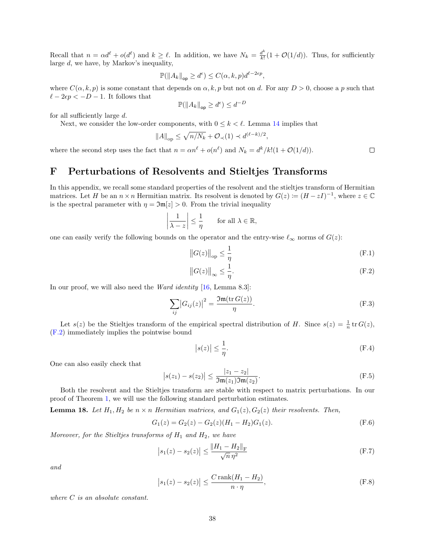Recall that  $n = \alpha d^{\ell} + o(d^{\ell})$  and  $k \geq \ell$ . In addition, we have  $N_k = \frac{d^k}{k!}$  $\frac{d^n}{k!}(1+\mathcal{O}(1/d)).$  Thus, for sufficiently large d, we have, by Markov's inequality,

$$
\mathbb{P}(\|A_k\|_{\text{op}} \ge d^{\epsilon}) \le C(\alpha, k, p)d^{\ell - 2\epsilon p},
$$

where  $C(\alpha, k, p)$  is some constant that depends on  $\alpha, k, p$  but not on d. For any  $D > 0$ , choose a p such that  $\ell - 2\epsilon p < -D - 1$ . It follows that  $\overline{D}$ 

$$
\mathbb{P}(\|A_k\|_{\text{op}} \ge d^{\epsilon}) \le d^{-1}
$$

for all sufficiently large d.

Next, we consider the low-order components, with  $0 \leq k \leq \ell$ . Lemma [14](#page-31-3) implies that

$$
||A||_{\text{op}} \le \sqrt{n/N_k} + \mathcal{O}_{\prec}(1) \prec d^{(\ell-k)/2},
$$

where the second step uses the fact that  $n = \alpha n^{\ell} + o(n^{\ell})$  and  $N_k = d^k / k! (1 + \mathcal{O}(1/d)).$ 

 $\overline{\phantom{a}}$  $\overline{\phantom{a}}$  $\overline{\phantom{a}}$  $\mid$ 

# <span id="page-37-0"></span>F Perturbations of Resolvents and Stieltjes Transforms

In this appendix, we recall some standard properties of the resolvent and the stieltjes transform of Hermitian matrices. Let H be an  $n \times n$  Hermitian matrix. Its resolvent is denoted by  $G(z) := (H - zI)^{-1}$ , where  $z \in \mathbb{C}$ is the spectral parameter with  $\eta = \mathfrak{Im}[z] > 0$ . From the trivial inequality

$$
\frac{1}{\lambda - z} \bigg| \le \frac{1}{\eta} \quad \text{for all } \lambda \in \mathbb{R},
$$

one can easily verify the following bounds on the operator and the entry-wise  $\ell_{\infty}$  norms of  $G(z)$ :

$$
||G(z)||_{\text{op}} \le \frac{1}{\eta} \tag{F.1}
$$

$$
||G(z)||_{\infty} \le \frac{1}{\eta}.\tag{F.2}
$$

In our proof, we will also need the *Ward identity* [\[16,](#page-41-9) Lemma 8.3]:

$$
\sum_{ij} |G_{ij}(z)|^2 = \frac{\Im \mathfrak{m}(\text{tr } G(z))}{\eta}.
$$
 (F.3)

Let  $s(z)$  be the Stieltjes transform of the empirical spectral distribution of H. Since  $s(z) = \frac{1}{n} \text{tr } G(z)$ , [\(F.2\)](#page-37-3) immediately implies the pointwise bound

<span id="page-37-9"></span><span id="page-37-6"></span><span id="page-37-4"></span><span id="page-37-1"></span>
$$
|s(z)| \le \frac{1}{\eta}.\tag{F.4}
$$

One can also easily check that

$$
|s(z_1) - s(z_2)| \le \frac{|z_1 - z_2|}{\Im \mathfrak{m}(z_1)\Im \mathfrak{m}(z_2)}.
$$
 (F.5)

Both the resolvent and the Stieltjes transform are stable with respect to matrix perturbations. In our proof of Theorem [1,](#page-4-1) we will use the following standard perturbation estimates.

<span id="page-37-2"></span>**Lemma 18.** Let  $H_1, H_2$  be  $n \times n$  Hermitian matrices, and  $G_1(z), G_2(z)$  their resolvents. Then,

$$
G_1(z) = G_2(z) - G_2(z)(H_1 - H_2)G_1(z).
$$
 (F.6)

Moreover, for the Stieltjes transforms of  $H_1$  and  $H_2$ , we have

$$
|s_1(z) - s_2(z)| \le \frac{\|H_1 - H_2\|_{\mathrm{F}}}{\sqrt{n} \eta^2}
$$
 (F.7)

and

<span id="page-37-7"></span>
$$
\left| s_1(z) - s_2(z) \right| \le \frac{C \operatorname{rank}(H_1 - H_2)}{n \cdot \eta},\tag{F.8}
$$

where C is an absolute constant.

<span id="page-37-8"></span><span id="page-37-5"></span><span id="page-37-3"></span> $\Box$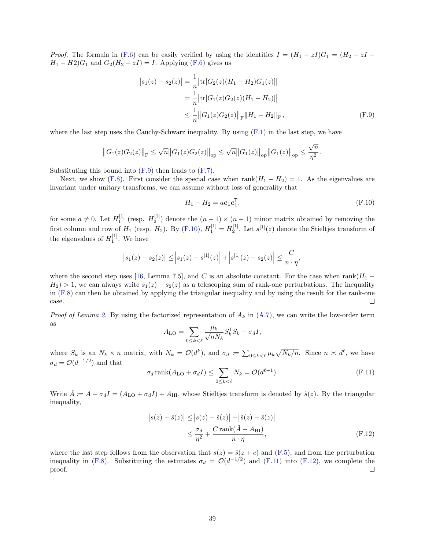*Proof.* The formula in [\(F.6\)](#page-37-4) can be easily verified by using the identities  $I = (H_1 - zI)G_1 = (H_2 - zI +$  $H_1 - H_2$ ) $G_1$  and  $G_2$ ( $H_2 - zI$ ) = *I*. Applying [\(F.6\)](#page-37-4) gives us

$$
\begin{aligned} \left| s_1(z) - s_2(z) \right| &= \frac{1}{n} \left| \text{tr}[G_2(z)(H_1 - H_2)G_1(z)] \right| \\ &= \frac{1}{n} \left| \text{tr}[G_1(z)G_2(z)(H_1 - H_2)] \right| \\ &\le \frac{1}{n} \left\| G_1(z)G_2(z) \right\|_{\text{F}} \left\| H_1 - H_2 \right\|_{\text{F}}, \end{aligned} \tag{F.9}
$$

where the last step uses the Cauchy-Schwarz inequality. By using  $(F.1)$  in the last step, we have

$$
||G_1(z)G_2(z)||_F \le \sqrt{n} ||G_1(z)G_2(z)||_{op} \le \sqrt{n} ||G_1(z)||_{op} ||G_1(z)||_{op} \le \frac{\sqrt{n}}{\eta^2}.
$$

Substituting this bound into  $(F.9)$  then leads to  $(F.7)$ .

 $\overline{\phantom{a}}$ 

Next, we show [\(F.8\)](#page-37-7). First consider the special case when rank $(H_1 - H_2) = 1$ . As the eigenvalues are invariant under unitary transforms, we can assume without loss of generality that

<span id="page-38-1"></span><span id="page-38-0"></span>
$$
H_1 - H_2 = ae_1e_1^{\mathsf{T}},\tag{F.10}
$$

for some  $a \neq 0$ . Let  $H_1^{[1]}$  (resp.  $H_2^{[1]}$ ) denote the  $(n-1) \times (n-1)$  minor matrix obtained by removing the first column and row of  $H_1$  (resp.  $H_2$ ). By [\(F.10\)](#page-38-1),  $H_1^{[1]} = H_2^{[1]}$ . Let  $s^{[1]}(z)$  denote the Stieltjes transform of the eigenvalues of  $H_1^{[1]}$ . We have

$$
|s_1(z) - s_2(z)| \le |s_1(z) - s^{[1]}(z)| + |s^{[1]}(z) - s_2(z)| \le \frac{C}{n \cdot \eta},
$$

where the second step uses [\[16,](#page-41-9) Lemma 7.5], and C is an absolute constant. For the case when rank $(H_1 H_2$ ) > 1, we can always write  $s_1(z) - s_2(z)$  as a telescoping sum of rank-one perturbations. The inequality in [\(F.8\)](#page-37-7) can then be obtained by applying the triangular inequality and by using the result for the rank-one case.  $\Box$ 

*Proof of Lemma [2.](#page-10-2)* By using the factorized representation of  $A_k$  in  $(A.7)$ , we can write the low-order term as

<span id="page-38-2"></span>
$$
A_{\rm LO} = \sum_{0 \le k < \ell} \frac{\mu_k}{\sqrt{n N_k}} S_k^{\mathsf{T}} S_k - \sigma_d I,
$$

where  $S_k$  is an  $N_k \times n$  matrix, with  $N_k = \mathcal{O}(d^k)$ , and  $\sigma_d := \sum_{0 \le k < \ell} \mu_k \sqrt{N_k/n}$ . Since  $n \times d^{\ell}$ , we have  $\sigma_d = \mathcal{O}(d^{-1/2})$  and that

$$
\sigma_d \operatorname{rank}(A_{\text{LO}} + \sigma_d I) \le \sum_{0 \le k < \ell} N_k = \mathcal{O}(d^{\ell-1}).\tag{F.11}
$$

Write  $\check{A} = A + \sigma_d I = (A_{\text{LO}} + \sigma_d I) + A_{\text{HI}}$ , whose Stieltjes transform is denoted by  $\check{s}(z)$ . By the triangular inequality,

<span id="page-38-3"></span>
$$
\left| s(z) - \hat{s}(z) \right| \le \left| s(z) - \check{s}(z) \right| + \left| \check{s}(z) - \hat{s}(z) \right|
$$
  

$$
\le \frac{\sigma_d}{\eta^2} + \frac{C \operatorname{rank}(\check{A} - A_{\text{HI}})}{n \cdot \eta},
$$
 (F.12)

where the last step follows from the observation that  $s(z) = \breve{s}(z + c)$  and [\(F.5\)](#page-37-9), and from the perturbation inequality in [\(F.8\)](#page-37-7). Substituting the estimates  $\sigma_d = \mathcal{O}(d^{-1/2})$  and [\(F.11\)](#page-38-2) into [\(F.12\)](#page-38-3), we complete the proof.  $\Box$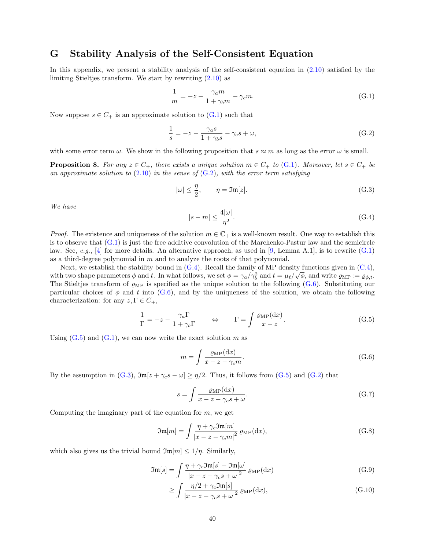### <span id="page-39-0"></span>G Stability Analysis of the Self-Consistent Equation

In this appendix, we present a stability analysis of the self-consistent equation in  $(2.10)$  satisfied by the limiting Stieltjes transform. We start by rewriting [\(2.10\)](#page-4-4) as

<span id="page-39-2"></span>
$$
\frac{1}{m} = -z - \frac{\gamma_a m}{1 + \gamma_b m} - \gamma_c m.
$$
\n(G.1)

Now suppose  $s \in C_+$  is an approximate solution to  $(G.1)$  such that

$$
\frac{1}{s} = -z - \frac{\gamma_a s}{1 + \gamma_b s} - \gamma_c s + \omega,
$$
\n(G.2)

with some error term  $\omega$ . We show in the following proposition that  $s \approx m$  as long as the error  $\omega$  is small.

<span id="page-39-1"></span>**Proposition 8.** For any  $z \in C_+$ , there exists a unique solution  $m \in C_+$  to [\(G.1\)](#page-39-2). Moreover, let  $s \in C_+$  be an approximate solution to  $(2.10)$  in the sense of  $(G.2)$ , with the error term satisfying

$$
|\omega| \le \frac{\eta}{2}, \qquad \eta = \mathfrak{Im}[z]. \tag{G.3}
$$

We have

<span id="page-39-7"></span><span id="page-39-4"></span><span id="page-39-3"></span>
$$
|s - m| \le \frac{4|\omega|}{\eta^2}.\tag{G.4}
$$

*Proof.* The existence and uniqueness of the solution  $m \in \mathbb{C}_+$  is a well-known result. One way to establish this is to observe that [\(G.1\)](#page-39-2) is just the free additive convolution of the Marchenko-Pastur law and the semicircle law. See, e.g., [\[4\]](#page-40-10) for more details. An alternative approach, as used in [\[9,](#page-40-0) Lemma A.1], is to rewrite  $(G.1)$ as a third-degree polynomial in  $m$  and to analyze the roots of that polynomial.

Next, we establish the stability bound in  $(G.4)$ . Recall the family of MP density functions given in  $(C.4)$ , with two shape parameters  $\phi$  and t. In what follows, we set  $\phi = \gamma_a/\gamma_b^2$  and  $t = \mu_{\ell}/\sqrt{\phi}$ , and write  $\varrho_{\text{MP}} \coloneqq \varrho_{\phi,t}$ . The Stieltjes transform of  $\rho_{MP}$  is specified as the unique solution to the following [\(G.6\)](#page-39-5). Substituting our particular choices of  $\phi$  and t into [\(G.6\)](#page-39-5), and by the uniqueness of the solution, we obtain the following characterization: for any  $z, \Gamma \in C_+$ ,

$$
\frac{1}{\Gamma} = -z - \frac{\gamma_a \Gamma}{1 + \gamma_b \Gamma} \qquad \Leftrightarrow \qquad \Gamma = \int \frac{\varrho_{\rm MP}(\mathrm{d}x)}{x - z} . \tag{G.5}
$$

Using  $(G.5)$  and  $(G.1)$ , we can now write the exact solution m as

<span id="page-39-9"></span><span id="page-39-6"></span><span id="page-39-5"></span>
$$
m = \int \frac{\varrho_{\rm MP}(\mathrm{d}x)}{x - z - \gamma_c m}.\tag{G.6}
$$

By the assumption in [\(G.3\)](#page-39-7),  $\Im m[z + \gamma_c s - \omega] \ge \eta/2$ . Thus, it follows from [\(G.5\)](#page-39-6) and [\(G.2\)](#page-39-3) that

<span id="page-39-10"></span>
$$
s = \int \frac{\varrho_{\rm MP}(\mathrm{d}x)}{x - z - \gamma_c s + \omega}.\tag{G.7}
$$

Computing the imaginary part of the equation for  $m$ , we get

$$
\mathfrak{Im}[m] = \int \frac{\eta + \gamma_c \mathfrak{Im}[m]}{|x - z - \gamma_c m|^2} \, \varrho_{\rm MP}(\mathrm{d}x),\tag{G.8}
$$

which also gives us the trivial bound  $\mathfrak{Im}[m] \leq 1/\eta$ . Similarly,

$$
\mathfrak{Im}[s] = \int \frac{\eta + \gamma_c \mathfrak{Im}[s] - \mathfrak{Im}[\omega]}{|x - z - \gamma_c s + \omega|^2} \varrho_{\mathrm{MP}}(\mathrm{d}x) \tag{G.9}
$$

<span id="page-39-11"></span><span id="page-39-8"></span>
$$
\geq \int \frac{\eta/2 + \gamma_c \Im \mathfrak{m}[s]}{|x - z - \gamma_c s + \omega|^2} \varrho_{\rm MP}(\mathrm{d}x),\tag{G.10}
$$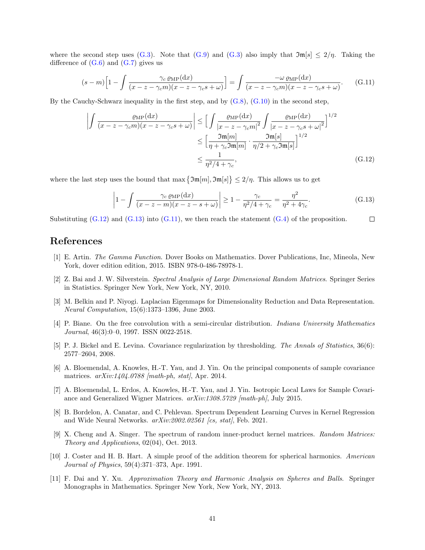where the second step uses [\(G.3\)](#page-39-7). Note that [\(G.9\)](#page-39-8) and (G.3) also imply that  $\mathfrak{Im}[s] \leq 2/\eta$ . Taking the difference of  $(G.6)$  and  $(G.7)$  gives us

$$
(s-m)\left[1-\int \frac{\gamma_c \varrho_{\rm MP}(\mathrm{d}x)}{(x-z-\gamma_c m)(x-z-\gamma_c s+\omega)}\right] = \int \frac{-\omega \varrho_{\rm MP}(\mathrm{d}x)}{(x-z-\gamma_c m)(x-z-\gamma_c s+\omega)}.\tag{G.11}
$$

By the Cauchy-Schwarz inequality in the first step, and by [\(G.8\)](#page-39-10), [\(G.10\)](#page-39-11) in the second step,

$$
\left| \int \frac{\varrho_{\mathrm{MP}}(\mathrm{d}x)}{(x-z-\gamma_c m)(x-z-\gamma_c s+\omega)} \right| \leq \left[ \int \frac{\varrho_{\mathrm{MP}}(\mathrm{d}x)}{|x-z-\gamma_c m|^2} \int \frac{\varrho_{\mathrm{MP}}(\mathrm{d}x)}{|x-z-\gamma_c s+\omega|^2} \right]^{1/2}
$$

$$
\leq \left[ \frac{\mathfrak{Im}[m]}{\eta+\gamma_c \mathfrak{Im}[m]} \cdot \frac{\mathfrak{Im}[s]}{\eta/2+\gamma_c \mathfrak{Im}[s]} \right]^{1/2}
$$

$$
\leq \frac{1}{\eta^2/4+\gamma_c}, \tag{G.12}
$$

where the last step uses the bound that  $\max{\{\mathfrak{Im}[m], \mathfrak{Im}[s]\}} \leq 2/\eta$ . This allows us to get

<span id="page-40-13"></span><span id="page-40-12"></span><span id="page-40-11"></span>
$$
\left|1 - \int \frac{\gamma_c \varrho_{\rm MP}(\mathrm{d}x)}{(x - z - m)(x - z - s + \omega)}\right| \ge 1 - \frac{\gamma_c}{\eta^2/4 + \gamma_c} = \frac{\eta^2}{\eta^2 + 4\gamma_c}.\tag{G.13}
$$

Substituting  $(G.12)$  and  $(G.13)$  into  $(G.11)$ , we then reach the statement  $(G.4)$  of the proposition.  $\Box$ 

### References

- <span id="page-40-8"></span>[1] E. Artin. The Gamma Function. Dover Books on Mathematics. Dover Publications, Inc, Mineola, New York, dover edition edition, 2015. ISBN 978-0-486-78978-1.
- <span id="page-40-9"></span>[2] Z. Bai and J. W. Silverstein. Spectral Analysis of Large Dimensional Random Matrices. Springer Series in Statistics. Springer New York, New York, NY, 2010.
- <span id="page-40-2"></span>[3] M. Belkin and P. Niyogi. Laplacian Eigenmaps for Dimensionality Reduction and Data Representation. Neural Computation, 15(6):1373–1396, June 2003.
- <span id="page-40-10"></span>[4] P. Biane. On the free convolution with a semi-circular distribution. Indiana University Mathematics Journal, 46(3):0–0, 1997. ISSN 0022-2518.
- <span id="page-40-1"></span>[5] P. J. Bickel and E. Levina. Covariance regularization by thresholding. The Annals of Statistics, 36(6): 2577–2604, 2008.
- <span id="page-40-7"></span>[6] A. Bloemendal, A. Knowles, H.-T. Yau, and J. Yin. On the principal components of sample covariance matrices.  $arXiv:1404.0788$  [math-ph, stat], Apr. 2014.
- <span id="page-40-4"></span>[7] A. Bloemendal, L. Erdos, A. Knowles, H.-T. Yau, and J. Yin. Isotropic Local Laws for Sample Covariance and Generalized Wigner Matrices.  $arXiv:1308.5729$  [math-ph], July 2015.
- <span id="page-40-5"></span>[8] B. Bordelon, A. Canatar, and C. Pehlevan. Spectrum Dependent Learning Curves in Kernel Regression and Wide Neural Networks.  $arXiv:2002.02561$  [cs, stat], Feb. 2021.
- <span id="page-40-0"></span>[9] X. Cheng and A. Singer. The spectrum of random inner-product kernel matrices. Random Matrices: Theory and Applications, 02(04), Oct. 2013.
- <span id="page-40-6"></span>[10] J. Coster and H. B. Hart. A simple proof of the addition theorem for spherical harmonics. American Journal of Physics, 59(4):371–373, Apr. 1991.
- <span id="page-40-3"></span>[11] F. Dai and Y. Xu. Approximation Theory and Harmonic Analysis on Spheres and Balls. Springer Monographs in Mathematics. Springer New York, New York, NY, 2013.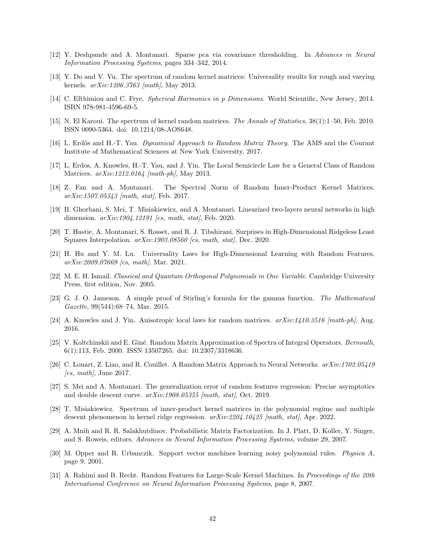- <span id="page-41-0"></span>[12] Y. Deshpande and A. Montanari. Sparse pca via covariance thresholding. In Advances in Neural Information Processing Systems, pages 334–342, 2014.
- <span id="page-41-14"></span>[13] Y. Do and V. Vu. The spectrum of random kernel matrices: Universality results for rough and varying kernels. *arXiv:1206.3763* [math], May 2013.
- <span id="page-41-10"></span>[14] C. Efthimiou and C. Frye. Spherical Harmonics in p Dimensions. World Scientific, New Jersey, 2014. ISBN 978-981-4596-69-5.
- <span id="page-41-13"></span>[15] N. El Karoui. The spectrum of kernel random matrices. The Annals of Statistics, 38(1):1–50, Feb. 2010. ISSN 0090-5364. doi: 10.1214/08-AOS648.
- <span id="page-41-9"></span>[16] L. Erdős and H.-T. Yau. *Dynamical Approach to Random Matrix Theory*. The AMS and the Courant Institute of Mathematical Sciences at New York University, 2017.
- <span id="page-41-8"></span>[17] L. Erdos, A. Knowles, H.-T. Yau, and J. Yin. The Local Semicircle Law for a General Class of Random Matrices. *arXiv:1212.0164* [math-ph], May 2013.
- <span id="page-41-7"></span>[18] Z. Fan and A. Montanari. The Spectral Norm of Random Inner-Product Kernel Matrices.  $arXiv:1507.05343$  [math, stat], Feb. 2017.
- <span id="page-41-16"></span>[19] B. Ghorbani, S. Mei, T. Misiakiewicz, and A. Montanari. Linearized two-layers neural networks in high dimension.  $arXiv:1904.12191$  [cs, math, stat], Feb. 2020.
- <span id="page-41-4"></span>[20] T. Hastie, A. Montanari, S. Rosset, and R. J. Tibshirani. Surprises in High-Dimensional Ridgeless Least Squares Interpolation.  $arXiv:1903.08560$  [cs, math, stat], Dec. 2020.
- <span id="page-41-6"></span>[21] H. Hu and Y. M. Lu. Universality Laws for High-Dimensional Learning with Random Features. arXiv:2009.07669 [cs, math], Mar. 2021.
- <span id="page-41-11"></span>[22] M. E. H. Ismail. Classical and Quantum Orthogonal Polynomials in One Variable. Cambridge University Press, first edition, Nov. 2005.
- <span id="page-41-19"></span>[23] G. J. O. Jameson. A simple proof of Stirling's formula for the gamma function. The Mathematical Gazette, 99(544):68–74, Mar. 2015.
- <span id="page-41-18"></span>[24] A. Knowles and J. Yin. Anisotropic local laws for random matrices.  $arXiv:1410.3516$  [math-ph], Aug. 2016.
- <span id="page-41-12"></span>[25] V. Koltchinskii and E. Giné. Random Matrix Approximation of Spectra of Integral Operators. Bernoulli, 6(1):113, Feb. 2000. ISSN 13507265. doi: 10.2307/3318636.
- <span id="page-41-3"></span>[26] C. Louart, Z. Liao, and R. Couillet. A Random Matrix Approach to Neural Networks. arXiv:1702.05419  $\int_{\mathcal{C}}$  math, June 2017.
- <span id="page-41-5"></span>[27] S. Mei and A. Montanari. The generalization error of random features regression: Precise asymptotics and double descent curve.  $arXiv:1908.05355$  [math, stat], Oct. 2019.
- <span id="page-41-17"></span>[28] T. Misiakiewicz. Spectrum of inner-product kernel matrices in the polynomial regime and multiple descent phenomenon in kernel ridge regression.  $arXiv:2204.10425$  [math, stat], Apr. 2022.
- <span id="page-41-1"></span>[29] A. Mnih and R. R. Salakhutdinov. Probabilistic Matrix Factorization. In J. Platt, D. Koller, Y. Singer, and S. Roweis, editors, Advances in Neural Information Processing Systems, volume 29, 2007.
- <span id="page-41-15"></span>[30] M. Opper and R. Urbanczik. Support vector machines learning noisy polynomial rules. Physica A, page 9, 2001.
- <span id="page-41-2"></span>[31] A. Rahimi and B. Recht. Random Features for Large-Scale Kernel Machines. In Proceedings of the 20th International Conference on Neural Information Processing Systems, page 8, 2007.